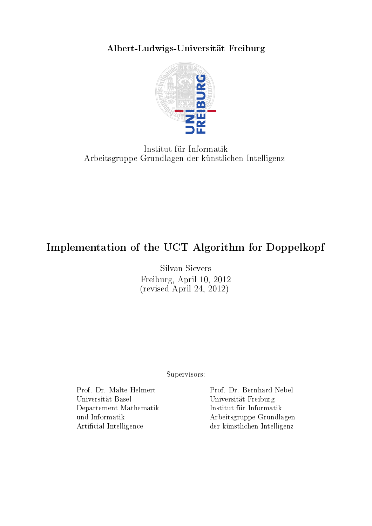Albert-Ludwigs-Universität Freiburg



Institut für Informatik Arbeitsgruppe Grundlagen der künstlichen Intelligenz

## Implementation of the UCT Algorithm for Doppelkopf

Silvan Sievers Freiburg, April 10, 2012 (revised April 24, 2012)

Supervisors:

Universität Basel Universität Freiburg Departement Mathematik Institut für Informatik

Prof. Dr. Malte Helmert Prof. Dr. Bernhard Nebel und Informatik Arbeitsgruppe Grundlagen Artificial Intelligence der künstlichen Intelligenz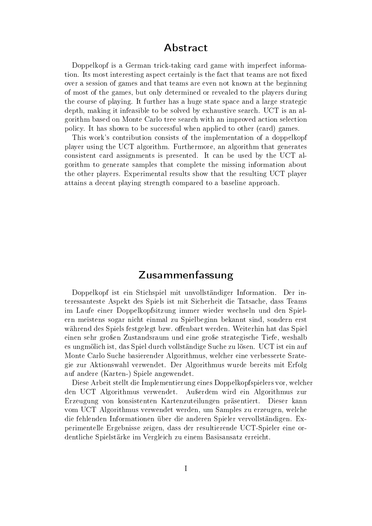#### Abstract

Doppelkopf is a German trick-taking card game with imperfect information. Its most interesting aspect certainly is the fact that teams are not fixed over a session of games and that teams are even not known at the beginning of most of the games, but only determined or revealed to the players during the course of playing. It further has a huge state space and a large strategic depth, making it infeasible to be solved by exhaustive search. UCT is an algorithm based on Monte Carlo tree search with an improved action selection policy. It has shown to be successful when applied to other (card) games.

This work's contribution consists of the implementation of a doppelkopf player using the UCT algorithm. Furthermore, an algorithm that generates consistent card assignments is presented. It can be used by the UCT algorithm to generate samples that complete the missing information about the other players. Experimental results show that the resulting UCT player attains a decent playing strength compared to a baseline approach.

## Zusammenfassung

Doppelkopf ist ein Stichspiel mit unvollständiger Information. Der interessanteste Aspekt des Spiels ist mit Sicherheit die Tatsache, dass Teams im Laufe einer Doppelkopfsitzung immer wieder wechseln und den Spielern meistens sogar nicht einmal zu Spielbeginn bekannt sind, sondern erst während des Spiels festgelegt bzw. offenbart werden. Weiterhin hat das Spiel einen sehr groÿen Zustandsraum und eine groÿe strategische Tiefe, weshalb es ungmölich ist, das Spiel durch vollständige Suche zu lösen. UCT ist ein auf Monte Carlo Suche basierender Algorithmus, welcher eine verbesserte Srategie zur Aktionswahl verwendet. Der Algorithmus wurde bereits mit Erfolg auf andere (Karten-) Spiele angewendet.

Diese Arbeit stellt die Implementierung eines Doppelkopfspielers vor, welcher den UCT Algorithmus verwendet. Außerdem wird ein Algorithmus zur Erzeugung von konsistenten Kartenzuteilungen präsentiert. Dieser kann vom UCT Algorithmus verwendet werden, um Samples zu erzeugen, welche die fehlenden Informationen über die anderen Spieler vervollständigen. Experimentelle Ergebnisse zeigen, dass der resultierende UCT-Spieler eine ordentliche Spielstärke im Vergleich zu einem Basisansatz erreicht.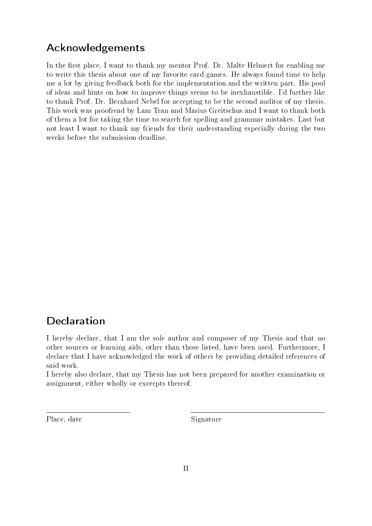## Acknowledgements

In the first place, I want to thank my mentor Prof. Dr. Malte Helmert for enabling me to write this thesis about one of my favorite card games. He always found time to help me a lot by giving feedback both for the implementation and the written part. His pool of ideas and hints on how to improve things seems to be inexhaustible. I'd further like to thank Prof. Dr. Bernhard Nebel for accepting to be the second auditor of my thesis. This work was proofread by Lam Tran and Marius Greitschus and I want to thank both of them a lot for taking the time to search for spelling and grammar mistakes. Last but not least I want to thank my friends for their understanding especially during the two weeks before the submission deadline.

## Declaration

I hereby declare, that I am the sole author and composer of my Thesis and that no other sources or learning aids, other than those listed, have been used. Furthermore, I declare that I have acknowledged the work of others by providing detailed references of said work.

I hereby also declare, that my Thesis has not been prepared for another examination or assignment, either wholly or excerpts thereof.

Place, date Signature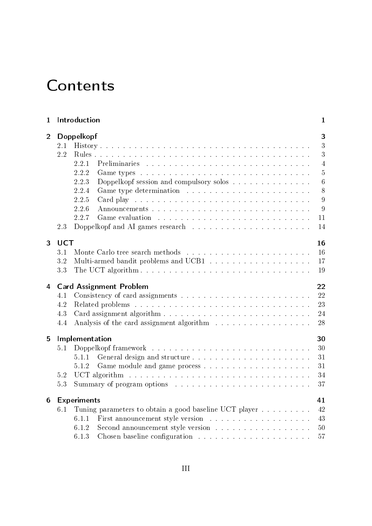# **Contents**

| Introduction<br>1 |            |                                                                                                                                                                                                                                | 1               |  |  |  |  |
|-------------------|------------|--------------------------------------------------------------------------------------------------------------------------------------------------------------------------------------------------------------------------------|-----------------|--|--|--|--|
| $\overline{2}$    |            | Doppelkopf                                                                                                                                                                                                                     |                 |  |  |  |  |
|                   | $2.1\,$    |                                                                                                                                                                                                                                | 3               |  |  |  |  |
|                   | 2.2        |                                                                                                                                                                                                                                | 3               |  |  |  |  |
|                   |            | 2.2.1                                                                                                                                                                                                                          | $\overline{4}$  |  |  |  |  |
|                   |            | 2.2.2                                                                                                                                                                                                                          | $\overline{5}$  |  |  |  |  |
|                   |            | 2.2.3<br>Doppelkopf session and compulsory solos                                                                                                                                                                               | $6\phantom{.}6$ |  |  |  |  |
|                   |            | 2.2.4                                                                                                                                                                                                                          | 8               |  |  |  |  |
|                   |            | 2.2.5                                                                                                                                                                                                                          | 9               |  |  |  |  |
|                   |            | 2.2.6                                                                                                                                                                                                                          | 9               |  |  |  |  |
|                   |            | 2.2.7                                                                                                                                                                                                                          | 11              |  |  |  |  |
|                   | 2.3        |                                                                                                                                                                                                                                | 14              |  |  |  |  |
| 3                 | <b>UCT</b> |                                                                                                                                                                                                                                | 16              |  |  |  |  |
|                   | 3.1        |                                                                                                                                                                                                                                | 16              |  |  |  |  |
|                   | 3.2        |                                                                                                                                                                                                                                | 17              |  |  |  |  |
|                   | 3.3        |                                                                                                                                                                                                                                | 19              |  |  |  |  |
| 4                 |            | <b>Card Assignment Problem</b>                                                                                                                                                                                                 | 22              |  |  |  |  |
|                   | 4.1        |                                                                                                                                                                                                                                | 22              |  |  |  |  |
|                   | 4.2        |                                                                                                                                                                                                                                | 23              |  |  |  |  |
|                   | 4.3        |                                                                                                                                                                                                                                | 24              |  |  |  |  |
|                   | 4.4        |                                                                                                                                                                                                                                | 28              |  |  |  |  |
| 5                 |            | Implementation                                                                                                                                                                                                                 | 30              |  |  |  |  |
|                   | 5.1        | Doppelkopf framework Indian Bill and South Property and South Property and South Property and South Property and South Property and South Property and South Property and South Property and South Property and South Property | 30              |  |  |  |  |
|                   |            | General design and structure<br>5.1.1                                                                                                                                                                                          | 31              |  |  |  |  |
|                   |            | 5.1.2                                                                                                                                                                                                                          | 31              |  |  |  |  |
|                   | 5.2        |                                                                                                                                                                                                                                | 34              |  |  |  |  |
|                   | 5.3        |                                                                                                                                                                                                                                | 37              |  |  |  |  |
| 6                 |            | <b>Experiments</b>                                                                                                                                                                                                             | 41              |  |  |  |  |
|                   | 6.1        | Tuning parameters to obtain a good baseline UCT player                                                                                                                                                                         | 42              |  |  |  |  |
|                   |            | 6.1.1                                                                                                                                                                                                                          | 43              |  |  |  |  |
|                   |            | Second announcement style version<br>6.1.2                                                                                                                                                                                     | 50              |  |  |  |  |
|                   |            | 6.1.3<br>Chosen baseline configuration $\ldots \ldots \ldots \ldots \ldots \ldots \ldots$                                                                                                                                      | 57              |  |  |  |  |
|                   |            |                                                                                                                                                                                                                                |                 |  |  |  |  |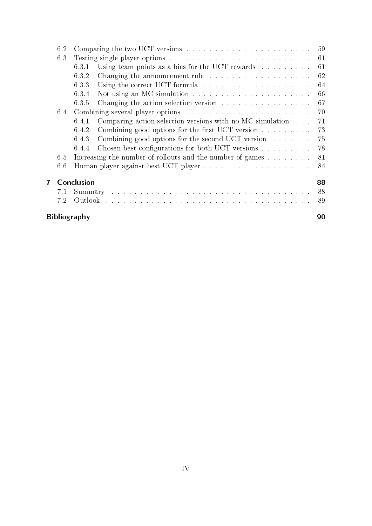|   | 6.2 | 59                  |                                                                            |    |
|---|-----|---------------------|----------------------------------------------------------------------------|----|
|   | 6.3 |                     |                                                                            | 61 |
|   |     | 6.3.1               | Using team points as a bias for the UCT rewards $\ldots \ldots \ldots$     | 61 |
|   |     | 6.3.2               | Changing the announcement rule $\ldots \ldots \ldots \ldots \ldots \ldots$ | 62 |
|   |     | 6.3.3               |                                                                            | 64 |
|   |     | 6.3.4               |                                                                            | 66 |
|   |     | 6.3.5               | Changing the action selection version                                      | 67 |
|   | 6.4 |                     |                                                                            | 70 |
|   |     | 6.4.1               | Comparing action selection versions with no MC simulation $\dots$          | 71 |
|   |     | 6.4.2               | Combining good options for the first UCT version $\dots \dots$             | 73 |
|   |     | 6.4.3               | Combining good options for the second UCT version $\dots \dots$            | 75 |
|   |     | 6.4.4               | Chosen best configurations for both UCT versions                           | 78 |
|   | 6.5 |                     | Increasing the number of rollouts and the number of games $\dots \dots$    | 81 |
|   | 6.6 |                     |                                                                            | 84 |
| 7 |     | Conclusion          |                                                                            | 88 |
|   | 7.1 |                     |                                                                            | 88 |
|   | 7.2 |                     |                                                                            | 89 |
|   |     | <b>Bibliography</b> |                                                                            | 90 |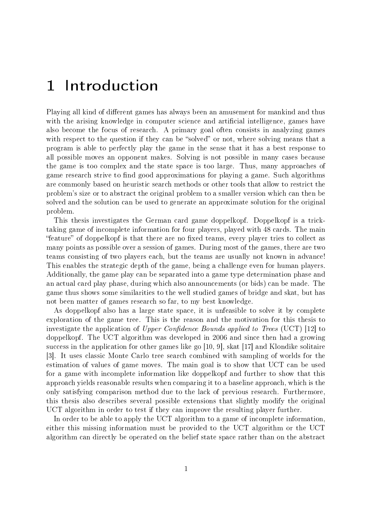## 1 Introduction

Playing all kind of different games has always been an amusement for mankind and thus with the arising knowledge in computer science and artificial intelligence, games have also become the focus of research. A primary goal often consists in analyzing games with respect to the question if they can be "solved" or not, where solving means that a program is able to perfectly play the game in the sense that it has a best response to all possible moves an opponent makes. Solving is not possible in many cases because the game is too complex and the state space is too large. Thus, many approaches of game research strive to find good approximations for playing a game. Such algorithms are commonly based on heuristic search methods or other tools that allow to restrict the problem's size or to abstract the original problem to a smaller version which can then be solved and the solution can be used to generate an approximate solution for the original problem.

This thesis investigates the German card game doppelkopf. Doppelkopf is a tricktaking game of incomplete information for four players, played with 48 cards. The main "feature" of doppelkopf is that there are no fixed teams, every player tries to collect as many points as possible over a session of games. During most of the games, there are two teams consisting of two players each, but the teams are usually not known in advance! This enables the strategic depth of the game, being a challenge even for human players. Additionally, the game play can be separated into a game type determination phase and an actual card play phase, during which also announcements (or bids) can be made. The game thus shows some similarities to the well studied games of bridge and skat, but has not been matter of games research so far, to my best knowledge.

As doppelkopf also has a large state space, it is unfeasible to solve it by complete exploration of the game tree. This is the reason and the motivation for this thesis to investigate the application of Upper Confidence Bounds applied to Trees (UCT) [12] to doppelkopf. The UCT algorithm was developed in 2006 and since then had a growing success in the application for other games like go [10, 9], skat [17] and Klondike solitaire [3]. It uses classic Monte Carlo tree search combined with sampling of worlds for the estimation of values of game moves. The main goal is to show that UCT can be used for a game with incomplete information like doppelkopf and further to show that this approach yields reasonable results when comparing it to a baseline approach, which is the only satisfying comparison method due to the lack of previous research. Furthermore, this thesis also describes several possible extensions that slightly modify the original UCT algorithm in order to test if they can improve the resulting player further.

In order to be able to apply the UCT algorithm to a game of incomplete information, either this missing information must be provided to the UCT algorithm or the UCT algorithm can directly be operated on the belief state space rather than on the abstract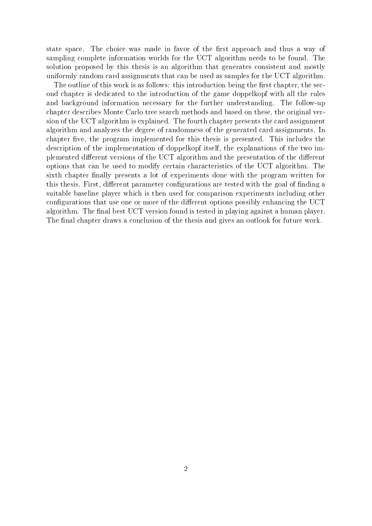state space. The choice was made in favor of the first approach and thus a way of sampling complete information worlds for the UCT algorithm needs to be found. The solution proposed by this thesis is an algorithm that generates consistent and mostly uniformly random card assignments that can be used as samples for the UCT algorithm.

The outline of this work is as follows: this introduction being the first chapter, the second chapter is dedicated to the introduction of the game doppelkopf with all the rules and background information necessary for the further understanding. The follow-up chapter describes Monte Carlo tree search methods and based on these, the original version of the UCT algorithm is explained. The fourth chapter presents the card assignment algorithm and analyzes the degree of randomness of the generated card assignments. In chapter five, the program implemented for this thesis is presented. This includes the description of the implementation of doppelkopf itself, the explanations of the two implemented different versions of the UCT algorithm and the presentation of the different options that can be used to modify certain characteristics of the UCT algorithm. The sixth chapter finally presents a lot of experiments done with the program written for this thesis. First, different parameter configurations are tested with the goal of finding a suitable baseline player which is then used for comparison experiments including other configurations that use one or more of the different options possibly enhancing the UCT algorithm. The final best UCT version found is tested in playing against a human player. The final chapter draws a conclusion of the thesis and gives an outlook for future work.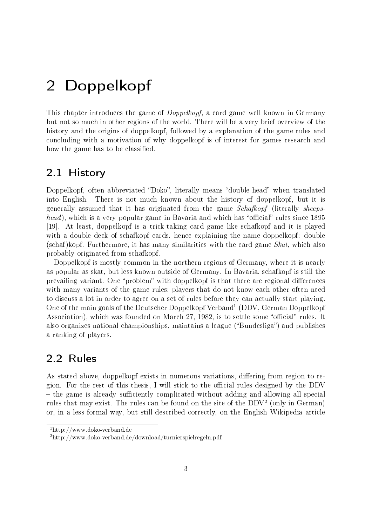# 2 Doppelkopf

This chapter introduces the game of Doppelkopf, a card game well known in Germany but not so much in other regions of the world. There will be a very brief overview of the history and the origins of doppelkopf, followed by a explanation of the game rules and concluding with a motivation of why doppelkopf is of interest for games research and how the game has to be classified.

### 2.1 History

Doppelkopf, often abbreviated "Doko", literally means "double-head" when translated into English. There is not much known about the history of doppelkopf, but it is generally assumed that it has originated from the game Schafkopf (literally sheeps $head)$ , which is a very popular game in Bavaria and which has "official" rules since 1895 [19]. At least, doppelkopf is a trick-taking card game like schafkopf and it is played with a double deck of schafkopf cards, hence explaining the name doppelkopf: double  $(schaf)$ kopf. Furthermore, it has many similarities with the card game  $Skat$ , which also probably originated from schafkopf.

Doppelkopf is mostly common in the northern regions of Germany, where it is nearly as popular as skat, but less known outside of Germany. In Bavaria, schafkopf is still the prevailing variant. One "problem" with doppelkopf is that there are regional differences with many variants of the game rules; players that do not know each other often need to discuss a lot in order to agree on a set of rules before they can actually start playing. One of the main goals of the Deutscher Doppelkopf Verband<sup>1</sup> (DDV, German Doppelkopf Association), which was founded on March 27, 1982, is to settle some "official" rules. It also organizes national championships, maintains a league ("Bundesliga") and publishes a ranking of players.

## 2.2 Rules

As stated above, doppelkopf exists in numerous variations, differing from region to region. For the rest of this thesis, I will stick to the official rules designed by the DDV  $-$  the game is already sufficiently complicated without adding and allowing all special rules that may exist. The rules can be found on the site of the DDV<sup>2</sup> (only in German) or, in a less formal way, but still described correctly, on the English Wikipedia article

<sup>1</sup>http://www.doko-verband.de

<sup>2</sup>http://www.doko-verband.de/download/turnierspielregeln.pdf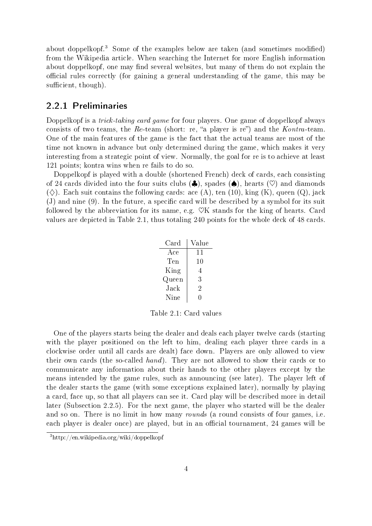about doppelkopf.<sup>3</sup> Some of the examples below are taken (and sometimes modified) from the Wikipedia article. When searching the Internet for more English information about doppelkopf, one may find several websites, but many of them do not explain the ocial rules correctly (for gaining a general understanding of the game, this may be sufficient, though).

#### 2.2.1 Preliminaries

Doppelkopf is a *trick-taking card game* for four players. One game of doppelkopf always consists of two teams, the Re-team (short: re, "a player is re") and the  $Kontra$ -team. One of the main features of the game is the fact that the actual teams are most of the time not known in advance but only determined during the game, which makes it very interesting from a strategic point of view. Normally, the goal for re is to achieve at least 121 points; kontra wins when re fails to do so.

Doppelkopf is played with a double (shortened French) deck of cards, each consisting of 24 cards divided into the four suits clubs  $(\clubsuit)$ , spades  $(\spadesuit)$ , hearts  $(\heartsuit)$  and diamonds  $(\diamondsuit)$ . Each suit contains the following cards: ace (A), ten (10), king (K), queen (Q), jack  $(J)$  and nine  $(9)$ . In the future, a specific card will be described by a symbol for its suit followed by the abbreviation for its name, e.g.  $\mathcal{O}K$  stands for the king of hearts. Card values are depicted in Table 2.1, thus totaling 240 points for the whole deck of 48 cards.

| $\operatorname{Card}$ | Value |
|-----------------------|-------|
| Ace                   | 11    |
| Ten                   | 10    |
| King                  | 4     |
| Queen                 | 3     |
| $_{\rm Jack}$         | 2     |
| Nine                  |       |

Table 2.1: Card values

One of the players starts being the dealer and deals each player twelve cards (starting with the player positioned on the left to him, dealing each player three cards in a clockwise order until all cards are dealt) face down. Players are only allowed to view their own cards (the so-called hand). They are not allowed to show their cards or to communicate any information about their hands to the other players except by the means intended by the game rules, such as announcing (see later). The player left of the dealer starts the game (with some exceptions explained later), normally by playing a card, face up, so that all players can see it. Card play will be described more in detail later (Subsection 2.2.5). For the next game, the player who started will be the dealer and so on. There is no limit in how many rounds (a round consists of four games, i.e. each player is dealer once) are played, but in an official tournament, 24 games will be

 $3$ http://en.wikipedia.org/wiki/doppelkopf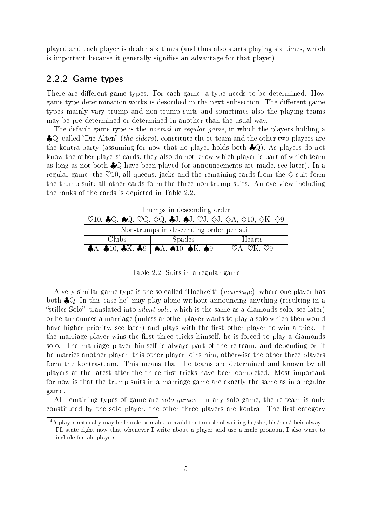played and each player is dealer six times (and thus also starts playing six times, which is important because it generally signies an advantage for that player).

#### 2.2.2 Game types

There are different game types. For each game, a type needs to be determined. How game type determination works is described in the next subsection. The different game types mainly vary trump and non-trump suits and sometimes also the playing teams may be pre-determined or determined in another than the usual way.

The default game type is the *normal* or *regular game*, in which the players holding a  $\clubsuit Q$ , called "Die Alten" (the elders), constitute the re-team and the other two players are the kontra-party (assuming for now that no player holds both ♣Q). As players do not know the other players' cards, they also do not know which player is part of which team as long as not both ♣Q have been played (or announcements are made, see later). In a regular game, the  $\heartsuit$ 10, all queens, jacks and the remaining cards from the  $\diamondsuit$ -suit form the trump suit; all other cards form the three non-trump suits. An overview including the ranks of the cards is depicted in Table 2.2.

| Trumps in descending order                                                                                                                             |               |                                                |
|--------------------------------------------------------------------------------------------------------------------------------------------------------|---------------|------------------------------------------------|
| $^\perp$ 910, 4Q, 4Q, 9Q, $\diamondsuit Q$ , 4J, 4J, 9J, $\diamondsuit J$ , $\diamondsuit A$ , $\diamondsuit 10$ , $\diamondsuit K$ , $\diamondsuit 9$ |               |                                                |
| Non-trumps in descending order per suit                                                                                                                |               |                                                |
| Clubs                                                                                                                                                  | <b>Spades</b> | Hearts                                         |
| $\vert$ 4A, 410, 4K, 49 $\vert$ 4A, 410, 4K, 49                                                                                                        |               | $\heartsuit$ A, $\heartsuit$ K, $\heartsuit$ 9 |

Table 2.2: Suits in a regular game

A very similar game type is the so-called "Hochzeit" ( $\textit{marriage}$ ), where one player has both  $\clubsuit$ Q. In this case he<sup>4</sup> may play alone without announcing anything (resulting in a "stilles Solo", translated into *silent solo*, which is the same as a diamonds solo, see later) or he announces a marriage (unless another player wants to play a solo which then would have higher priority, see later) and plays with the first other player to win a trick. If the marriage player wins the first three tricks himself, he is forced to play a diamonds solo. The marriage player himself is always part of the re-team, and depending on if he marries another player, this other player joins him, otherwise the other three players form the kontra-team. This means that the teams are determined and known by all players at the latest after the three first tricks have been completed. Most important for now is that the trump suits in a marriage game are exactly the same as in a regular game.

All remaining types of game are *solo games*. In any solo game, the re-team is only constituted by the solo player, the other three players are kontra. The first category

<sup>&</sup>lt;sup>4</sup>A player naturally may be female or male; to avoid the trouble of writing he/she, his/her/their always, I'll state right now that whenever I write about a player and use a male pronoun, I also want to include female players.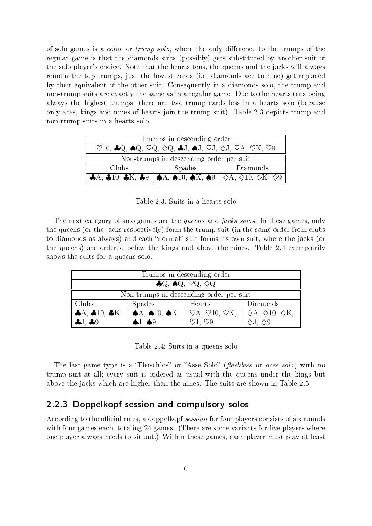of solo games is a *color* or *trump solo*, where the only difference to the trumps of the regular game is that the diamonds suits (possibly) gets substituted by another suit of the solo player's choice. Note that the hearts tens, the queens and the jacks will always remain the top trumps, just the lowest cards (i.e. diamonds ace to nine) get replaced by their equivalent of the other suit. Consequently in a diamonds solo, the trump and non-trump suits are exactly the same as in a regular game. Due to the hearts tens being always the highest trumps, there are two trump cards less in a hearts solo (because only aces, kings and nines of hearts join the trump suit). Table 2.3 depicts trump and non-trump suits in a hearts solo.

| Trumps in descending order                                                                                                                                                                        |                                                                                                                                                                                                         |          |
|---------------------------------------------------------------------------------------------------------------------------------------------------------------------------------------------------|---------------------------------------------------------------------------------------------------------------------------------------------------------------------------------------------------------|----------|
| $\heartsuit$ 10, $\clubsuit$ Q, $\spadesuit$ Q, $\heartsuit$ Q, $\diamondsuit$ Q, $\clubsuit$ J, $\spadesuit$ J, $\heartsuit$ J, $\diamondsuit$ J, $\heartsuit$ A, $\heartsuit$ K, $\heartsuit$ 9 |                                                                                                                                                                                                         |          |
| Non-trumps in descending order per suit                                                                                                                                                           |                                                                                                                                                                                                         |          |
| Clubs                                                                                                                                                                                             | <b>Spades</b>                                                                                                                                                                                           | Diamonds |
|                                                                                                                                                                                                   | $\clubsuit$ A, $\clubsuit$ 10, $\clubsuit$ K, $\clubsuit$ 9   $\spadesuit$ A, $\spadesuit$ 10, $\spadesuit$ K, $\spadesuit$ 9   $\diamondsuit$ A, $\diamondsuit$ 10, $\diamondsuit$ K, $\diamondsuit$ 9 |          |

Table 2.3: Suits in a hearts solo

The next category of solo games are the *queens* and *jacks solos*. In these games, only the queens (or the jacks respectively) form the trump suit (in the same order from clubs to diamonds as always) and each "normal" suit forms its own suit, where the jacks (or the queens) are ordered below the kings and above the nines. Table 2.4 exemplarily shows the suits for a queens solo.

| Trumps in descending order                                         |               |                                                                                                                                                                                                                                      |              |
|--------------------------------------------------------------------|---------------|--------------------------------------------------------------------------------------------------------------------------------------------------------------------------------------------------------------------------------------|--------------|
| $\clubsuit Q$ , $\spadesuit Q$ , $\heartsuit Q$ , $\diamondsuit Q$ |               |                                                                                                                                                                                                                                      |              |
| Non-trumps in descending order per suit                            |               |                                                                                                                                                                                                                                      |              |
| Clubs                                                              | <b>Spades</b> | Hearts                                                                                                                                                                                                                               | Diamonds     |
|                                                                    |               | $\clubsuit$ A, $\clubsuit$ 10, $\clubsuit$ K, $\spadesuit$ A, $\spadesuit$ 10, $\spadesuit$ K, $\smash{\downarrow}$ $\heartsuit$ A, $\heartsuit$ 10, $\heartsuit$ K, $\smash{\downarrow}$ $\diamond$ A, $\diamond$ 10, $\diamond$ K, |              |
| 4J.49                                                              | 1.49          | $\heartsuit$ J. $\heartsuit$ 9                                                                                                                                                                                                       | $\Diamond 9$ |

Table 2.4: Suits in a queens solo

The last game type is a "Fleischlos" or "Asse Solo" (*fleshless* or *aces solo*) with no trump suit at all; every suit is ordered as usual with the queens under the kings but above the jacks which are higher than the nines. The suits are shown in Table 2.5.

#### 2.2.3 Doppelkopf session and compulsory solos

According to the official rules, a doppelkopf session for four players consists of six rounds with four games each, totaling  $24$  games. (There are some variants for five players where one player always needs to sit out.) Within these games, each player must play at least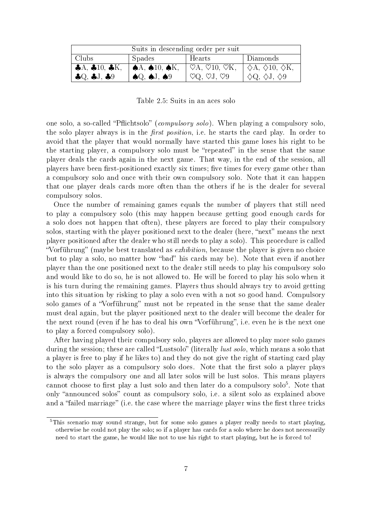| Suits in descending order per suit |                                                       |                                                  |                                       |
|------------------------------------|-------------------------------------------------------|--------------------------------------------------|---------------------------------------|
| Clubs                              | Spades                                                | Hearts                                           | Diamonds                              |
| $AA$ , $A10$ , $A$ K,              | $\mid \spadesuit$ A, $\spadesuit$ 10, $\spadesuit$ K, | $\heartsuit$ A, $\heartsuit$ 10, $\heartsuit$ K, | $\Diamond A, \Diamond 10, \Diamond K$ |
| Q, Q, 1, 0.9                       | $\bigcirc$ $\bigcirc$ $\bigcirc$ $\bigcirc$           | $\heartsuit Q$ , $\heartsuit J$ , $\heartsuit 9$ | $\Diamond Q, \Diamond J, \Diamond 9$  |

Table 2.5: Suits in an aces solo

one solo, a so-called "Pflichtsolo" (*compulsory solo*). When playing a compulsory solo, the solo player always is in the *first position*, i.e. he starts the card play. In order to avoid that the player that would normally have started this game loses his right to be the starting player, a compulsory solo must be "repeated" in the sense that the same player deals the cards again in the next game. That way, in the end of the session, all players have been first-positioned exactly six times; five times for every game other than a compulsory solo and once with their own compulsory solo. Note that it can happen that one player deals cards more often than the others if he is the dealer for several compulsory solos.

Once the number of remaining games equals the number of players that still need to play a compulsory solo (this may happen because getting good enough cards for a solo does not happen that often), these players are forced to play their compulsory solos, starting with the player positioned next to the dealer (here, "next" means the next player positioned after the dealer who still needs to play a solo). This procedure is called "Vorführung" (maybe best translated as *exhibition*, because the player is given no choice but to play a solo, no matter how "bad" his cards may be). Note that even if another player than the one positioned next to the dealer still needs to play his compulsory solo and would like to do so, he is not allowed to. He will be forced to play his solo when it is his turn during the remaining games. Players thus should always try to avoid getting into this situation by risking to play a solo even with a not so good hand. Compulsory solo games of a "Vorführung" must not be repeated in the sense that the same dealer must deal again, but the player positioned next to the dealer will become the dealer for the next round (even if he has to deal his own "Vorführung", i.e. even he is the next one to play a forced compulsory solo).

After having played their compulsory solo, players are allowed to play more solo games during the session; these are called "Lustsolo" (literally *lust solo*, which means a solo that a player is free to play if he likes to) and they do not give the right of starting card play to the solo player as a compulsory solo does. Note that the first solo a player plays is always the compulsory one and all later solos will be lust solos. This means players cannot choose to first play a lust solo and then later do a compulsory  $\mathrm{solo}^5.$  Note that only "announced solos" count as compulsory solo, i.e. a silent solo as explained above and a "failed marriage" (i.e. the case where the marriage player wins the first three tricks

<sup>&</sup>lt;sup>5</sup>This scenario may sound strange, but for some solo games a player really needs to start playing, otherwise he could not play the solo; so if a player has cards for a solo where he does not necessarily need to start the game, he would like not to use his right to start playing, but he is forced to!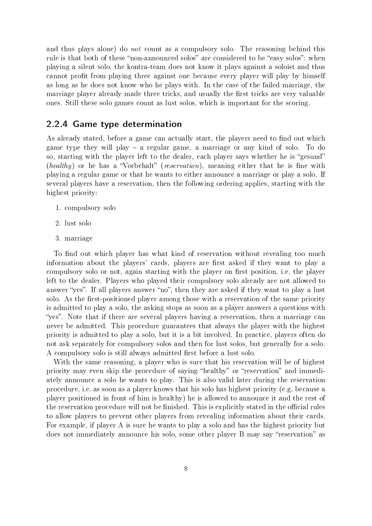and thus plays alone) do not count as a compulsory solo. The reasoning behind this rule is that both of these "non-announced solos" are considered to be "easy solos": when playing a silent solo, the kontra-team does not know it plays against a soloist and thus cannot profit from playing three against one because every player will play by himself as long as he does not know who he plays with. In the case of the failed marriage, the marriage player already made three tricks, and usually the first tricks are very valuable ones. Still these solo games count as lust solos, which is important for the scoring.

#### 2.2.4 Game type determination

As already stated, before a game can actually start, the players need to find out which game type they will play  $-$  a regular game, a marriage or any kind of solo. To do so, starting with the player left to the dealer, each player says whether he is "gesund" (healthy) or he has a "Vorbehalt" (reservation), meaning either that he is fine with playing a regular game or that he wants to either announce a marriage or play a solo. If several players have a reservation, then the following ordering applies, starting with the highest priority:

- 1. compulsory solo
- 2. lust solo
- 3. marriage

To find out which player has what kind of reservation without revealing too much information about the players' cards, players are first asked if they want to play a compulsory solo or not, again starting with the player on first position, i.e. the player left to the dealer. Players who played their compulsory solo already are not allowed to answer "yes". If all players answer "no", then they are asked if they want to play a lust solo. As the first-positioned player among those with a reservation of the same priority is admitted to play a solo, the asking stops as soon as a player answers a questions with "yes". Note that if there are several players having a reservation, then a marriage can never be admitted. This procedure guarantees that always the player with the highest priority is admitted to play a solo, but it is a bit involved. In practice, players often do not ask separately for compulsory solos and then for lust solos, but generally for a solo. A compulsory solo is still always admitted first before a lust solo.

With the same reasoning, a player who is sure that his reservation will be of highest priority may even skip the procedure of saying "healthy" or "reservation" and immediately announce a solo he wants to play. This is also valid later during the reservation procedure, i.e. as soon as a player knows that his solo has highest priority (e.g. because a player positioned in front of him is healthy) he is allowed to announce it and the rest of the reservation procedure will not be finished. This is explicitly stated in the official rules to allow players to prevent other players from revealing information about their cards. For example, if player A is sure he wants to play a solo and has the highest priority but does not immediately announce his solo, some other player B may say "reservation" as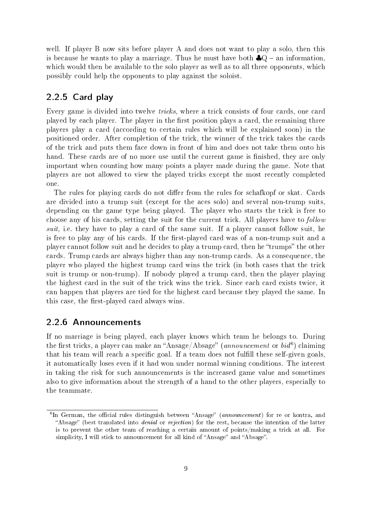well. If player B now sits before player A and does not want to play a solo, then this is because he wants to play a marriage. Thus he must have both  $\clubsuit Q$  – an information, which would then be available to the solo player as well as to all three opponents, which possibly could help the opponents to play against the soloist.

#### 2.2.5 Card play

Every game is divided into twelve *tricks*, where a trick consists of four cards, one card played by each player. The player in the first position plays a card, the remaining three players play a card (according to certain rules which will be explained soon) in the positioned order. After completion of the trick, the winner of the trick takes the cards of the trick and puts them face down in front of him and does not take them onto his hand. These cards are of no more use until the current game is finished, they are only important when counting how many points a player made during the game. Note that players are not allowed to view the played tricks except the most recently completed one.

The rules for playing cards do not differ from the rules for schafkopf or skat. Cards are divided into a trump suit (except for the aces solo) and several non-trump suits, depending on the game type being played. The player who starts the trick is free to choose any of his cards, setting the suit for the current trick. All players have to follow suit, i.e. they have to play a card of the same suit. If a player cannot follow suit, he is free to play any of his cards. If the first-played card was of a non-trump suit and a player cannot follow suit and he decides to play a trump card, then he "trumps" the other cards. Trump cards are always higher than any non-trump cards. As a consequence, the player who played the highest trump card wins the trick (in both cases that the trick suit is trump or non-trump). If nobody played a trump card, then the player playing the highest card in the suit of the trick wins the trick. Since each card exists twice, it can happen that players are tied for the highest card because they played the same. In this case, the first-played card always wins.

#### 2.2.6 Announcements

If no marriage is being played, each player knows which team he belongs to. During the first tricks, a player can make an "Ansage/Absage" (announcement or  $\overline{bid}^6$ ) claiming that his team will reach a specific goal. If a team does not fulfill these self-given goals, it automatically loses even if it had won under normal winning conditions. The interest in taking the risk for such announcements is the increased game value and sometimes also to give information about the strength of a hand to the other players, especially to the teammate.

<sup>&</sup>lt;sup>6</sup>In German, the official rules distinguish between "Ansage" (announcement) for re or kontra, and "Absage" (best translated into *denial* or *rejection*) for the rest, because the intention of the latter is to prevent the other team of reaching a certain amount of points/making a trick at all. For simplicity, I will stick to announcement for all kind of "Ansage" and "Absage".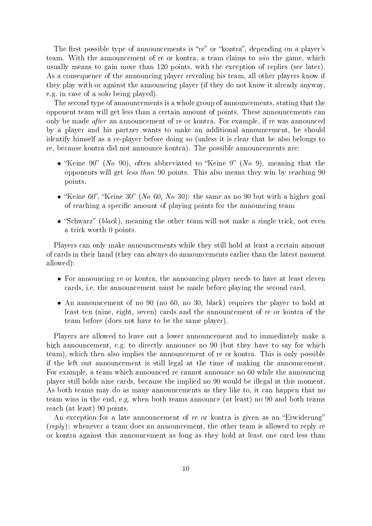The first possible type of announcements is "re" or "kontra", depending on a player's team. With the announcement of re or kontra, a team claims to win the game, which usually means to gain more than 120 points, with the exception of replies (see later). As a consequence of the announcing player revealing his team, all other players know if they play with or against the announcing player (if they do not know it already anyway, e.g. in case of a solo being played).

The second type of announcements is a whole group of announcements, stating that the opponent team will get less than a certain amount of points. These announcements can only be made after an announcement of re or kontra. For example, if re was announced by a player and his partner wants to make an additional announcement, he should identify himself as a re-player before doing so (unless it is clear that he also belongs to re, because kontra did not announce kontra). The possible announcements are:

- "Keine 90" (No 90), often abbreviated to "Keine 9" (No 9), meaning that the opponents will get less than 90 points. This also means they win by reaching 90 points.
- "Keine 60", "Keine 30" (No 60, No 30): the same as no 90 but with a higher goal of reaching a specific amount of playing points for the announcing team
- "Schwarz" (black), meaning the other team will not make a single trick, not even a trick worth 0 points.

Players can only make announcements while they still hold at least a certain amount of cards in their hand (they can always do announcements earlier than the latest moment allowed):

- For announcing re or kontra, the announcing player needs to have at least eleven cards, i.e. the announcement must be made before playing the second card.
- An announcement of no 90 (no 60, no 30, black) requires the player to hold at least ten (nine, eight, seven) cards and the announcement of re or kontra of the team before (does not have to be the same player).

Players are allowed to leave out a lower announcement and to immediately make a high announcement, e.g. to directly announce no 90 (but they have to say for which team), which then also implies the announcement of re or kontra. This is only possible if the left out announcement is still legal at the time of making the announcement. For example, a team which announced re cannot announce no 60 while the announcing player still holds nine cards, because the implied no 90 would be illegal at this moment. As both teams may do as many announcements as they like to, it can happen that no team wins in the end, e.g. when both teams announce (at least) no 90 and both teams reach (at least) 90 points.

An exception for a late announcement of re or kontra is given as an "Erwiderung" (*reply*): whenever a team does an announcement, the other team is allowed to reply re or kontra against this announcement as long as they hold at least one card less than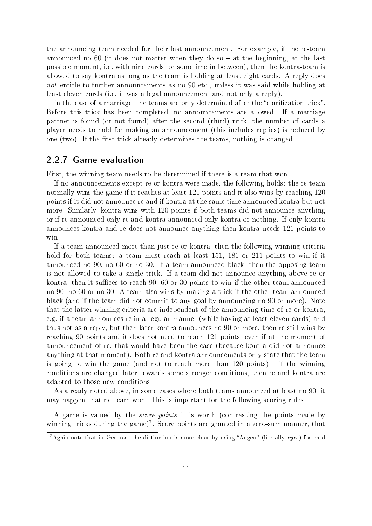the announcing team needed for their last announcement. For example, if the re-team announced no 60 (it does not matter when they do so  $-$  at the beginning, at the last possible moment, i.e. with nine cards, or sometime in between), then the kontra-team is allowed to say kontra as long as the team is holding at least eight cards. A reply does not entitle to further announcements as no 90 etc., unless it was said while holding at least eleven cards (i.e. it was a legal announcement and not only a reply).

In the case of a marriage, the teams are only determined after the "clarification trick". Before this trick has been completed, no announcements are allowed. If a marriage partner is found (or not found) after the second (third) trick, the number of cards a player needs to hold for making an announcement (this includes replies) is reduced by one (two). If the first trick already determines the teams, nothing is changed.

#### 2.2.7 Game evaluation

First, the winning team needs to be determined if there is a team that won.

If no announcements except re or kontra were made, the following holds: the re-team normally wins the game if it reaches at least 121 points and it also wins by reaching 120 points if it did not announce re and if kontra at the same time announced kontra but not more. Similarly, kontra wins with 120 points if both teams did not announce anything or if re announced only re and kontra announced only kontra or nothing. If only kontra announces kontra and re does not announce anything then kontra needs 121 points to win.

If a team announced more than just re or kontra, then the following winning criteria hold for both teams: a team must reach at least 151, 181 or 211 points to win if it announced no 90, no 60 or no 30. If a team announced black, then the opposing team is not allowed to take a single trick. If a team did not announce anything above re or kontra, then it suffices to reach  $90, 60$  or  $30$  points to win if the other team announced no 90, no 60 or no 30. A team also wins by making a trick if the other team announced black (and if the team did not commit to any goal by announcing no 90 or more). Note that the latter winning criteria are independent of the announcing time of re or kontra, e.g. if a team announces re in a regular manner (while having at least eleven cards) and thus not as a reply, but then later kontra announces no 90 or more, then re still wins by reaching 90 points and it does not need to reach 121 points, even if at the moment of announcement of re, that would have been the case (because kontra did not announce anything at that moment). Both re and kontra announcements only state that the team is going to win the game (and not to reach more than  $120$  points)  $-$  if the winning conditions are changed later towards some stronger conditions, then re and kontra are adapted to those new conditions.

As already noted above, in some cases where both teams announced at least no 90, it may happen that no team won. This is important for the following scoring rules.

A game is valued by the score points it is worth (contrasting the points made by winning tricks during the game)<sup>7</sup>. Score points are granted in a zero-sum manner, that

 $7$ Again note that in German, the distinction is more clear by using "Augen" (literally eyes) for card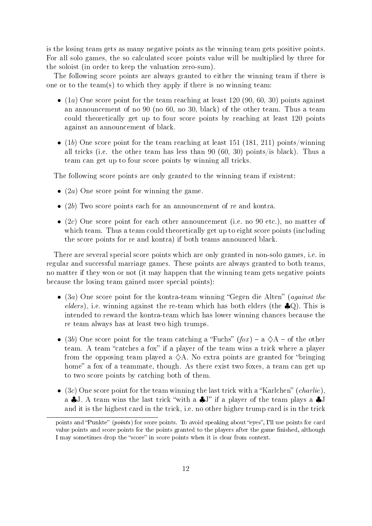is the losing team gets as many negative points as the winning team gets positive points. For all solo games, the so calculated score points value will be multiplied by three for the soloist (in order to keep the valuation zero-sum).

The following score points are always granted to either the winning team if there is one or to the team(s) to which they apply if there is no winning team:

- $\bullet$  (1a) One score point for the team reaching at least 120 (90, 60, 30) points against an announcement of no 90 (no 60, no 30, black) of the other team. Thus a team could theoretically get up to four score points by reaching at least 120 points against an announcement of black.
- (1b) One score point for the team reaching at least 151 (181, 211) points/winning all tricks (i.e. the other team has less than 90 (60, 30) points/is black). Thus a team can get up to four score points by winning all tricks.

The following score points are only granted to the winning team if existent:

- $(2a)$  One score point for winning the game.
- (2b) Two score points each for an announcement of re and kontra.
- (2c) One score point for each other announcement (i.e. no 90 etc.), no matter of which team. Thus a team could theoretically get up to eight score points (including the score points for re and kontra) if both teams announced black.

There are several special score points which are only granted in non-solo games, i.e. in regular and successful marriage games. These points are always granted to both teams, no matter if they won or not (it may happen that the winning team gets negative points because the losing team gained more special points):

- (3a) One score point for the kontra-team winning "Gegen die Alten" (against the elders), i.e. winning against the re-team which has both elders (the  $\clubsuit Q$ ). This is intended to reward the kontra-team which has lower winning chances because the re team always has at least two high trumps.
- (3b) One score point for the team catching a "Fuchs"  $(f \circ x)$  a  $\Diamond A$  of the other team. A team "catches a fox" if a player of the team wins a trick where a player from the opposing team played a  $\Diamond A$ . No extra points are granted for "bringing" home" a fox of a teammate, though. As there exist two foxes, a team can get up to two score points by catching both of them.
- (3c) One score point for the team winning the last trick with a "Karlchen" (*charlie*), a  $\clubsuit$ J. A team wins the last trick "with a  $\clubsuit$ J" if a player of the team plays a  $\clubsuit$ J and it is the highest card in the trick, i.e. no other higher trump card is in the trick

points and "Punkte" (*points*) for score points. To avoid speaking about "eyes", I'll use points for card value points and score points for the points granted to the players after the game finished, although I may sometimes drop the "score" in score points when it is clear from context.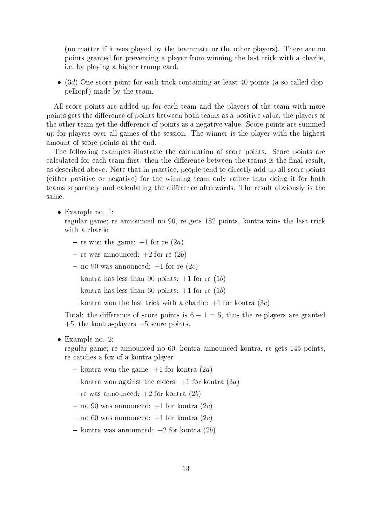(no matter if it was played by the teammate or the other players). There are no points granted for preventing a player from winning the last trick with a charlie, i.e. by playing a higher trump card.

• (3d) One score point for each trick containing at least 40 points (a so-called doppelkopf) made by the team.

All score points are added up for each team and the players of the team with more points gets the difference of points between both teams as a positive value, the players of the other team get the difference of points as a negative value. Score points are summed up for players over all games of the session. The winner is the player with the highest amount of score points at the end.

The following examples illustrate the calculation of score points. Score points are calculated for each team first, then the difference between the teams is the final result, as described above. Note that in practice, people tend to directly add up all score points (either positive or negative) for the winning team only rather than doing it for both teams separately and calculating the dierence afterwards. The result obviously is the same.

• Example no. 1:

regular game; re announced no 90, re gets 182 points, kontra wins the last trick with a charlie

- re won the game:  $+1$  for re  $(2a)$
- re was announced:  $+2$  for re  $(2b)$
- no 90 was announced:  $+1$  for re  $(2c)$
- kontra has less than 90 points:  $+1$  for re (1b)
- kontra has less than 60 points:  $+1$  for re (1b)
- kontra won the last trick with a charlie:  $+1$  for kontra  $(3c)$

Total: the difference of score points is  $6 - 1 = 5$ , thus the re-players are granted +5, the kontra-players −5 score points.

• Example no. 2:

regular game; re announced no 60, kontra announced kontra, re gets 145 points, re catches a fox of a kontra-player

- kontra won the game:  $+1$  for kontra  $(2a)$
- kontra won against the elders:  $+1$  for kontra  $(3a)$
- re was announced:  $+2$  for kontra  $(2b)$
- no 90 was announced:  $+1$  for kontra  $(2c)$
- no 60 was announced:  $+1$  for kontra  $(2c)$
- kontra was announced:  $+2$  for kontra  $(2b)$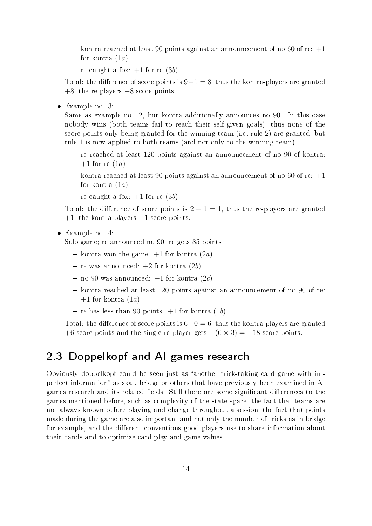- kontra reached at least 90 points against an announcement of no 60 of re:  $+1$ for kontra  $(1a)$
- re caught a fox:  $+1$  for re  $(3b)$

Total: the difference of score points is  $9-1=8$ , thus the kontra-players are granted +8, the re-players −8 score points.

• Example no. 3:

Same as example no. 2, but kontra additionally announces no 90. In this case nobody wins (both teams fail to reach their self-given goals), thus none of the score points only being granted for the winning team (i.e. rule 2) are granted, but rule 1 is now applied to both teams (and not only to the winning team)!

- $r -$  re reached at least 120 points against an announcement of no 90 of kontra:  $+1$  for re  $(1a)$
- kontra reached at least 90 points against an announcement of no 60 of re:  $+1$ for kontra  $(1a)$
- re caught a fox:  $+1$  for re (3b)

Total: the difference of score points is  $2 - 1 = 1$ , thus the re-players are granted  $+1$ , the kontra-players  $-1$  score points.

• Example no. 4:

Solo game; re announced no 90, re gets 85 points

- kontra won the game:  $+1$  for kontra  $(2a)$
- re was announced:  $+2$  for kontra  $(2b)$
- $-$  no 90 was announced:  $+1$  for kontra  $(2c)$
- $k_0$  kontra reached at least 120 points against an announcement of no 90 of re:  $+1$  for kontra  $(1a)$
- re has less than 90 points:  $+1$  for kontra (1b)

Total: the difference of score points is  $6-0=6$ , thus the kontra-players are granted +6 score points and the single re-player gets  $-(6 \times 3) = -18$  score points.

## 2.3 Doppelkopf and AI games research

Obviously doppelkopf could be seen just as "another trick-taking card game with imperfect information" as skat, bridge or others that have previously been examined in AI games research and its related fields. Still there are some significant differences to the games mentioned before, such as complexity of the state space, the fact that teams are not always known before playing and change throughout a session, the fact that points made during the game are also important and not only the number of tricks as in bridge for example, and the different conventions good players use to share information about their hands and to optimize card play and game values.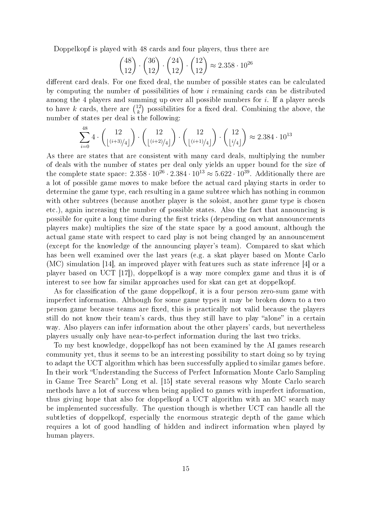Doppelkopf is played with 48 cards and four players, thus there are

$$
\binom{48}{12} \cdot \binom{36}{12} \cdot \binom{24}{12} \cdot \binom{12}{12} \approx 2.358 \cdot 10^{26}
$$

different card deals. For one fixed deal, the number of possible states can be calculated by computing the number of possibilities of how i remaining cards can be distributed among the 4 players and summing up over all possible numbers for *i*. If a player needs to have k cards, there are  $\binom{12}{k}$  $\binom{12}{k}$  possibilities for a fixed deal. Combining the above, the number of states per deal is the following:

$$
\sum_{i=0}^{48} 4 \cdot \binom{12}{\lfloor (i+3)/4 \rfloor} \cdot \binom{12}{\lfloor (i+2)/4 \rfloor} \cdot \binom{12}{\lfloor (i+1)/4 \rfloor} \cdot \binom{12}{\lfloor i/4 \rfloor} \approx 2.384 \cdot 10^{13}
$$

As there are states that are consistent with many card deals, multiplying the number of deals with the number of states per deal only yields an upper bound for the size of the complete state space:  $2.358 \cdot 10^{26} \cdot 2.384 \cdot 10^{13} \approx 5.622 \cdot 10^{39}$ . Additionally there are a lot of possible game moves to make before the actual card playing starts in order to determine the game type, each resulting in a game subtree which has nothing in common with other subtrees (because another player is the soloist, another game type is chosen etc.), again increasing the number of possible states. Also the fact that announcing is possible for quite a long time during the first tricks (depending on what announcements players make) multiplies the size of the state space by a good amount, although the actual game state with respect to card play is not being changed by an announcement (except for the knowledge of the announcing player's team). Compared to skat which has been well examined over the last years (e.g. a skat player based on Monte Carlo (MC) simulation [14], an improved player with features such as state inference [4] or a player based on UCT [17]), doppelkopf is a way more complex game and thus it is of interest to see how far similar approaches used for skat can get at doppelkopf.

As for classification of the game doppelkopf, it is a four person zero-sum game with imperfect information. Although for some game types it may be broken down to a two person game because teams are fixed, this is practically not valid because the players still do not know their team's cards, thus they still have to play "alone" in a certain way. Also players can infer information about the other players' cards, but nevertheless players usually only have near-to-perfect information during the last two tricks.

To my best knowledge, doppelkopf has not been examined by the AI games research community yet, thus it seems to be an interesting possibility to start doing so by trying to adapt the UCT algorithm which has been successfully applied to similar games before. In their work "Understanding the Success of Perfect Information Monte Carlo Sampling in Game Tree Search" Long et al. [15] state several reasons why Monte Carlo search methods have a lot of success when being applied to games with imperfect information, thus giving hope that also for doppelkopf a UCT algorithm with an MC search may be implemented successfully. The question though is whether UCT can handle all the subtleties of doppelkopf, especially the enormous strategic depth of the game which requires a lot of good handling of hidden and indirect information when played by human players.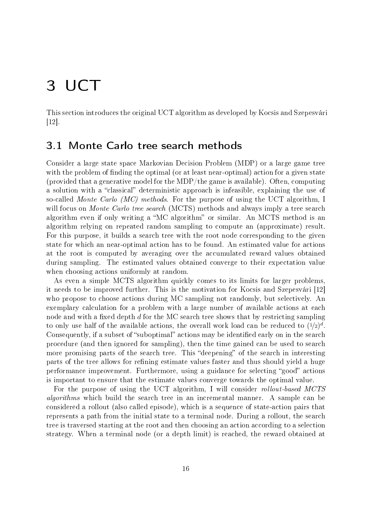# 3 UCT

This section introduces the original UCT algorithm as developed by Kocsis and Szepesvári [12].

#### 3.1 Monte Carlo tree search methods

Consider a large state space Markovian Decision Problem (MDP) or a large game tree with the problem of finding the optimal (or at least near-optimal) action for a given state (provided that a generative model for the MDP/the game is available). Often, computing a solution with a "classical" deterministic approach is infeasible, explaining the use of so-called Monte Carlo (MC) methods. For the purpose of using the UCT algorithm, I will focus on *Monte Carlo tree search* (MCTS) methods and always imply a tree search algorithm even if only writing a "MC algorithm" or similar. An MCTS method is an algorithm relying on repeated random sampling to compute an (approximate) result. For this purpose, it builds a search tree with the root node corresponding to the given state for which an near-optimal action has to be found. An estimated value for actions at the root is computed by averaging over the accumulated reward values obtained during sampling. The estimated values obtained converge to their expectation value when choosing actions uniformly at random.

As even a simple MCTS algorithm quickly comes to its limits for larger problems, it needs to be improved further. This is the motivation for Kocsis and Szepesvári [12] who propose to choose actions during MC sampling not randomly, but selectively. An exemplary calculation for a problem with a large number of available actions at each node and with a fixed depth  $d$  for the MC search tree shows that by restricting sampling to only use half of the available actions, the overall work load can be reduced to  $(1/2)^d$ . Consequently, if a subset of "suboptimal" actions may be identified early on in the search procedure (and then ignored for sampling), then the time gained can be used to search more promising parts of the search tree. This "deepening" of the search in interesting parts of the tree allows for refining estimate values faster and thus should yield a huge performance improvement. Furthermore, using a guidance for selecting "good" actions is important to ensure that the estimate values converge towards the optimal value.

For the purpose of using the UCT algorithm, I will consider *rollout-based MCTS* algorithms which build the search tree in an incremental manner. A sample can be considered a rollout (also called episode), which is a sequence of state-action pairs that represents a path from the initial state to a terminal node. During a rollout, the search tree is traversed starting at the root and then choosing an action according to a selection strategy. When a terminal node (or a depth limit) is reached, the reward obtained at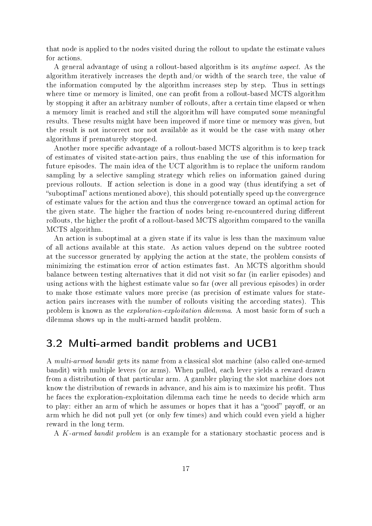that node is applied to the nodes visited during the rollout to update the estimate values for actions.

A general advantage of using a rollout-based algorithm is its anytime aspect. As the algorithm iteratively increases the depth and/or width of the search tree, the value of the information computed by the algorithm increases step by step. Thus in settings where time or memory is limited, one can profit from a rollout-based MCTS algorithm by stopping it after an arbitrary number of rollouts, after a certain time elapsed or when a memory limit is reached and still the algorithm will have computed some meaningful results. These results might have been improved if more time or memory was given, but the result is not incorrect nor not available as it would be the case with many other algorithms if prematurely stopped.

Another more specific advantage of a rollout-based MCTS algorithm is to keep track of estimates of visited state-action pairs, thus enabling the use of this information for future episodes. The main idea of the UCT algorithm is to replace the uniform random sampling by a selective sampling strategy which relies on information gained during previous rollouts. If action selection is done in a good way (thus identifying a set of "suboptimal" actions mentioned above), this should potentially speed up the convergence of estimate values for the action and thus the convergence toward an optimal action for the given state. The higher the fraction of nodes being re-encountered during different rollouts, the higher the profit of a rollout-based MCTS algorithm compared to the vanilla MCTS algorithm.

An action is suboptimal at a given state if its value is less than the maximum value of all actions available at this state. As action values depend on the subtree rooted at the successor generated by applying the action at the state, the problem consists of minimizing the estimation error of action estimates fast. An MCTS algorithm should balance between testing alternatives that it did not visit so far (in earlier episodes) and using actions with the highest estimate value so far (over all previous episodes) in order to make those estimate values more precise (as precision of estimate values for stateaction pairs increases with the number of rollouts visiting the according states). This problem is known as the exploration-exploitation dilemma. A most basic form of such a dilemma shows up in the multi-armed bandit problem.

#### 3.2 Multi-armed bandit problems and UCB1

A multi-armed bandit gets its name from a classical slot machine (also called one-armed bandit) with multiple levers (or arms). When pulled, each lever yields a reward drawn from a distribution of that particular arm. A gambler playing the slot machine does not know the distribution of rewards in advance, and his aim is to maximize his profit. Thus he faces the exploration-exploitation dilemma each time he needs to decide which arm to play: either an arm of which he assumes or hopes that it has a "good" payoff, or an arm which he did not pull yet (or only few times) and which could even yield a higher reward in the long term.

A K-armed bandit problem is an example for a stationary stochastic process and is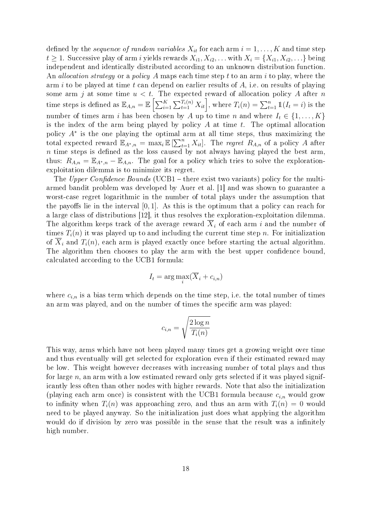defined by the sequence of random variables  $X_{it}$  for each arm  $i = 1, \ldots, K$  and time step  $t \geq 1$ . Successive play of arm i yields rewards  $X_{i1}, X_{i2}, \ldots$  with  $X_i = \{X_{i1}, X_{i2}, \ldots\}$  being independent and identically distributed according to an unknown distribution function. An *allocation strategy* or a *policy* A maps each time step t to an arm i to play, where the arm i to be played at time t can depend on earlier results of  $A$ , i.e. on results of playing some arm j at some time  $u < t$ . The expected reward of allocation policy A after n time steps is defined as  $\mathbb{E}_{A,n} = \mathbb{E}\left[\sum_{i=1}^K\sum_{t=1}^{T_i(n)}X_{it}\right]$ , where  $T_i(n) = \sum_{t=1}^n \mathbb{1}(I_t = i)$  is the number of times arm i has been chosen by A up to time n and where  $I_t \in \{1, ..., K\}$ is the index of the arm being played by policy  $A$  at time  $t$ . The optimal allocation policy A<sup>∗</sup> is the one playing the optimal arm at all time steps, thus maximizing the total expected reward  $\mathbb{E}_{A^*,n} = \max_i \mathbb{E} \left[\sum_{t=1}^n X_{it}\right]$ . The *regret*  $R_{A,n}$  of a policy A after  $n$  time steps is defined as the loss caused by not always having played the best arm, thus:  $R_{A,n} = \mathbb{E}_{A^*,n} - \mathbb{E}_{A,n}$ . The goal for a policy which tries to solve the explorationexploitation dilemma is to minimize its regret.

The Upper Confidence Bounds (UCB1  $-$  there exist two variants) policy for the multiarmed bandit problem was developed by Auer et al. [1] and was shown to guarantee a worst-case regret logarithmic in the number of total plays under the assumption that the payoffs lie in the interval  $[0, 1]$ . As this is the optimum that a policy can reach for a large class of distributions [12], it thus resolves the exploration-exploitation dilemma. The algorithm keeps track of the average reward  $\overline{X}_i$  of each arm i and the number of times  $T_i(n)$  it was played up to and including the current time step n. For initialization of  $\overline{X}_i$  and  $T_i(n)$ , each arm is played exactly once before starting the actual algorithm. The algorithm then chooses to play the arm with the best upper confidence bound. calculated according to the UCB1 formula:

$$
I_t = \arg\max_i (\overline{X}_i + c_{i,n})
$$

where  $c_{i,n}$  is a bias term which depends on the time step, i.e. the total number of times an arm was played, and on the number of times the specific arm was played:

$$
c_{i,n} = \sqrt{\frac{2\log n}{T_i(n)}}
$$

This way, arms which have not been played many times get a growing weight over time and thus eventually will get selected for exploration even if their estimated reward may be low. This weight however decreases with increasing number of total plays and thus for large  $n$ , an arm with a low estimated reward only gets selected if it was played significantly less often than other nodes with higher rewards. Note that also the initialization (playing each arm once) is consistent with the UCB1 formula because  $c_{i,n}$  would grow to infinity when  $T_i(n)$  was approaching zero, and thus an arm with  $T_i(n) = 0$  would need to be played anyway. So the initialization just does what applying the algorithm would do if division by zero was possible in the sense that the result was a infinitely high number.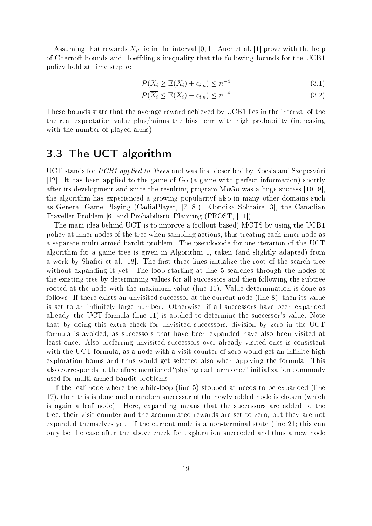Assuming that rewards  $X_{it}$  lie in the interval [0, 1], Auer et al. [1] prove with the help of Chernoff bounds and Hoeffding's inequality that the following bounds for the UCB1 policy hold at time step n:

$$
\mathcal{P}(\overline{X_i} \ge \mathbb{E}(X_i) + c_{i,n}) \le n^{-4} \tag{3.1}
$$

$$
\mathcal{P}(\overline{X_i} \le \mathbb{E}(X_i) - c_{i,n}) \le n^{-4} \tag{3.2}
$$

These bounds state that the average reward achieved by UCB1 lies in the interval of the the real expectation value plus/minus the bias term with high probability (increasing with the number of played arms).

#### 3.3 The UCT algorithm

UCT stands for UCB1 applied to Trees and was first described by Kocsis and Szepesvári [12]. It has been applied to the game of Go (a game with perfect information) shortly after its development and since the resulting program MoGo was a huge success [10, 9], the algorithm has experienced a growing popularityf also in many other domains such as General Game Playing (CadiaPlayer, [7, 8]), Klondike Solitaire [3], the Canadian Traveller Problem [6] and Probabilistic Planning (PROST, [11]).

The main idea behind UCT is to improve a (rollout-based) MCTS by using the UCB1 policy at inner nodes of the tree when sampling actions, thus treating each inner node as a separate multi-armed bandit problem. The pseudocode for one iteration of the UCT algorithm for a game tree is given in Algorithm 1, taken (and slightly adapted) from a work by Shafiei et al. [18]. The first three lines initialize the root of the search tree without expanding it yet. The loop starting at line 5 searches through the nodes of the existing tree by determining values for all successors and then following the subtree rooted at the node with the maximum value (line 15). Value determination is done as follows: If there exists an unvisited successor at the current node (line 8), then its value is set to an infinitely large number. Otherwise, if all successors have been expanded already, the UCT formula (line 11) is applied to determine the successor's value. Note that by doing this extra check for unvisited successors, division by zero in the UCT formula is avoided, as successors that have been expanded have also been visited at least once. Also preferring unvisited successors over already visited ones is consistent with the UCT formula, as a node with a visit counter of zero would get an infinite high exploration bonus and thus would get selected also when applying the formula. This also corresponds to the afore mentioned "playing each arm once" initialization commonly used for multi-armed bandit problems.

If the leaf node where the while-loop (line 5) stopped at needs to be expanded (line 17), then this is done and a random successor of the newly added node is chosen (which is again a leaf node). Here, expanding means that the successors are added to the tree, their visit counter and the accumulated rewards are set to zero, but they are not expanded themselves yet. If the current node is a non-terminal state (line 21; this can only be the case after the above check for exploration succeeded and thus a new node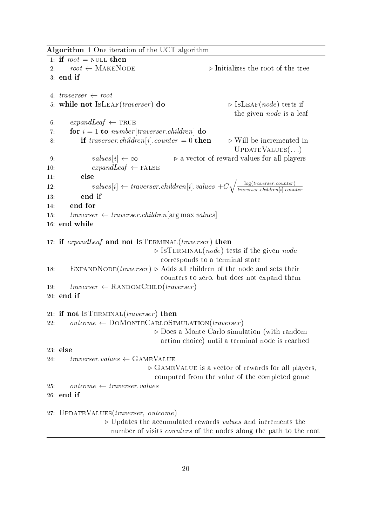Algorithm 1 One iteration of the UCT algorithm

```
1: if root = NULL then
 2: root \leftarrow \text{MAKENODE} \triangleright Initializes the root of the tree
3: end if
4: traverser \leftarrow root5: while not ISLEAF(traverser) do \triangleright ISLEAF(node) tests if
                                                               the given node is a leaf
6: expandLeaf \leftarrow TRUE7: for i = 1 to number [traverser.children] do
8: if traverser.children[i].counter = 0 then \triangleright Will be incremented in
                                                               UPDATEVALUES(...)
9: values[i] \leftarrow \infty \triangleright a vector of reward values for all players
10: expandLeaf \leftarrow FALSE11: else
12: values [i] \leftarrow \text{traverser.}\text{children}[i].\text{values } +C \sqrt{\frac{1}{i}}\frac{1}{\sqrt{2\pi}}\log(trawerser.counter)traverser .children[i].counter
13: end if
14: end for
15: traverser \leftarrow traverser \text{. children} [arg max \text{ values}]16: end while
17: if expandLeaf and not ISTERMINAL(traverser) then
                                    \triangleright ISTERMINAL(node) tests if the given node
                                      corresponds to a terminal state
18: EXPANDNODE(traverser) \triangleright Adds all children of the node and sets their
                                      counters to zero, but does not expand them
19: traverser \leftarrow RANDOMCHILD(traverser)
20: end if
21: if not ISTERMINAL(traverser) then
22: outcome \leftarrow DOMONTECARLOSIMULATION(traverser)
                                    \triangleright Does a Monte Carlo simulation (with random
                                      action choice) until a terminal node is reached
23: else
24: traverser.values \leftarrow \text{GAMEVALUE}\triangleright GAMEVALUE is a vector of rewards for all players,
                                    computed from the value of the completed game
25: outcome \leftarrow traverser.values
26: end if
27: UpdateValues(traverser, outcome)
                   \triangleright Updates the accumulated rewards values and increments the
                     number of visits counters of the nodes along the path to the root
```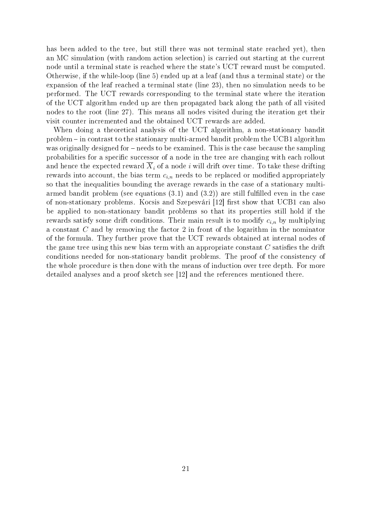has been added to the tree, but still there was not terminal state reached yet), then an MC simulation (with random action selection) is carried out starting at the current node until a terminal state is reached where the state's UCT reward must be computed. Otherwise, if the while-loop (line 5) ended up at a leaf (and thus a terminal state) or the expansion of the leaf reached a terminal state (line 23), then no simulation needs to be performed. The UCT rewards corresponding to the terminal state where the iteration of the UCT algorithm ended up are then propagated back along the path of all visited nodes to the root (line 27). This means all nodes visited during the iteration get their visit counter incremented and the obtained UCT rewards are added.

When doing a theoretical analysis of the UCT algorithm, a non-stationary bandit problem in contrast to the stationary multi-armed bandit problem the UCB1 algorithm was originally designed for  $-$  needs to be examined. This is the case because the sampling probabilities for a specific successor of a node in the tree are changing with each rollout and hence the expected reward  $X_i$  of a node i will drift over time. To take these drifting rewards into account, the bias term  $c_{i,n}$  needs to be replaced or modified appropriately so that the inequalities bounding the average rewards in the case of a stationary multiarmed bandit problem (see equations  $(3.1)$  and  $(3.2)$ ) are still fulfilled even in the case of non-stationary problems. Kocsis and Szepesvári [12] first show that UCB1 can also be applied to non-stationary bandit problems so that its properties still hold if the rewards satisfy some drift conditions. Their main result is to modify  $c_{i,n}$  by multiplying a constant C and by removing the factor 2 in front of the logarithm in the nominator of the formula. They further prove that the UCT rewards obtained at internal nodes of the game tree using this new bias term with an appropriate constant  $C$  satisfies the drift conditions needed for non-stationary bandit problems. The proof of the consistency of the whole procedure is then done with the means of induction over tree depth. For more detailed analyses and a proof sketch see [12] and the references mentioned there.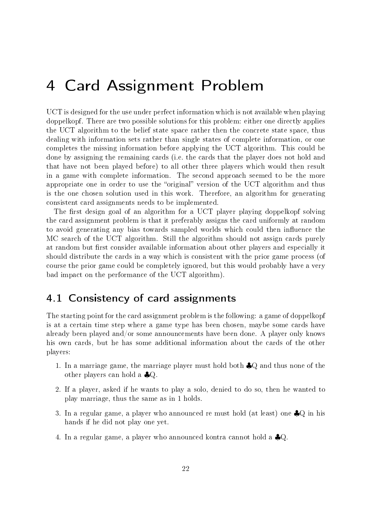# 4 Card Assignment Problem

UCT is designed for the use under perfect information which is not available when playing doppelkopf. There are two possible solutions for this problem: either one directly applies the UCT algorithm to the belief state space rather then the concrete state space, thus dealing with information sets rather than single states of complete information, or one completes the missing information before applying the UCT algorithm. This could be done by assigning the remaining cards (i.e. the cards that the player does not hold and that have not been played before) to all other three players which would then result in a game with complete information. The second approach seemed to be the more appropriate one in order to use the "original" version of the UCT algorithm and thus is the one chosen solution used in this work. Therefore, an algorithm for generating consistent card assignments needs to be implemented.

The first design goal of an algorithm for a UCT player playing doppelkopf solving the card assignment problem is that it preferably assigns the card uniformly at random to avoid generating any bias towards sampled worlds which could then influence the MC search of the UCT algorithm. Still the algorithm should not assign cards purely at random but first consider available information about other players and especially it should distribute the cards in a way which is consistent with the prior game process (of course the prior game could be completely ignored, but this would probably have a very bad impact on the performance of the UCT algorithm).

## 4.1 Consistency of card assignments

The starting point for the card assignment problem is the following: a game of doppelkopf is at a certain time step where a game type has been chosen, maybe some cards have already been played and/or some announcements have been done. A player only knows his own cards, but he has some additional information about the cards of the other players:

- 1. In a marriage game, the marriage player must hold both  $\clubsuit Q$  and thus none of the other players can hold a ♣Q.
- 2. If a player, asked if he wants to play a solo, denied to do so, then he wanted to play marriage, thus the same as in 1 holds.
- 3. In a regular game, a player who announced re must hold (at least) one ♣Q in his hands if he did not play one yet.
- 4. In a regular game, a player who announced kontra cannot hold a ♣Q.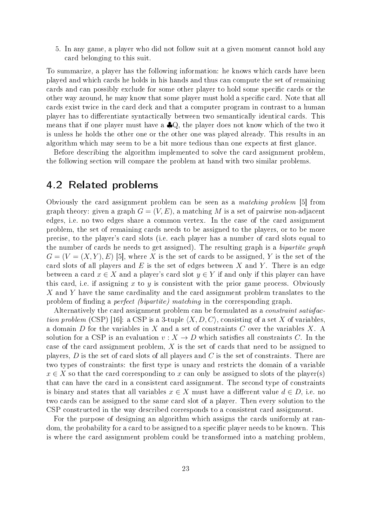5. In any game, a player who did not follow suit at a given moment cannot hold any card belonging to this suit.

To summarize, a player has the following information: he knows which cards have been played and which cards he holds in his hands and thus can compute the set of remaining cards and can possibly exclude for some other player to hold some specific cards or the other way around, he may know that some player must hold a specific card. Note that all cards exist twice in the card deck and that a computer program in contrast to a human player has to differentiate syntactically between two semantically identical cards. This means that if one player must have a  $\clubsuit Q$ , the player does not know which of the two it is unless he holds the other one or the other one was played already. This results in an algorithm which may seem to be a bit more tedious than one expects at first glance.

Before describing the algorithm implemented to solve the card assignment problem, the following section will compare the problem at hand with two similar problems.

#### 4.2 Related problems

Obviously the card assignment problem can be seen as a matching problem [5] from graph theory: given a graph  $G = (V, E)$ , a matching M is a set of pairwise non-adjacent edges, i.e. no two edges share a common vertex. In the case of the card assignment problem, the set of remaining cards needs to be assigned to the players, or to be more precise, to the player's card slots (i.e. each player has a number of card slots equal to the number of cards he needs to get assigned). The resulting graph is a bipartite graph  $G = (V = (X, Y), E)$  [5], where X is the set of cards to be assigned, Y is the set of the card slots of all players and  $E$  is the set of edges between  $X$  and  $Y$ . There is an edge between a card  $x \in X$  and a player's card slot  $y \in Y$  if and only if this player can have this card, i.e. if assigning x to y is consistent with the prior game process. Obviously X and Y have the same cardinality and the card assignment problem translates to the problem of finding a *perfect (bipartite)* matching in the corresponding graph.

Alternatively the card assignment problem can be formulated as a constraint satisfaction problem (CSP) [16]: a CSP is a 3-tuple  $\langle X, D, C \rangle$ , consisting of a set X of variables. a domain D for the variables in X and a set of constraints C over the variables X. A solution for a CSP is an evaluation  $v: X \to D$  which satisfies all constraints C. In the case of the card assignment problem, X is the set of cards that need to be assigned to players,  $D$  is the set of card slots of all players and  $C$  is the set of constraints. There are two types of constraints: the first type is unary and restricts the domain of a variable  $x \in X$  so that the card corresponding to x can only be assigned to slots of the player(s) that can have the card in a consistent card assignment. The second type of constraints is binary and states that all variables  $x \in X$  must have a different value  $d \in D$ , i.e. no two cards can be assigned to the same card slot of a player. Then every solution to the CSP constructed in the way described corresponds to a consistent card assignment.

For the purpose of designing an algorithm which assigns the cards uniformly at random, the probability for a card to be assigned to a specific player needs to be known. This is where the card assignment problem could be transformed into a matching problem,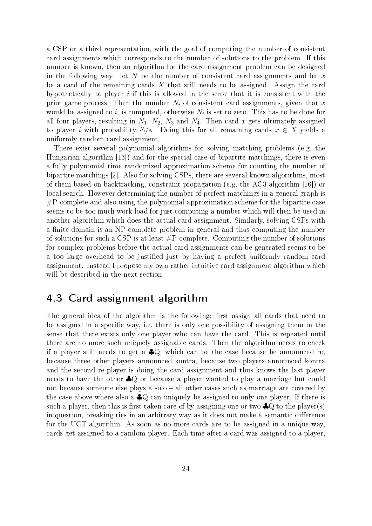a CSP or a third representation, with the goal of computing the number of consistent card assignments which corresponds to the number of solutions to the problem. If this number is known, then an algorithm for the card assignment problem can be designed in the following way: let N be the number of consistent card assignments and let  $x$ be a card of the remaining cards  $X$  that still needs to be assigned. Assign the card hypothetically to player  $i$  if this is allowed in the sense that it is consistent with the prior game process. Then the number  $N_i$  of consistent card assignments, given that x would be assigned to  $i$ , is computed, otherwise  $N_i$  is set to zero. This has to be done for all four players, resulting in  $N_1$ ,  $N_2$ ,  $N_3$  and  $N_4$ . Then card x gets ultimately assigned to player i with probability  $N_i/N$ . Doing this for all remaining cards  $x \in X$  yields a uniformly random card assignment.

There exist several polynomial algorithms for solving matching problems (e.g. the Hungarian algorithm [13]) and for the special case of bipartite matchings, there is even a fully polynomial time randomized approximation scheme for counting the number of bipartite matchings [2]. Also for solving CSPs, there are several known algorithms, most of them based on backtracking, constraint propagation (e.g. the AC3-algorithm [16]) or local search. However determining the number of perfect matchings in a general graph is #P-complete and also using the polynomial approximation scheme for the bipartite case seems to be too much work load for just computing a number which will then be used in another algorithm which does the actual card assignment. Similarly, solving CSPs with a finite domain is an NP-complete problem in general and thus computing the number of solutions for such a CSP is at least  $\#P$ -complete. Computing the number of solutions for complex problems before the actual card assignments can be generated seems to be a too large overhead to be justified just by having a perfect uniformly random card assignment. Instead I propose my own rather intuitive card assignment algorithm which will be described in the next section.

## 4.3 Card assignment algorithm

The general idea of the algorithm is the following: first assign all cards that need to be assigned in a specific way, i.e. there is only one possibility of assigning them in the sense that there exists only one player who can have the card. This is repeated until there are no more such uniquely assignable cards. Then the algorithm needs to check if a player still needs to get a  $\clubsuit Q$ , which can be the case because he announced re, because three other players announced kontra, because two players announced kontra and the second re-player is doing the card assignment and thus knows the last player needs to have the other ♣Q or because a player wanted to play a marriage but could not because someone else plays a solo  $-$  all other cases such as marriage are covered by the case above where also a ♣Q can uniquely be assigned to only one player. If there is such a player, then this is first taken care of by assigning one or two  $\clubsuit Q$  to the player(s) in question, breaking ties in an arbitrary way as it does not make a semantic difference for the UCT algorithm. As soon as no more cards are to be assigned in a unique way, cards get assigned to a random player. Each time after a card was assigned to a player,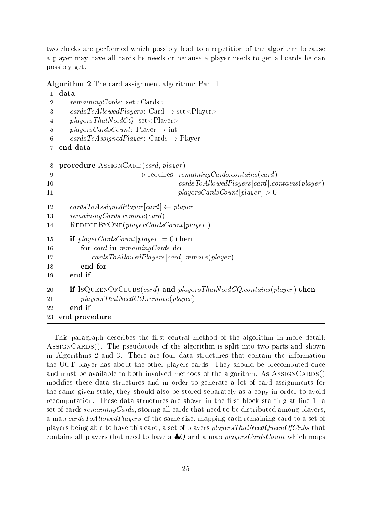two checks are performed which possibly lead to a repetition of the algorithm because a player may have all cards he needs or because a player needs to get all cards he can possibly get.

| <b>Algorithm 2</b> The card assignment algorithm: Part 1                          |
|-----------------------------------------------------------------------------------|
| $1$ : data                                                                        |
| $remaining Cards: set <$ Cards<br>2:                                              |
| cardsToAllowedPlayers: Card $\rightarrow$ set <player><br/>3<sub>1</sub></player> |
| $plays rsl100000000000$ $\;$ set <player><br/>4.</player>                         |
| $plays Count: Player \rightarrow int$<br>5.                                       |
| cards ToAssignedPlayer: Cards $\rightarrow$ Player<br>6.                          |
| 7 end data                                                                        |
| 8: procedure ASSIGNCARD(card, player)                                             |
| $\triangleright$ requires: remaining Cards. contains (card)<br>9:                 |
| $cards ToAllowedPlayers[card].contains(player)$<br>10:                            |
| plays Count[player] > 0<br>11:                                                    |
| $cardsToAssignedPlayer[card] \leftarrow player$<br>12 <sup>12</sup>               |
| remaining Cards. remove(card)<br>13.                                              |
| $REDUCEBYONE(player CardsCount[player])$<br>14:                                   |
| if $player CardsCount[player] = 0$ then<br>15:                                    |
| for card in remaining Cards do<br>16:                                             |
| $cards To AllowedPlayers[card].remove(player)$<br>17:                             |
| end for<br>18:                                                                    |
| end if<br>19.                                                                     |
| if IsQUEENOFCLUBS(card) and playersThatNeedCQ.contains(player) then<br>20:        |
| plays TRatNeedCQ. remove(player)<br>21:                                           |
| end if<br>22:                                                                     |
| 23 end procedure                                                                  |

This paragraph describes the first central method of the algorithm in more detail: ASSIGNCARDS(). The pseudocode of the algorithm is split into two parts and shown in Algorithms 2 and 3. There are four data structures that contain the information the UCT player has about the other players cards. They should be precomputed once and must be available to both involved methods of the algorithm. As  $\text{ASSIGNCARDS}()$ modifies these data structures and in order to generate a lot of card assignments for the same given state, they should also be stored separately as a copy in order to avoid recomputation. These data structures are shown in the first block starting at line 1: a set of cards *remainingCards*, storing all cards that need to be distributed among players, a map cardsToAllowedPlayers of the same size, mapping each remaining card to a set of players being able to have this card, a set of players playersThatNeedQueenOfClubs that contains all players that need to have a  $\clubsuit Q$  and a map players Cards Count which maps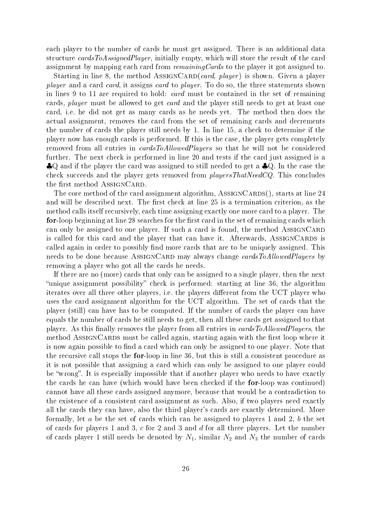each player to the number of cards he must get assigned. There is an additional data structure cardsToAssignedPlayer, initially empty, which will store the result of the card assignment by mapping each card from remainingCards to the player it got assigned to.

Starting in line 8, the method AssiGNCARD(card, player) is shown. Given a player player and a card card, it assigns card to player. To do so, the three statements shown in lines 9 to 11 are required to hold: card must be contained in the set of remaining cards, *player* must be allowed to get *card* and the player still needs to get at least one card, i.e. he did not get as many cards as he needs yet. The method then does the actual assignment, removes the card from the set of remaining cards and decrements the number of cards the player still needs by 1. In line 15, a check to determine if the player now has enough cards is performed. If this is the case, the player gets completely removed from all entries in cardsToAllowedPlayers so that he will not be considered further. The next check is performed in line 20 and tests if the card just assigned is a ♣Q and if the player the card was assigned to still needed to get a ♣Q. In the case the check succeeds and the player gets removed from  $playersThatNeedCQ$ . This concludes the first method ASSIGNCARD.

The core method of the card assignment algorithm,  $\text{ASSIGNCARDS}$ ), starts at line 24 and will be described next. The first check at line 25 is a termination criterion, as the method calls itself recursively, each time assigning exactly one more card to a player. The for-loop beginning at line 28 searches for the first card in the set of remaining cards which can only be assigned to one player. If such a card is found, the method  $\triangle SSIGNCARD$ is called for this card and the player that can have it. Afterwards, ASSIGNCARDS is called again in order to possibly find more cards that are to be uniquely assigned. This needs to be done because ASSIGNCARD may always change cardsToAllowedPlayers by removing a player who got all the cards he needs.

If there are no (more) cards that only can be assigned to a single player, then the next "unique assignment possibility" check is performed: starting at line 36, the algorithm iterates over all three other players, i.e. the players different from the UCT player who uses the card assignment algorithm for the UCT algorithm. The set of cards that the player (still) can have has to be computed. If the number of cards the player can have equals the number of cards he still needs to get, then all these cards get assigned to that player. As this finally removes the player from all entries in *cardsToAllowedPlayers*, the method AssignCards must be called again, starting again with the first loop where it is now again possible to find a card which can only be assigned to one player. Note that the recursive call stops the for-loop in line 36, but this is still a consistent procedure as it is not possible that assigning a card which can only be assigned to one player could be "wrong". It is especially impossible that if another player who needs to have exactly the cards he can have (which would have been checked if the for-loop was continued) cannot have all these cards assigned anymore, because that would be a contradiction to the existence of a consistent card assignment as such. Also, if two players need exactly all the cards they can have, also the third player's cards are exactly determined. More formally, let  $a$  be the set of cards which can be assigned to players 1 and 2,  $b$  the set of cards for players 1 and 3, c for 2 and 3 and d for all three players. Let the number of cards player 1 still needs be denoted by  $N_1$ , similar  $N_2$  and  $N_3$  the number of cards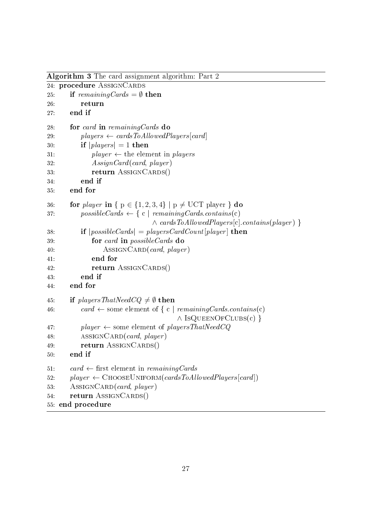```
Algorithm 3 The card assignment algorithm: Part 2
24: procedure ASSIGNCARDS
25: if remainingCards = \emptyset then
26: return
27: end if
28: for card in remainingCards do
29: plays \leftarrow cardsToAllowedPlayers[card]30: if |plays| = 1 then
31: player \leftarrow \text{the element in } players32: AssignCard(card, player)
33: return AssignCards()
34: end if
35: end for
36: for player in \{p \in \{1, 2, 3, 4\} \mid p \neq UCT player \} do
37: possibleCards ← { c | remainingCards.contains(c)
                             \land cardsToAllowedPlayers[c].contains(player) }
38: if |possibleCards| = playersCardCount[player] then
39: for card in possibleCards do
40: ASSIGNCARD(card, player)
41: end for
42: return AssignCards()
43: end if
44: end for
45: if playersThatNeedCQ \neq \emptyset then
46: card ← some element of { c | remainingCards.contains(c)
                                   \wedge IsQuEENOFCLUBS(c)}
47: player \leftarrow some element of playersThatNeedCQ
48: ASSIGNCARD(card, player)
49: return AssignCards()
50: end if
51: card \leftarrow first element in remaining Cards
52: player \leftarrow CHOOSEUNIFORM(cardsToAllowedPlayers[card])
53: ASSIGNCARD(card, player)54: return AssiGNCARDS()
55: end procedure
```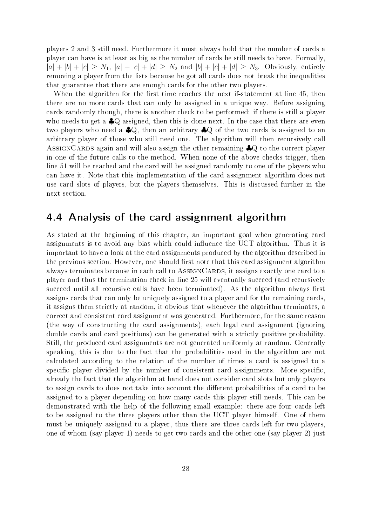players 2 and 3 still need. Furthermore it must always hold that the number of cards a player can have is at least as big as the number of cards he still needs to have. Formally,  $|a| + |b| + |c| \ge N_1$ ,  $|a| + |c| + |d| \ge N_2$  and  $|b| + |c| + |d| \ge N_3$ . Obviously, entirely removing a player from the lists because he got all cards does not break the inequalities that guarantee that there are enough cards for the other two players.

When the algorithm for the first time reaches the next if-statement at line 45, then there are no more cards that can only be assigned in a unique way. Before assigning cards randomly though, there is another check to be performed: if there is still a player who needs to get a  $\clubsuit Q$  assigned, then this is done next. In the case that there are even two players who need a ♣Q, then an arbitrary ♣Q of the two cards is assigned to an arbitrary player of those who still need one. The algorithm will then recursively call ASSIGNCARDS again and will also assign the other remaining  $\clubsuit Q$  to the correct player in one of the future calls to the method. When none of the above checks trigger, then line 51 will be reached and the card will be assigned randomly to one of the players who can have it. Note that this implementation of the card assignment algorithm does not use card slots of players, but the players themselves. This is discussed further in the next section.

#### 4.4 Analysis of the card assignment algorithm

As stated at the beginning of this chapter, an important goal when generating card assignments is to avoid any bias which could influence the UCT algorithm. Thus it is important to have a look at the card assignments produced by the algorithm described in the previous section. However, one should first note that this card assignment algorithm always terminates because in each call to  $\triangle$ SSIGNCARDS, it assigns exactly one card to a player and thus the termination check in line 25 will eventually succeed (and recursively succeed until all recursive calls have been terminated). As the algorithm always first assigns cards that can only be uniquely assigned to a player and for the remaining cards, it assigns them strictly at random, it obvious that whenever the algorithm terminates, a correct and consistent card assignment was generated. Furthermore, for the same reason (the way of constructing the card assignments), each legal card assignment (ignoring double cards and card positions) can be generated with a strictly positive probability. Still, the produced card assignments are not generated uniformly at random. Generally speaking, this is due to the fact that the probabilities used in the algorithm are not calculated according to the relation of the number of times a card is assigned to a specific player divided by the number of consistent card assignments. More specific, already the fact that the algorithm at hand does not consider card slots but only players to assign cards to does not take into account the different probabilities of a card to be assigned to a player depending on how many cards this player still needs. This can be demonstrated with the help of the following small example: there are four cards left to be assigned to the three players other than the UCT player himself. One of them must be uniquely assigned to a player, thus there are three cards left for two players, one of whom (say player 1) needs to get two cards and the other one (say player 2) just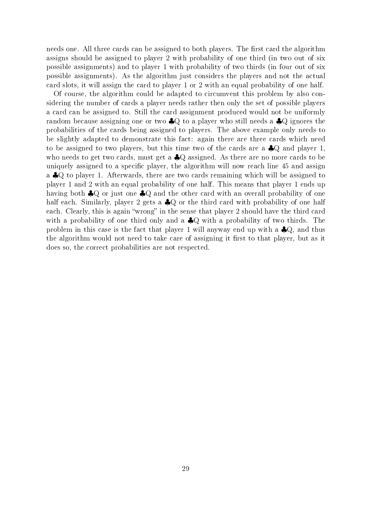needs one. All three cards can be assigned to both players. The first card the algorithm assigns should be assigned to player 2 with probability of one third (in two out of six possible assignments) and to player 1 with probability of two thirds (in four out of six possible assignments). As the algorithm just considers the players and not the actual card slots, it will assign the card to player 1 or 2 with an equal probability of one half.

Of course, the algorithm could be adapted to circumvent this problem by also considering the number of cards a player needs rather then only the set of possible players a card can be assigned to. Still the card assignment produced would not be uniformly random because assigning one or two ♣Q to a player who still needs a ♣Q ignores the probabilities of the cards being assigned to players. The above example only needs to be slightly adapted to demonstrate this fact: again there are three cards which need to be assigned to two players, but this time two of the cards are a  $\clubsuit Q$  and player 1, who needs to get two cards, must get a ♣Q assigned. As there are no more cards to be uniquely assigned to a specific player, the algorithm will now reach line 45 and assign a ♣Q to player 1. Afterwards, there are two cards remaining which will be assigned to player 1 and 2 with an equal probability of one half. This means that player 1 ends up having both ♣Q or just one ♣Q and the other card with an overall probability of one half each. Similarly, player 2 gets a  $\clubsuit Q$  or the third card with probability of one half each. Clearly, this is again "wrong" in the sense that player 2 should have the third card with a probability of one third only and a  $\clubsuit$ Q with a probability of two thirds. The problem in this case is the fact that player 1 will anyway end up with a ♣Q, and thus the algorithm would not need to take care of assigning it first to that player, but as it does so, the correct probabilities are not respected.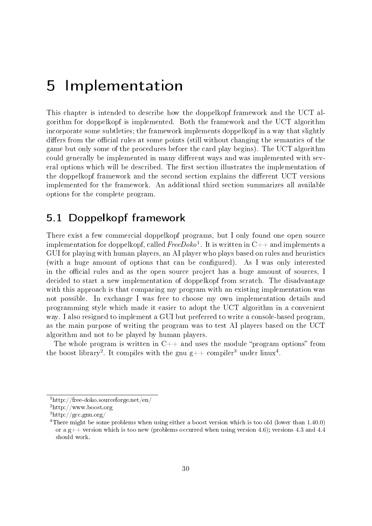## 5 Implementation

This chapter is intended to describe how the doppelkopf framework and the UCT algorithm for doppelkopf is implemented. Both the framework and the UCT algorithm incorporate some subtleties; the framework implements doppelkopf in a way that slightly differs from the official rules at some points (still without changing the semantics of the game but only some of the procedures before the card play begins). The UCT algorithm could generally be implemented in many different ways and was implemented with several options which will be described. The first section illustrates the implementation of the doppelkopf framework and the second section explains the different UCT versions implemented for the framework. An additional third section summarizes all available options for the complete program.

## 5.1 Doppelkopf framework

There exist a few commercial doppelkopf programs, but I only found one open source implementation for doppelkopf, called  $\bar{F}$ ree $Doko^1$ . It is written in  ${\rm C++}$  and implements a GUI for playing with human players, an AI player who plays based on rules and heuristics (with a huge amount of options that can be configured). As I was only interested in the official rules and as the open source project has a huge amount of sources, I decided to start a new implementation of doppelkopf from scratch. The disadvantage with this approach is that comparing my program with an existing implementation was not possible. In exchange I was free to choose my own implementation details and programming style which made it easier to adopt the UCT algorithm in a convenient way. I also resigned to implement a GUI but preferred to write a console-based program, as the main purpose of writing the program was to test AI players based on the UCT algorithm and not to be played by human players.

The whole program is written in  $C++$  and uses the module "program options" from the boost library<sup>2</sup>. It compiles with the gnu g++ compiler<sup>3</sup> under linux<sup>4</sup>.

<sup>1</sup>http://free-doko.sourceforge.net/en/

<sup>2</sup>http://www.boost.org

<sup>3</sup>http://gcc.gnu.org/

<sup>&</sup>lt;sup>4</sup>There might be some problems when using either a boost version which is too old (lower than 1.40.0) or a  $g++$  version which is too new (problems occurred when using version 4.6); versions 4.3 and 4.4 should work.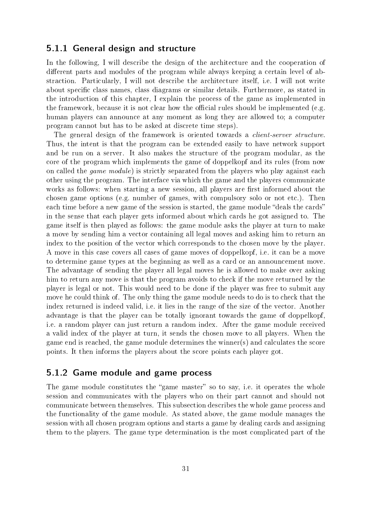#### 5.1.1 General design and structure

In the following, I will describe the design of the architecture and the cooperation of different parts and modules of the program while always keeping a certain level of abstraction. Particularly, I will not describe the architecture itself, i.e. I will not write about specific class names, class diagrams or similar details. Furthermore, as stated in the introduction of this chapter, I explain the process of the game as implemented in the framework, because it is not clear how the official rules should be implemented (e.g. human players can announce at any moment as long they are allowed to; a computer program cannot but has to be asked at discrete time steps).

The general design of the framework is oriented towards a *client-server structure*. Thus, the intent is that the program can be extended easily to have network support and be run on a server. It also makes the structure of the program modular, as the core of the program which implements the game of doppelkopf and its rules (from now on called the *game module*) is strictly separated from the players who play against each other using the program. The interface via which the game and the players communicate works as follows: when starting a new session, all players are first informed about the chosen game options (e.g. number of games, with compulsory solo or not etc.). Then each time before a new game of the session is started, the game module "deals the cards" in the sense that each player gets informed about which cards he got assigned to. The game itself is then played as follows: the game module asks the player at turn to make a move by sending him a vector containing all legal moves and asking him to return an index to the position of the vector which corresponds to the chosen move by the player. A move in this case covers all cases of game moves of doppelkopf, i.e. it can be a move to determine game types at the beginning as well as a card or an announcement move. The advantage of sending the player all legal moves he is allowed to make over asking him to return any move is that the program avoids to check if the move returned by the player is legal or not. This would need to be done if the player was free to submit any move he could think of. The only thing the game module needs to do is to check that the index returned is indeed valid, i.e. it lies in the range of the size of the vector. Another advantage is that the player can be totally ignorant towards the game of doppelkopf, i.e. a random player can just return a random index. After the game module received a valid index of the player at turn, it sends the chosen move to all players. When the game end is reached, the game module determines the winner(s) and calculates the score points. It then informs the players about the score points each player got.

#### 5.1.2 Game module and game process

The game module constitutes the "game master" so to say, i.e. it operates the whole session and communicates with the players who on their part cannot and should not communicate between themselves. This subsection describes the whole game process and the functionality of the game module. As stated above, the game module manages the session with all chosen program options and starts a game by dealing cards and assigning them to the players. The game type determination is the most complicated part of the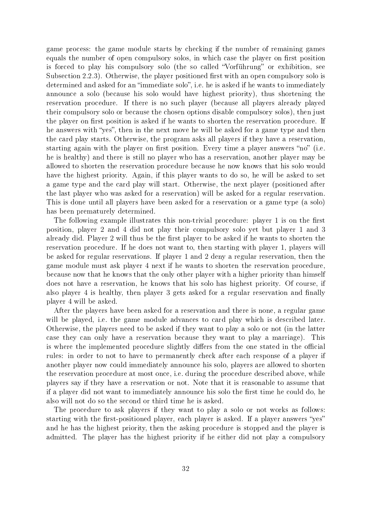game process: the game module starts by checking if the number of remaining games equals the number of open compulsory solos, in which case the player on first position is forced to play his compulsory solo (the so called "Vorführung" or exhibition, see Subsection  $2.2.3$ ). Otherwise, the player positioned first with an open compulsory solo is determined and asked for an "immediate solo", i.e. he is asked if he wants to immediately announce a solo (because his solo would have highest priority), thus shortening the reservation procedure. If there is no such player (because all players already played their compulsory solo or because the chosen options disable compulsory solos), then just the player on first position is asked if he wants to shorten the reservation procedure. If he answers with "yes", then in the next move he will be asked for a game type and then the card play starts. Otherwise, the program asks all players if they have a reservation, starting again with the player on first position. Every time a player answers "no" (i.e. he is healthy) and there is still no player who has a reservation, another player may be allowed to shorten the reservation procedure because he now knows that his solo would have the highest priority. Again, if this player wants to do so, he will be asked to set a game type and the card play will start. Otherwise, the next player (positioned after the last player who was asked for a reservation) will be asked for a regular reservation. This is done until all players have been asked for a reservation or a game type (a solo) has been prematurely determined.

The following example illustrates this non-trivial procedure: player 1 is on the first position, player 2 and 4 did not play their compulsory solo yet but player 1 and 3 already did. Player 2 will thus be the first player to be asked if he wants to shorten the reservation procedure. If he does not want to, then starting with player 1, players will be asked for regular reservations. If player 1 and 2 deny a regular reservation, then the game module must ask player 4 next if he wants to shorten the reservation procedure, because now that he knows that the only other player with a higher priority than himself does not have a reservation, he knows that his solo has highest priority. Of course, if also player 4 is healthy, then player 3 gets asked for a regular reservation and finally player 4 will be asked.

After the players have been asked for a reservation and there is none, a regular game will be played, i.e. the game module advances to card play which is described later. Otherwise, the players need to be asked if they want to play a solo or not (in the latter case they can only have a reservation because they want to play a marriage). This is where the implemented procedure slightly differs from the one stated in the official rules: in order to not to have to permanently check after each response of a player if another player now could immediately announce his solo, players are allowed to shorten the reservation procedure at most once, i.e. during the procedure described above, while players say if they have a reservation or not. Note that it is reasonable to assume that if a player did not want to immediately announce his solo the first time he could do, he also will not do so the second or third time he is asked.

The procedure to ask players if they want to play a solo or not works as follows: starting with the first-positioned player, each player is asked. If a player answers "yes" and he has the highest priority, then the asking procedure is stopped and the player is admitted. The player has the highest priority if he either did not play a compulsory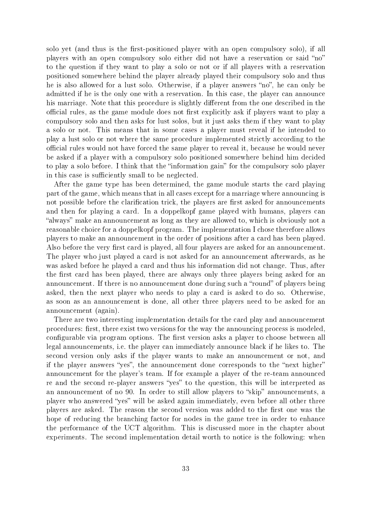solo yet (and thus is the first-positioned player with an open compulsory solo), if all players with an open compulsory solo either did not have a reservation or said "no" to the question if they want to play a solo or not or if all players with a reservation positioned somewhere behind the player already played their compulsory solo and thus he is also allowed for a lust solo. Otherwise, if a player answers "no", he can only be admitted if he is the only one with a reservation. In this case, the player can announce his marriage. Note that this procedure is slightly different from the one described in the official rules, as the game module does not first explicitly ask if players want to play a compulsory solo and then asks for lust solos, but it just asks them if they want to play a solo or not. This means that in some cases a player must reveal if he intended to play a lust solo or not where the same procedure implemented strictly according to the official rules would not have forced the same player to reveal it, because he would never be asked if a player with a compulsory solo positioned somewhere behind him decided to play a solo before. I think that the "information gain" for the compulsory solo player in this case is sufficiently small to be neglected.

After the game type has been determined, the game module starts the card playing part of the game, which means that in all cases except for a marriage where announcing is not possible before the clarification trick, the players are first asked for announcements and then for playing a card. In a doppelkopf game played with humans, players can "always" make an announcement as long as they are allowed to, which is obviously not a reasonable choice for a doppelkopf program. The implementation I chose therefore allows players to make an announcement in the order of positions after a card has been played. Also before the very first card is played, all four players are asked for an announcement. The player who just played a card is not asked for an announcement afterwards, as he was asked before he played a card and thus his information did not change. Thus, after the first card has been played, there are always only three players being asked for an announcement. If there is no announcement done during such a "round" of players being asked, then the next player who needs to play a card is asked to do so. Otherwise, as soon as an announcement is done, all other three players need to be asked for an announcement (again).

There are two interesting implementation details for the card play and announcement procedures: first, there exist two versions for the way the announcing process is modeled. configurable via program options. The first version asks a player to choose between all legal announcements, i.e. the player can immediately announce black if he likes to. The second version only asks if the player wants to make an announcement or not, and if the player answers "yes", the announcement done corresponds to the "next higher" announcement for the player's team. If for example a player of the re-team announced re and the second re-player answers "yes" to the question, this will be interpreted as an announcement of no 90. In order to still allow players to "skip" announcements, a player who answered "yes" will be asked again immediately, even before all other three players are asked. The reason the second version was added to the first one was the hope of reducing the branching factor for nodes in the game tree in order to enhance the performance of the UCT algorithm. This is discussed more in the chapter about experiments. The second implementation detail worth to notice is the following: when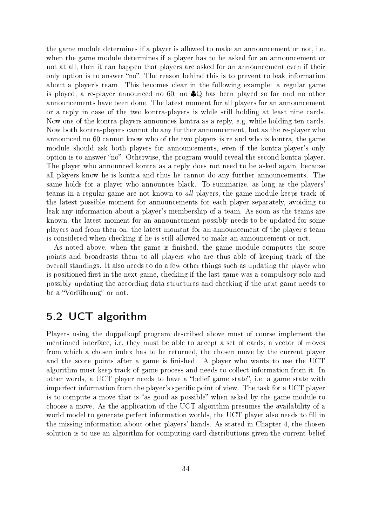the game module determines if a player is allowed to make an announcement or not, i.e. when the game module determines if a player has to be asked for an announcement or not at all, then it can happen that players are asked for an announcement even if their only option is to answer "no". The reason behind this is to prevent to leak information about a player's team. This becomes clear in the following example: a regular game is played, a re-player announced no 60, no ♣Q has been played so far and no other announcements have been done. The latest moment for all players for an announcement or a reply in case of the two kontra-players is while still holding at least nine cards. Now one of the kontra-players announces kontra as a reply, e.g. while holding ten cards. Now both kontra-players cannot do any further announcement, but as the re-player who announced no 60 cannot know who of the two players is re and who is kontra, the game module should ask both players for announcements, even if the kontra-player's only option is to answer "no". Otherwise, the program would reveal the second kontra-player. The player who announced kontra as a reply does not need to be asked again, because all players know he is kontra and thus he cannot do any further announcements. The same holds for a player who announces black. To summarize, as long as the players' teams in a regular game are not known to all players, the game module keeps track of the latest possible moment for announcements for each player separately, avoiding to leak any information about a player's membership of a team. As soon as the teams are known, the latest moment for an announcement possibly needs to be updated for some players and from then on, the latest moment for an announcement of the player's team is considered when checking if he is still allowed to make an announcement or not.

As noted above, when the game is finished, the game module computes the score points and broadcasts them to all players who are thus able of keeping track of the overall standings. It also needs to do a few other things such as updating the player who is positioned first in the next game, checking if the last game was a compulsory solo and possibly updating the according data structures and checking if the next game needs to be a "Vorführung" or not.

# 5.2 UCT algorithm

Players using the doppelkopf program described above must of course implement the mentioned interface, i.e. they must be able to accept a set of cards, a vector of moves from which a chosen index has to be returned, the chosen move by the current player and the score points after a game is finished. A player who wants to use the UCT algorithm must keep track of game process and needs to collect information from it. In other words, a UCT player needs to have a "belief game state", i.e. a game state with imperfect information from the player's specific point of view. The task for a UCT player is to compute a move that is "as good as possible" when asked by the game module to choose a move. As the application of the UCT algorithm presumes the availability of a world model to generate perfect information worlds, the UCT player also needs to fill in the missing information about other players' hands. As stated in Chapter 4, the chosen solution is to use an algorithm for computing card distributions given the current belief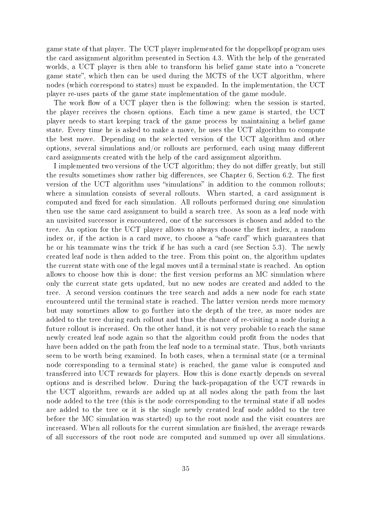game state of that player. The UCT player implemented for the doppelkopf program uses the card assignment algorithm presented in Section 4.3. With the help of the generated worlds, a UCT player is then able to transform his belief game state into a "concrete game state", which then can be used during the MCTS of the UCT algorithm, where nodes (which correspond to states) must be expanded. In the implementation, the UCT player re-uses parts of the game state implementation of the game module.

The work flow of a UCT player then is the following: when the session is started. the player receives the chosen options. Each time a new game is started, the UCT player needs to start keeping track of the game process by maintaining a belief game state. Every time he is asked to make a move, he uses the UCT algorithm to compute the best move. Depending on the selected version of the UCT algorithm and other options, several simulations and/or rollouts are performed, each using many different card assignments created with the help of the card assignment algorithm.

I implemented two versions of the UCT algorithm; they do not differ greatly, but still the results sometimes show rather big differences, see Chapter 6, Section 6.2. The first version of the UCT algorithm uses "simulations" in addition to the common rollouts; where a simulation consists of several rollouts. When started, a card assignment is computed and fixed for each simulation. All rollouts performed during one simulation then use the same card assignment to build a search tree. As soon as a leaf node with an unvisited successor is encountered, one of the successors is chosen and added to the tree. An option for the UCT player allows to always choose the first index, a random index or, if the action is a card move, to choose a "safe card" which guarantees that he or his teammate wins the trick if he has such a card (see Section 5.3). The newly created leaf node is then added to the tree. From this point on, the algorithm updates the current state with one of the legal moves until a terminal state is reached. An option allows to choose how this is done: the first version performs an MC simulation where only the current state gets updated, but no new nodes are created and added to the tree. A second version continues the tree search and adds a new node for each state encountered until the terminal state is reached. The latter version needs more memory but may sometimes allow to go further into the depth of the tree, as more nodes are added to the tree during each rollout and thus the chance of re-visiting a node during a future rollout is increased. On the other hand, it is not very probable to reach the same newly created leaf node again so that the algorithm could profit from the nodes that have been added on the path from the leaf node to a terminal state. Thus, both variants seem to be worth being examined. In both cases, when a terminal state (or a terminal node corresponding to a terminal state) is reached, the game value is computed and transferred into UCT rewards for players. How this is done exactly depends on several options and is described below. During the back-propagation of the UCT rewards in the UCT algorithm, rewards are added up at all nodes along the path from the last node added to the tree (this is the node corresponding to the terminal state if all nodes are added to the tree or it is the single newly created leaf node added to the tree before the MC simulation was started) up to the root node and the visit counters are increased. When all rollouts for the current simulation are finished, the average rewards of all successors of the root node are computed and summed up over all simulations.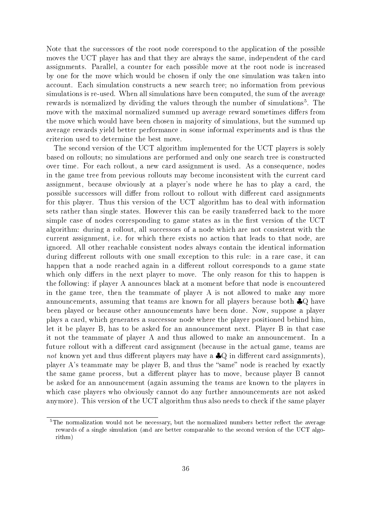Note that the successors of the root node correspond to the application of the possible moves the UCT player has and that they are always the same, independent of the card assignments. Parallel, a counter for each possible move at the root node is increased by one for the move which would be chosen if only the one simulation was taken into account. Each simulation constructs a new search tree; no information from previous simulations is re-used. When all simulations have been computed, the sum of the average rewards is normalized by dividing the values through the number of simulations<sup>5</sup>. The move with the maximal normalized summed up average reward sometimes differs from the move which would have been chosen in majority of simulations, but the summed up average rewards yield better performance in some informal experiments and is thus the criterion used to determine the best move.

The second version of the UCT algorithm implemented for the UCT players is solely based on rollouts; no simulations are performed and only one search tree is constructed over time. For each rollout, a new card assignment is used. As a consequence, nodes in the game tree from previous rollouts may become inconsistent with the current card assignment, because obviously at a player's node where he has to play a card, the possible successors will differ from rollout to rollout with different card assignments for this player. Thus this version of the UCT algorithm has to deal with information sets rather than single states. However this can be easily transferred back to the more simple case of nodes corresponding to game states as in the first version of the UCT algorithm: during a rollout, all successors of a node which are not consistent with the current assignment, i.e. for which there exists no action that leads to that node, are ignored. All other reachable consistent nodes always contain the identical information during different rollouts with one small exception to this rule: in a rare case, it can happen that a node reached again in a different rollout corresponds to a game state which only differs in the next player to move. The only reason for this to happen is the following: if player A announces black at a moment before that node is encountered in the game tree, then the teammate of player A is not allowed to make any more announcements, assuming that teams are known for all players because both ♣Q have been played or because other announcements have been done. Now, suppose a player plays a card, which generates a successor node where the player positioned behind him, let it be player B, has to be asked for an announcement next. Player B in that case it not the teammate of player A and thus allowed to make an announcement. In a future rollout with a different card assignment (because in the actual game, teams are not known yet and thus different players may have a  $\clubsuit Q$  in different card assignments), player A's teammate may be player B, and thus the "same" node is reached by exactly the same game process, but a different player has to move, because player B cannot be asked for an announcement (again assuming the teams are known to the players in which case players who obviously cannot do any further announcements are not asked anymore). This version of the UCT algorithm thus also needs to check if the same player

<sup>&</sup>lt;sup>5</sup>The normalization would not be necessary, but the normalized numbers better reflect the average rewards of a single simulation (and are better comparable to the second version of the UCT algorithm)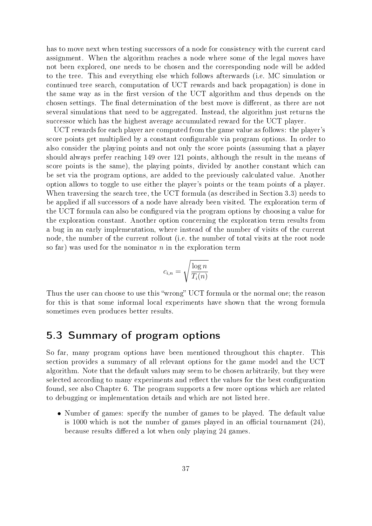has to move next when testing successors of a node for consistency with the current card assignment. When the algorithm reaches a node where some of the legal moves have not been explored, one needs to be chosen and the corresponding node will be added to the tree. This and everything else which follows afterwards (i.e. MC simulation or continued tree search, computation of UCT rewards and back propagation) is done in the same way as in the first version of the UCT algorithm and thus depends on the chosen settings. The final determination of the best move is different, as there are not several simulations that need to be aggregated. Instead, the algorithm just returns the successor which has the highest average accumulated reward for the UCT player.

UCT rewards for each player are computed from the game value as follows: the player's score points get multiplied by a constant configurable via program options. In order to also consider the playing points and not only the score points (assuming that a player should always prefer reaching 149 over 121 points, although the result in the means of score points is the same), the playing points, divided by another constant which can be set via the program options, are added to the previously calculated value. Another option allows to toggle to use either the player's points or the team points of a player. When traversing the search tree, the UCT formula (as described in Section 3.3) needs to be applied if all successors of a node have already been visited. The exploration term of the UCT formula can also be configured via the program options by choosing a value for the exploration constant. Another option concerning the exploration term results from a bug in an early implementation, where instead of the number of visits of the current node, the number of the current rollout (i.e. the number of total visits at the root node so far) was used for the nominator  $n$  in the exploration term

$$
c_{i,n} = \sqrt{\frac{\log n}{T_i(n)}}
$$

Thus the user can choose to use this "wrong" UCT formula or the normal one; the reason for this is that some informal local experiments have shown that the wrong formula sometimes even produces better results.

# 5.3 Summary of program options

So far, many program options have been mentioned throughout this chapter. This section provides a summary of all relevant options for the game model and the UCT algorithm. Note that the default values may seem to be chosen arbitrarily, but they were selected according to many experiments and reflect the values for the best configuration found, see also Chapter 6. The program supports a few more options which are related to debugging or implementation details and which are not listed here.

• Number of games: specify the number of games to be played. The default value is 1000 which is not the number of games played in an official tournament  $(24)$ , because results differed a lot when only playing 24 games.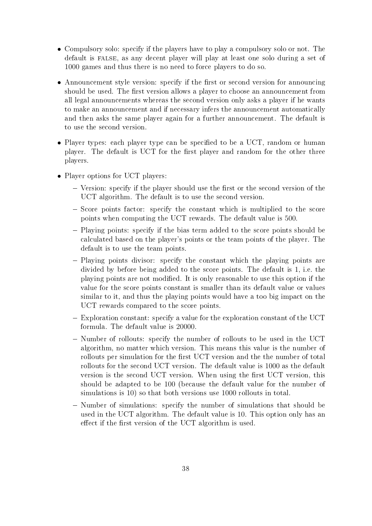- Compulsory solo: specify if the players have to play a compulsory solo or not. The default is FALSE, as any decent player will play at least one solo during a set of 1000 games and thus there is no need to force players to do so.
- Announcement style version: specify if the first or second version for announcing should be used. The first version allows a player to choose an announcement from all legal announcements whereas the second version only asks a player if he wants to make an announcement and if necessary infers the announcement automatically and then asks the same player again for a further announcement. The default is to use the second version.
- Player types: each player type can be specified to be a UCT, random or human player. The default is UCT for the first player and random for the other three players.
- Player options for UCT players:
	- $-$  Version: specify if the player should use the first or the second version of the UCT algorithm. The default is to use the second version.
	- $-$  Score points factor: specify the constant which is multiplied to the score points when computing the UCT rewards. The default value is 500.
	- Playing points: specify if the bias term added to the score points should be calculated based on the player's points or the team points of the player. The default is to use the team points.
	- $P$ laying points divisor: specify the constant which the playing points are divided by before being added to the score points. The default is 1, i.e. the playing points are not modied. It is only reasonable to use this option if the value for the score points constant is smaller than its default value or values similar to it, and thus the playing points would have a too big impact on the UCT rewards compared to the score points.
	- Exploration constant: specify a value for the exploration constant of the UCT formula. The default value is 20000.
	- Number of rollouts: specify the number of rollouts to be used in the UCT algorithm, no matter which version. This means this value is the number of rollouts per simulation for the first UCT version and the the number of total rollouts for the second UCT version. The default value is 1000 as the default version is the second UCT version. When using the first UCT version, this should be adapted to be 100 (because the default value for the number of simulations is 10) so that both versions use 1000 rollouts in total.
	- Number of simulations: specify the number of simulations that should be used in the UCT algorithm. The default value is 10. This option only has an effect if the first version of the UCT algorithm is used.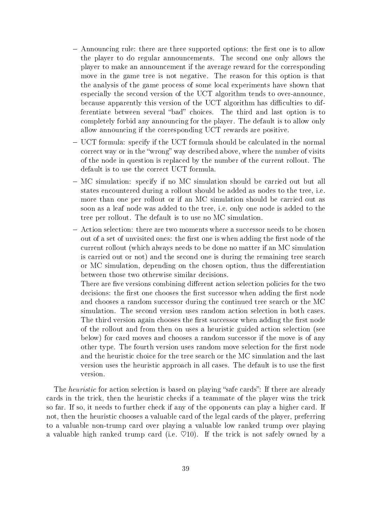- $-$  Announcing rule: there are three supported options: the first one is to allow the player to do regular announcements. The second one only allows the player to make an announcement if the average reward for the corresponding move in the game tree is not negative. The reason for this option is that the analysis of the game process of some local experiments have shown that especially the second version of the UCT algorithm tends to over-announce, because apparently this version of the UCT algorithm has difficulties to differentiate between several "bad" choices. The third and last option is to completely forbid any announcing for the player. The default is to allow only allow announcing if the corresponding UCT rewards are positive.
- UCT formula: specify if the UCT formula should be calculated in the normal correct way or in the "wrong" way described above, where the number of visits of the node in question is replaced by the number of the current rollout. The default is to use the correct UCT formula.
- MC simulation: specify if no MC simulation should be carried out but all states encountered during a rollout should be added as nodes to the tree, i.e. more than one per rollout or if an MC simulation should be carried out as soon as a leaf node was added to the tree, i.e. only one node is added to the tree per rollout. The default is to use no MC simulation.
- Action selection: there are two moments where a successor needs to be chosen out of a set of unvisited ones: the first one is when adding the first node of the current rollout (which always needs to be done no matter if an MC simulation is carried out or not) and the second one is during the remaining tree search or MC simulation, depending on the chosen option, thus the differentiation between those two otherwise similar decisions.

There are five versions combining different action selection policies for the two decisions: the first one chooses the first successor when adding the first node and chooses a random successor during the continued tree search or the MC simulation. The second version uses random action selection in both cases. The third version again chooses the first successor when adding the first node of the rollout and from then on uses a heuristic guided action selection (see below) for card moves and chooses a random successor if the move is of any other type. The fourth version uses random move selection for the first node and the heuristic choice for the tree search or the MC simulation and the last version uses the heuristic approach in all cases. The default is to use the first version.

The *heuristic* for action selection is based on playing "safe cards": If there are already cards in the trick, then the heuristic checks if a teammate of the player wins the trick so far. If so, it needs to further check if any of the opponents can play a higher card. If not, then the heuristic chooses a valuable card of the legal cards of the player, preferring to a valuable non-trump card over playing a valuable low ranked trump over playing a valuable high ranked trump card (i.e.  $\heartsuit$ 10). If the trick is not safely owned by a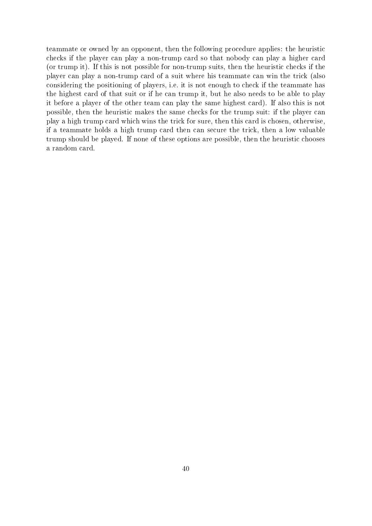teammate or owned by an opponent, then the following procedure applies: the heuristic checks if the player can play a non-trump card so that nobody can play a higher card (or trump it). If this is not possible for non-trump suits, then the heuristic checks if the player can play a non-trump card of a suit where his teammate can win the trick (also considering the positioning of players, i.e. it is not enough to check if the teammate has the highest card of that suit or if he can trump it, but he also needs to be able to play it before a player of the other team can play the same highest card). If also this is not possible, then the heuristic makes the same checks for the trump suit: if the player can play a high trump card which wins the trick for sure, then this card is chosen, otherwise, if a teammate holds a high trump card then can secure the trick, then a low valuable trump should be played. If none of these options are possible, then the heuristic chooses a random card.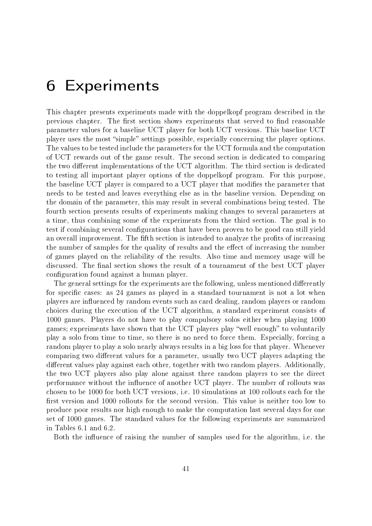# 6 Experiments

This chapter presents experiments made with the doppelkopf program described in the previous chapter. The first section shows experiments that served to find reasonable parameter values for a baseline UCT player for both UCT versions. This baseline UCT player uses the most "simple" settings possible, especially concerning the player options. The values to be tested include the parameters for the UCT formula and the computation of UCT rewards out of the game result. The second section is dedicated to comparing the two different implementations of the UCT algorithm. The third section is dedicated to testing all important player options of the doppelkopf program. For this purpose, the baseline UCT player is compared to a UCT player that modies the parameter that needs to be tested and leaves everything else as in the baseline version. Depending on the domain of the parameter, this may result in several combinations being tested. The fourth section presents results of experiments making changes to several parameters at a time, thus combining some of the experiments from the third section. The goal is to test if combining several configurations that have been proven to be good can still yield an overall improvement. The fifth section is intended to analyze the profits of increasing the number of samples for the quality of results and the effect of increasing the number of games played on the reliability of the results. Also time and memory usage will be discussed. The final section shows the result of a tournament of the best UCT player configuration found against a human player.

The general settings for the experiments are the following, unless mentioned differently for specific cases: as 24 games as played in a standard tournament is not a lot when players are influenced by random events such as card dealing, random players or random choices during the execution of the UCT algorithm, a standard experiment consists of 1000 games. Players do not have to play compulsory solos either when playing 1000 games; experiments have shown that the UCT players play "well enough" to voluntarily play a solo from time to time, so there is no need to force them. Especially, forcing a random player to play a solo nearly always results in a big loss for that player. Whenever comparing two different values for a parameter, usually two UCT players adapting the different values play against each other, together with two random players. Additionally, the two UCT players also play alone against three random players to see the direct performance without the influence of another UCT player. The number of rollouts was chosen to be 1000 for both UCT versions, i.e. 10 simulations at 100 rollouts each for the first version and 1000 rollouts for the second version. This value is neither too low to produce poor results nor high enough to make the computation last several days for one set of 1000 games. The standard values for the following experiments are summarized in Tables 6.1 and 6.2.

Both the influence of raising the number of samples used for the algorithm, i.e. the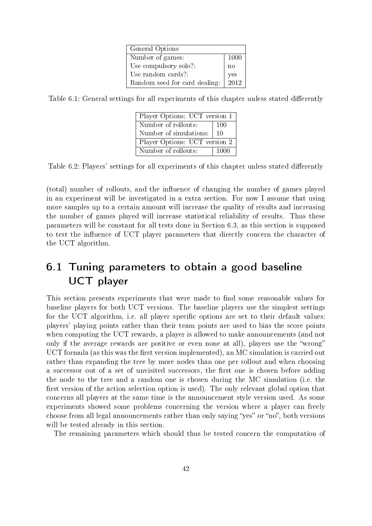| General Options               |             |
|-------------------------------|-------------|
| Number of games:              | 1000        |
| Use compulsory solo?:         | no          |
| Use random cards?:            | yes<br>2012 |
| Random seed for card dealing: |             |

Table 6.1: General settings for all experiments of this chapter unless stated differently

| Player Options: UCT version 1 |      |
|-------------------------------|------|
| Number of rollouts:           | 100  |
| Number of simulations:        | 10   |
| Player Options: UCT version 2 |      |
| Number of rollouts:           | 1000 |

Table 6.2: Players' settings for all experiments of this chapter unless stated differently

(total) number of rollouts, and the influence of changing the number of games played in an experiment will be investigated in a extra section. For now I assume that using more samples up to a certain amount will increase the quality of results and increasing the number of games played will increase statistical reliability of results. Thus these parameters will be constant for all tests done in Section 6.3, as this section is supposed to test the influence of UCT player parameters that directly concern the character of the UCT algorithm.

# 6.1 Tuning parameters to obtain a good baseline UCT player

This section presents experiments that were made to find some reasonable values for baseline players for both UCT versions. The baseline players use the simplest settings for the UCT algorithm, i.e. all player specific options are set to their default values: players' playing points rather than their team points are used to bias the score points when computing the UCT rewards, a player is allowed to make announcements (and not only if the average rewards are positive or even none at all), players use the "wrong" UCT formula (as this was the first version implemented), an  $MC$  simulation is carried out rather than expanding the tree by more nodes than one per rollout and when choosing a successor out of a set of unvisited successors, the first one is chosen before adding the node to the tree and a random one is chosen during the MC simulation (i.e. the first version of the action selection option is used). The only relevant global option that concerns all players at the same time is the announcement style version used. As some experiments showed some problems concerning the version where a player can freely choose from all legal announcements rather than only saying "yes" or "no", both versions will be tested already in this section.

The remaining parameters which should thus be tested concern the computation of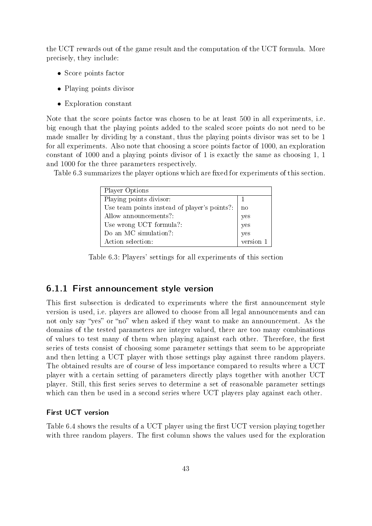the UCT rewards out of the game result and the computation of the UCT formula. More precisely, they include:

- Score points factor
- Playing points divisor
- Exploration constant

Note that the score points factor was chosen to be at least 500 in all experiments, i.e. big enough that the playing points added to the scaled score points do not need to be made smaller by dividing by a constant, thus the playing points divisor was set to be 1 for all experiments. Also note that choosing a score points factor of 1000, an exploration constant of 1000 and a playing points divisor of 1 is exactly the same as choosing 1, 1 and 1000 for the three parameters respectively.

Table 6.3 summarizes the player options which are fixed for experiments of this section.

| <b>Player Options</b>                        |           |
|----------------------------------------------|-----------|
| Playing points divisor:                      |           |
| Use team points instead of player's points?: | no        |
| Allow announcements?:                        | yes       |
| Use wrong UCT formula?:                      | yes       |
| Do an MC simulation?:                        | yes       |
| Action selection:                            | version 1 |

Table 6.3: Players' settings for all experiments of this section

### 6.1.1 First announcement style version

This first subsection is dedicated to experiments where the first announcement style version is used, i.e. players are allowed to choose from all legal announcements and can not only say "yes" or "no" when asked if they want to make an announcement. As the domains of the tested parameters are integer valued, there are too many combinations of values to test many of them when playing against each other. Therefore, the first series of tests consist of choosing some parameter settings that seem to be appropriate and then letting a UCT player with those settings play against three random players. The obtained results are of course of less importance compared to results where a UCT player with a certain setting of parameters directly plays together with another UCT player. Still, this first series serves to determine a set of reasonable parameter settings which can then be used in a second series where UCT players play against each other.

#### First UCT version

Table 6.4 shows the results of a UCT player using the first UCT version playing together with three random players. The first column shows the values used for the exploration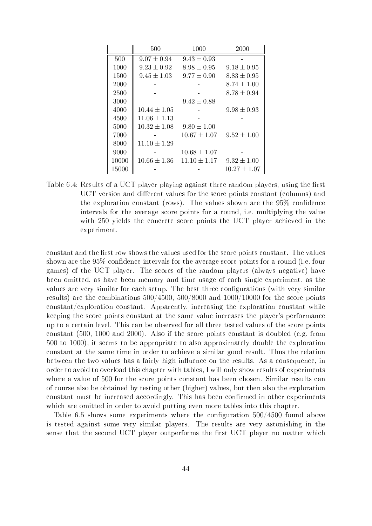|       | 500              | 1000             | 2000             |
|-------|------------------|------------------|------------------|
| 500   | $9.07 \pm 0.94$  | $9.43 \pm 0.93$  |                  |
| 1000  | $9.23 \pm 0.92$  | $8.98 \pm 0.95$  | $9.18 \pm 0.95$  |
| 1500  | $9.45 \pm 1.03$  | $9.77 \pm 0.90$  | $8.83 \pm 0.95$  |
| 2000  |                  |                  | $8.74 \pm 1.00$  |
| 2500  |                  |                  | $8.78 \pm 0.94$  |
| 3000  |                  | $9.42 \pm 0.88$  |                  |
| 4000  | $10.44 \pm 1.05$ |                  | $9.98 \pm 0.93$  |
| 4500  | $11.06 \pm 1.13$ |                  |                  |
| 5000  | $10.32 \pm 1.08$ | $9.80 \pm 1.00$  |                  |
| 7000  |                  | $10.67 \pm 1.07$ | $9.52 \pm 1.00$  |
| 8000  | $11.10\pm1.29$   |                  |                  |
| 9000  |                  | $10.68 \pm 1.07$ |                  |
| 10000 | $10.66 \pm 1.36$ | $11.10 \pm 1.17$ | $9.32 \pm 1.00$  |
| 15000 |                  |                  | $10.27 \pm 1.07$ |

Table 6.4: Results of a UCT player playing against three random players, using the first UCT version and different values for the score points constant (columns) and the exploration constant (rows). The values shown are the  $95\%$  confidence intervals for the average score points for a round, i.e. multiplying the value with 250 yields the concrete score points the UCT player achieved in the experiment.

constant and the first row shows the values used for the score points constant. The values shown are the  $95\%$  confidence intervals for the average score points for a round (i.e. four games) of the UCT player. The scores of the random players (always negative) have been omitted, as have been memory and time usage of each single experiment, as the values are very similar for each setup. The best three configurations (with very similar results) are the combinations 500/4500, 500/8000 and 1000/10000 for the score points constant/exploration constant. Apparently, increasing the exploration constant while keeping the score points constant at the same value increases the player's performance up to a certain level. This can be observed for all three tested values of the score points constant (500, 1000 and 2000). Also if the score points constant is doubled (e.g. from 500 to 1000), it seems to be appropriate to also approximately double the exploration constant at the same time in order to achieve a similar good result. Thus the relation between the two values has a fairly high influence on the results. As a consequence, in order to avoid to overload this chapter with tables, I will only show results of experiments where a value of 500 for the score points constant has been chosen. Similar results can of course also be obtained by testing other (higher) values, but then also the exploration constant must be increased accordingly. This has been confirmed in other experiments which are omitted in order to avoid putting even more tables into this chapter.

Table 6.5 shows some experiments where the configuration  $500/4500$  found above is tested against some very similar players. The results are very astonishing in the sense that the second UCT player outperforms the first UCT player no matter which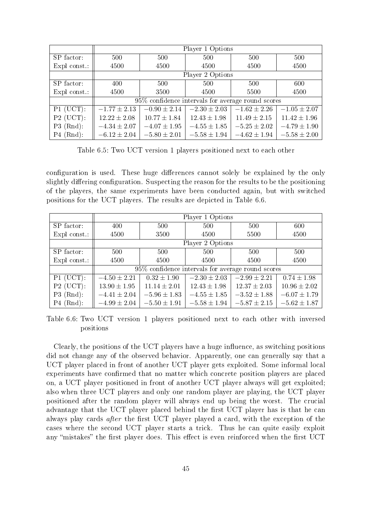|              | Player 1 Options |                  |                                                   |                  |                  |
|--------------|------------------|------------------|---------------------------------------------------|------------------|------------------|
| SP factor:   | 500              | 500              | 500                                               | 500              | 500              |
| Expl const.: | 4500             | 4500             | 4500                                              | 4500             | 4500             |
|              |                  |                  | Player 2 Options                                  |                  |                  |
| SP factor:   | 400              | 500              | 500                                               | 500              | 600              |
| Expl const.: | 4500             | 3500             | 4500                                              | 5500             | 4500             |
|              |                  |                  | 95% confidence intervals for average round scores |                  |                  |
| $P1$ (UCT):  | $-1.77 \pm 2.13$ | $-0.90 \pm 2.14$ | $-2.30 \pm 2.03$                                  | $-1.62 \pm 2.26$ | $-1.05 \pm 2.07$ |
| $P2$ (UCT):  | $12.22 \pm 2.08$ | $10.77 \pm 1.84$ | $12.43 \pm 1.98$                                  | $11.49 \pm 2.15$ | $11.42 \pm 1.96$ |
| $P3$ (Rnd):  | $-4.34 \pm 2.07$ | $-4.07 \pm 1.95$ | $-4.55 \pm 1.85$                                  | $-5.25 \pm 2.02$ | $-4.79 \pm 1.90$ |
| $P4$ (Rnd):  | $-6.12 \pm 2.04$ | $-5.80 \pm 2.01$ | $-5.58 \pm 1.94$                                  | $-4.62 \pm 1.94$ | $-5.58 \pm 2.00$ |

Table 6.5: Two UCT version 1 players positioned next to each other

configuration is used. These huge differences cannot solely be explained by the only slightly differing configuration. Suspecting the reason for the results to be the positioning of the players, the same experiments have been conducted again, but with switched positions for the UCT players. The results are depicted in Table 6.6.

|              | Player 1 Options |                                                      |                  |                  |                  |  |
|--------------|------------------|------------------------------------------------------|------------------|------------------|------------------|--|
| SP factor:   | 400              | 500                                                  | 500              | 500              | 600              |  |
| Expl const.: | 4500             | 3500                                                 | 4500             | 5500             | 4500             |  |
|              |                  |                                                      | Player 2 Options |                  |                  |  |
| SP factor:   | 500              | 500                                                  | 500              | 500              | 500              |  |
| Expl const.: | 4500             | 4500                                                 | 4500             | 4500             | 4500             |  |
|              |                  | $95\%$ confidence intervals for average round scores |                  |                  |                  |  |
| $P1$ (UCT):  | $-4.50 \pm 2.21$ | $0.32 \pm 1.90$                                      | $-2.30 \pm 2.03$ | $-2.99 \pm 2.21$ | $0.74 \pm 1.98$  |  |
| $P2$ (UCT):  | $13.90 \pm 1.95$ | $11.14 \pm 2.01$                                     | $12.43 \pm 1.98$ | $12.37 \pm 2.03$ | $10.96 \pm 2.02$ |  |
| $P3$ (Rnd):  | $-4.41 \pm 2.04$ | $-5.96 \pm 1.83$                                     | $-4.55 \pm 1.85$ | $-3.52 \pm 1.88$ | $-6.07 \pm 1.79$ |  |
| $P4$ (Rnd):  | $-4.99 \pm 2.04$ | $-5.50 \pm 1.91$                                     | $-5.58 \pm 1.94$ | $-5.87 \pm 2.15$ | $-5.62 \pm 1.87$ |  |

Table 6.6: Two UCT version 1 players positioned next to each other with inversed positions

Clearly, the positions of the UCT players have a huge influence, as switching positions did not change any of the observed behavior. Apparently, one can generally say that a UCT player placed in front of another UCT player gets exploited. Some informal local experiments have confirmed that no matter which concrete position players are placed on, a UCT player positioned in front of another UCT player always will get exploited; also when three UCT players and only one random player are playing, the UCT player positioned after the random player will always end up being the worst. The crucial advantage that the UCT player placed behind the first UCT player has is that he can always play cards *after* the first UCT player played a card, with the exception of the cases where the second UCT player starts a trick. Thus he can quite easily exploit any "mistakes" the first player does. This effect is even reinforced when the first UCT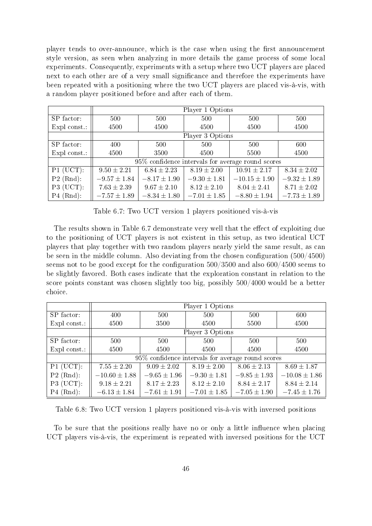player tends to over-announce, which is the case when using the first announcement style version, as seen when analyzing in more details the game process of some local experiments. Consequently, experiments with a setup where two UCT players are placed next to each other are of a very small significance and therefore the experiments have been repeated with a positioning where the two UCT players are placed vis-à-vis, with a random player positioned before and after each of them.

|              | Player 1 Options |                  |                  |                                                   |                  |  |
|--------------|------------------|------------------|------------------|---------------------------------------------------|------------------|--|
| SP factor:   | 500              | 500              | 500              | 500                                               | 500              |  |
| Expl const.: | 4500             | 4500             | 4500             | 4500                                              | 4500             |  |
|              | Player 3 Options |                  |                  |                                                   |                  |  |
| SP factor:   | 400              | 500              | 500              | 500                                               | 600              |  |
| Expl const.: | 4500             | 3500             | 4500             | 5500                                              | 4500             |  |
|              |                  |                  |                  | 95% confidence intervals for average round scores |                  |  |
| $P1$ (UCT):  | $9.50 \pm 2.21$  | $6.84 \pm 2.23$  | $8.19 \pm 2.00$  | $10.91 \pm 2.17$                                  | $8.34 \pm 2.02$  |  |
| $P2$ (Rnd):  | $-9.57 \pm 1.84$ | $-8.17 \pm 1.90$ | $-9.30 \pm 1.81$ | $-10.15 \pm 1.90$                                 | $-9.32 \pm 1.89$ |  |
| $P3$ (UCT):  | $7.63 \pm 2.39$  | $9.67 \pm 2.10$  | $8.12 \pm 2.10$  | $8.04 \pm 2.41$                                   | $8.71 \pm 2.02$  |  |
| $P4$ (Rnd):  | $-7.57 \pm 1.89$ | $-8.34 \pm 1.80$ | $-7.01 \pm 1.85$ | $-8.80 \pm 1.94$                                  | $-7.73 \pm 1.89$ |  |

Table 6.7: Two UCT version 1 players positioned vis-à-vis

The results shown in Table 6.7 demonstrate very well that the effect of exploiting due to the positioning of UCT players is not existent in this setup, as two identical UCT players that play together with two random players nearly yield the same result, as can be seen in the middle column. Also deviating from the chosen configuration  $(500/4500)$ seems not to be good except for the configuration  $500/3500$  and also  $600/4500$  seems to be slightly favored. Both cases indicate that the exploration constant in relation to the score points constant was chosen slightly too big, possibly 500/4000 would be a better choice.

|                | Player 1 Options  |                                                   |                  |                  |                   |  |
|----------------|-------------------|---------------------------------------------------|------------------|------------------|-------------------|--|
| SP factor:     | 400               | 500                                               | 500              | 500              | 600               |  |
| $Expl$ const.: | 4500              | 3500                                              | 4500             | 5500             | 4500              |  |
|                |                   |                                                   | Player 3 Options |                  |                   |  |
| SP factor:     | 500               | 500                                               | 500              | 500              | 500               |  |
| $Expl$ const.: | 4500              | 4500                                              | 4500             | 4500             | 4500              |  |
|                |                   | 95% confidence intervals for average round scores |                  |                  |                   |  |
| $P1$ (UCT):    | $7.55 \pm 2.20$   | $9.09 \pm 2.02$                                   | $8.19 \pm 2.00$  | $8.06 \pm 2.13$  | $8.69 \pm 1.87$   |  |
| $P2$ (Rnd):    | $-10.60 \pm 1.88$ | $-9.65 \pm 1.96$                                  | $-9.30 \pm 1.81$ | $-9.85 \pm 1.93$ | $-10.08 \pm 1.86$ |  |
| $P3$ (UCT):    | $9.18 \pm 2.21$   | $8.17 \pm 2.23$                                   | $8.12 \pm 2.10$  | $8.84 \pm 2.17$  | $8.84 \pm 2.14$   |  |
| $P4$ (Rnd):    | $-6.13 \pm 1.84$  | $-7.61 \pm 1.91$                                  | $-7.01 \pm 1.85$ | $-7.05 \pm 1.90$ | $-7.45 \pm 1.76$  |  |

Table 6.8: Two UCT version 1 players positioned vis-à-vis with inversed positions

To be sure that the positions really have no or only a little influence when placing UCT players vis-à-vis, the experiment is repeated with inversed positions for the UCT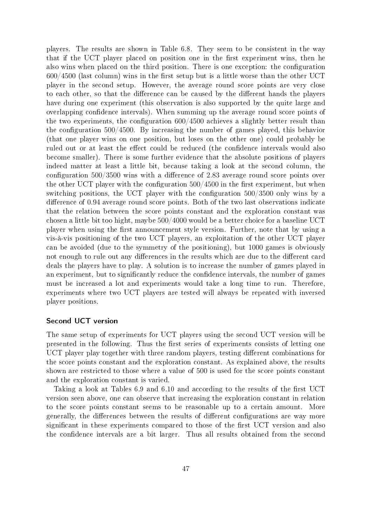players. The results are shown in Table 6.8. They seem to be consistent in the way that if the UCT player placed on position one in the first experiment wins, then he also wins when placed on the third position. There is one exception: the configuration  $600/4500$  (last column) wins in the first setup but is a little worse than the other UCT player in the second setup. However, the average round score points are very close to each other, so that the difference can be caused by the different hands the players have during one experiment (this observation is also supported by the quite large and overlapping confidence intervals). When summing up the average round score points of the two experiments, the configuration  $600/4500$  achieves a slightly better result than the configuration  $500/4500$ . By increasing the number of games played, this behavior (that one player wins on one position, but loses on the other one) could probably be ruled out or at least the effect could be reduced (the confidence intervals would also become smaller). There is some further evidence that the absolute positions of players indeed matter at least a little bit, because taking a look at the second column, the configuration  $500/3500$  wins with a difference of 2.83 average round score points over the other UCT player with the configuration  $500/4500$  in the first experiment, but when switching positions, the UCT player with the configuration 500/3500 only wins by a difference of 0.94 average round score points. Both of the two last observations indicate that the relation between the score points constant and the exploration constant was chosen a little bit too hight, maybe 500/4000 would be a better choice for a baseline UCT player when using the first announcement style version. Further, note that by using a vis-à-vis positioning of the two UCT players, an exploitation of the other UCT player can be avoided (due to the symmetry of the positioning), but 1000 games is obviously not enough to rule out any differences in the results which are due to the different card deals the players have to play. A solution is to increase the number of games played in an experiment, but to significantly reduce the confidence intervals, the number of games must be increased a lot and experiments would take a long time to run. Therefore, experiments where two UCT players are tested will always be repeated with inversed player positions.

#### Second UCT version

The same setup of experiments for UCT players using the second UCT version will be presented in the following. Thus the first series of experiments consists of letting one UCT player play together with three random players, testing different combinations for the score points constant and the exploration constant. As explained above, the results shown are restricted to those where a value of 500 is used for the score points constant and the exploration constant is varied.

Taking a look at Tables  $6.9$  and  $6.10$  and according to the results of the first UCT version seen above, one can observe that increasing the exploration constant in relation to the score points constant seems to be reasonable up to a certain amount. More generally, the differences between the results of different configurations are way more significant in these experiments compared to those of the first UCT version and also the condence intervals are a bit larger. Thus all results obtained from the second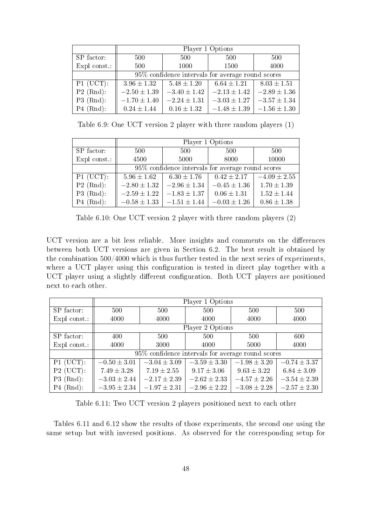|              | Player 1 Options                                  |                  |                  |                  |  |  |  |
|--------------|---------------------------------------------------|------------------|------------------|------------------|--|--|--|
| SP factor:   | 500                                               | 500              | 500              | 500              |  |  |  |
| Expl const.: | 500<br>1000                                       |                  | 1500             | 4000             |  |  |  |
|              | 95% confidence intervals for average round scores |                  |                  |                  |  |  |  |
| $P1$ (UCT):  | $3.96 \pm 1.32$                                   | $5.48 \pm 1.20$  | $6.64 \pm 1.21$  | $8.03 \pm 1.51$  |  |  |  |
| $P2$ (Rnd):  | $-2.50 \pm 1.39$                                  | $-3.40 \pm 1.42$ | $-2.13 \pm 1.42$ | $-2.89 \pm 1.36$ |  |  |  |
| $P3$ (Rnd):  | $-1.70 \pm 1.40$                                  | $-2.24 \pm 1.31$ | $-3.03 \pm 1.27$ | $-3.57 \pm 1.34$ |  |  |  |
| $P4$ (Rnd):  | $0.24 \pm 1.44$                                   | $0.16 \pm 1.32$  | $-1.48 \pm 1.39$ | $-1.56 \pm 1.30$ |  |  |  |

Table 6.9: One UCT version 2 player with three random players (1)

|              | Player 1 Options                                  |                  |                  |                  |  |  |  |
|--------------|---------------------------------------------------|------------------|------------------|------------------|--|--|--|
| SP factor:   | 500<br>500                                        |                  | 500              | 500              |  |  |  |
| Expl const.: | 4500<br>5000                                      |                  | 8000             | 10000            |  |  |  |
|              | 95% confidence intervals for average round scores |                  |                  |                  |  |  |  |
| $P1$ (UCT):  | $5.96 \pm 1.62$                                   | $6.30 \pm 1.76$  | $0.42 \pm 2.17$  | $-4.09 \pm 2.55$ |  |  |  |
| $P2$ (Rnd):  | $-2.80 \pm 1.32$                                  | $-2.96 \pm 1.34$ | $-0.45 \pm 1.36$ | $1.70 \pm 1.39$  |  |  |  |
| $P3$ (Rnd):  | $-2.59 \pm 1.22$                                  | $-1.83 \pm 1.37$ | $0.06 \pm 1.31$  | $1.52 \pm 1.44$  |  |  |  |
| $P4$ (Rnd):  | $-0.58 \pm 1.33$                                  | $-1.51 \pm 1.44$ | $-0.03 \pm 1.26$ | $0.86 \pm 1.38$  |  |  |  |

Table 6.10: One UCT version 2 player with three random players (2)

UCT version are a bit less reliable. More insights and comments on the differences between both UCT versions are given in Section 6.2. The best result is obtained by the combination 500/4000 which is thus further tested in the next series of experiments, where a UCT player using this configuration is tested in direct play together with a UCT player using a slightly different configuration. Both UCT players are positioned next to each other.

|              | Player 1 Options |                                                   |                  |                  |                  |  |
|--------------|------------------|---------------------------------------------------|------------------|------------------|------------------|--|
| SP factor:   | 500              | 500                                               | 500              | 500              | 500              |  |
| Expl const.: | 4000             | 4000                                              | 4000             | 4000             | 4000             |  |
|              |                  |                                                   | Player 2 Options |                  |                  |  |
| SP factor:   | 400              | 500                                               | 500              | 500              | 600              |  |
| Expl const.: | 4000             | 3000                                              | 4000             | 5000             | 4000             |  |
|              |                  | 95% confidence intervals for average round scores |                  |                  |                  |  |
| $P1$ (UCT):  | $-0.50 \pm 3.01$ | $-3.04 \pm 3.09$                                  | $-3.59 \pm 3.30$ | $-1.98 \pm 3.20$ | $-0.74 \pm 3.37$ |  |
| $P2$ (UCT):  | $7.49 \pm 3.28$  | $7.19 \pm 2.55$                                   | $9.17 \pm 3.06$  | $9.63 \pm 3.22$  | $6.84 \pm 3.09$  |  |
| $P3$ (Rnd):  | $-3.03 \pm 2.44$ | $-2.17 \pm 2.39$                                  | $-2.62 \pm 2.33$ | $-4.57 \pm 2.26$ | $-3.54 \pm 2.39$ |  |
| $P4$ (Rnd):  | $-3.95 \pm 2.34$ | $-1.97 \pm 2.31$                                  | $-2.96 \pm 2.22$ | $-3.08 \pm 2.28$ | $-2.57 \pm 2.30$ |  |

Table 6.11: Two UCT version 2 players positioned next to each other

Tables 6.11 and 6.12 show the results of those experiments, the second one using the same setup but with inversed positions. As observed for the corresponding setup for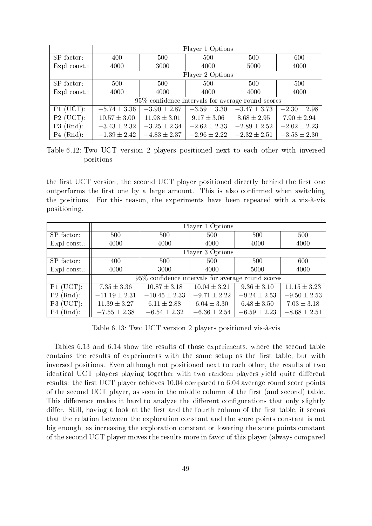|              | Player 1 Options |                                                   |                  |                  |                  |
|--------------|------------------|---------------------------------------------------|------------------|------------------|------------------|
| SP factor:   | 400              | 500                                               | 500              | 500              | 600              |
| Expl const.: | 4000             | 3000                                              | 4000             | 5000             | 4000             |
|              |                  |                                                   | Player 2 Options |                  |                  |
| SP factor:   | 500              | 500                                               | 500              | 500              | 500              |
| Expl const.: | 4000             | 4000                                              | 4000             | 4000             | 4000             |
|              |                  | 95% confidence intervals for average round scores |                  |                  |                  |
| $P1$ (UCT):  | $-5.74 \pm 3.36$ | $-3.90 \pm 2.87$                                  | $-3.59 \pm 3.30$ | $-3.47 \pm 3.73$ | $-2.30 \pm 2.98$ |
| $P2$ (UCT):  | $10.57 \pm 3.00$ | $11.98 \pm 3.01$                                  | $9.17 \pm 3.06$  | $8.68 \pm 2.95$  | $7.90 \pm 2.94$  |
| $P3$ (Rnd):  | $-3.43 \pm 2.32$ | $-3.25 \pm 2.34$                                  | $-2.62 \pm 2.33$ | $-2.89 \pm 2.52$ | $-2.02 \pm 2.23$ |
| $P4$ (Rnd):  | $-1.39 \pm 2.42$ | $-4.83 \pm 2.37$                                  | $-2.96 \pm 2.22$ | $-2.32 \pm 2.51$ | $-3.58 \pm 2.30$ |

Table 6.12: Two UCT version 2 players positioned next to each other with inversed positions

the first UCT version, the second UCT player positioned directly behind the first one outperforms the first one by a large amount. This is also confirmed when switching the positions. For this reason, the experiments have been repeated with a vis-à-vis positioning.

|                | Player 1 Options  |                                                   |                  |                  |                  |  |
|----------------|-------------------|---------------------------------------------------|------------------|------------------|------------------|--|
| SP factor:     | 500               | 500                                               | 500              | 500              | 500              |  |
| Expl const.:   | 4000              | 4000                                              | 4000             | 4000             | 4000             |  |
|                |                   |                                                   | Player 3 Options |                  |                  |  |
| SP factor:     | 400               | 500                                               | 500              | 500              | 600              |  |
| $Expl$ const.: | 4000              | 3000                                              | 4000             | 5000             | 4000             |  |
|                |                   | 95% confidence intervals for average round scores |                  |                  |                  |  |
| $P1$ (UCT):    | $7.35 \pm 3.36$   | $10.87 \pm 3.18$                                  | $10.04 \pm 3.21$ | $9.36 \pm 3.10$  | $11.15 \pm 3.23$ |  |
| $P2$ (Rnd):    | $-11.19 \pm 2.31$ | $-10.45 \pm 2.33$                                 | $-9.71 \pm 2.22$ | $-9.24 \pm 2.53$ | $-9.50 \pm 2.53$ |  |
| $P3$ (UCT):    | $11.39 \pm 3.27$  | $6.11 \pm 2.88$                                   | $6.04 \pm 3.30$  | $6.48 \pm 3.50$  | $7.03 \pm 3.18$  |  |
| $P4$ (Rnd):    | $-7.55 \pm 2.38$  | $-6.54 \pm 2.32$                                  | $-6.36 \pm 2.54$ | $-6.59 \pm 2.23$ | $-8.68 \pm 2.51$ |  |

Table 6.13: Two UCT version 2 players positioned vis-à-vis

Tables 6.13 and 6.14 show the results of those experiments, where the second table contains the results of experiments with the same setup as the first table, but with inversed positions. Even although not positioned next to each other, the results of two identical UCT players playing together with two random players yield quite different results: the first UCT player achieves 10.04 compared to 6.04 average round score points of the second UCT player, as seen in the middle column of the first (and second) table. This difference makes it hard to analyze the different configurations that only slightly differ. Still, having a look at the first and the fourth column of the first table, it seems that the relation between the exploration constant and the score points constant is not big enough, as increasing the exploration constant or lowering the score points constant of the second UCT player moves the results more in favor of this player (always compared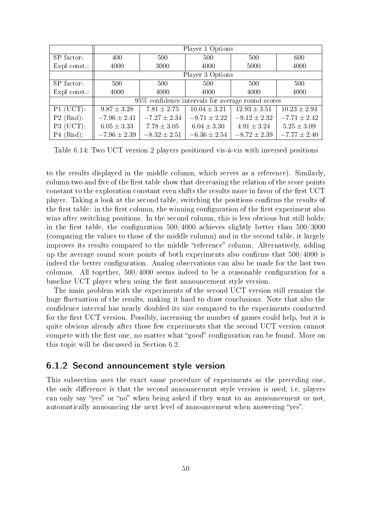|              | Player 1 Options |                                                   |                  |                  |                  |  |  |  |
|--------------|------------------|---------------------------------------------------|------------------|------------------|------------------|--|--|--|
| SP factor:   | 400              | 500                                               | 500              | 500              | 600              |  |  |  |
| Expl const.: | 4000             | 3000                                              | 4000             | 5000             | 4000             |  |  |  |
|              |                  |                                                   | Player 3 Options |                  |                  |  |  |  |
| SP factor:   | 500              | 500                                               | 500              | 500              | 500              |  |  |  |
| Expl const.: | 4000             | 4000                                              | 4000             | 4000             | 4000             |  |  |  |
|              |                  | 95% confidence intervals for average round scores |                  |                  |                  |  |  |  |
| $P1$ (UCT):  | $9.87 \pm 3.28$  | $7.81 \pm 2.75$                                   | $10.04 \pm 3.21$ | $12.93 \pm 3.51$ | $10.23 \pm 2.94$ |  |  |  |
| $P2$ (Rnd):  | $-7.96 \pm 2.41$ | $-7.27 \pm 2.34$                                  | $-9.71 \pm 2.22$ | $-9.12 \pm 2.32$ | $-7.71 \pm 2.42$ |  |  |  |
| $P3$ (UCT):  | $6.05 \pm 3.33$  | $7.78 \pm 3.05$                                   | $6.04 \pm 3.30$  | $4.91 \pm 3.24$  | $5.25 \pm 3.09$  |  |  |  |
| $P4$ (Rnd):  | $-7.96 \pm 2.39$ | $-8.32 \pm 2.51$                                  | $-6.36 \pm 2.54$ | $-8.72 \pm 2.39$ | $-7.77 \pm 2.40$ |  |  |  |

Table 6.14: Two UCT version 2 players positioned vis-à-vis with inversed positions

to the results displayed in the middle column, which serves as a reference). Similarly, column two and five of the first table show that decreasing the relation of the score points constant to the exploration constant even shifts the results more in favor of the first UCT player. Taking a look at the second table, switching the positions confirms the results of the first table: in the first column, the winning configuration of the first experiment also wins after switching positions. In the second column, this is less obvious but still holds: in the first table, the configuration  $500/4000$  achieves slightly better than  $500/3000$ (comparing the values to those of the middle column) and in the second table, it largely improves its results compared to the middle "reference" column. Alternatively, adding up the average round score points of both experiments also confirms that  $500/4000$  is indeed the better configuration. Analog observations can also be made for the last two columns. All together,  $500/4000$  seems indeed to be a reasonable configuration for a baseline UCT player when using the first announcement style version.

The main problem with the experiments of the second UCT version still remains the huge fluctuation of the results, making it hard to draw conclusions. Note that also the condence interval has nearly doubled its size compared to the experiments conducted for the first UCT version. Possibly, increasing the number of games could help, but it is quite obvious already after those few experiments that the second UCT version cannot compete with the first one, no matter what "good" configuration can be found. More on this topic will be discussed in Section 6.2.

#### 6.1.2 Second announcement style version

This subsection uses the exact same procedure of experiments as the preceding one, the only difference is that the second announcement style version is used, i.e. players can only say "yes" or "no" when being asked if they want to an announcement or not, automatically announcing the next level of announcement when answering "yes".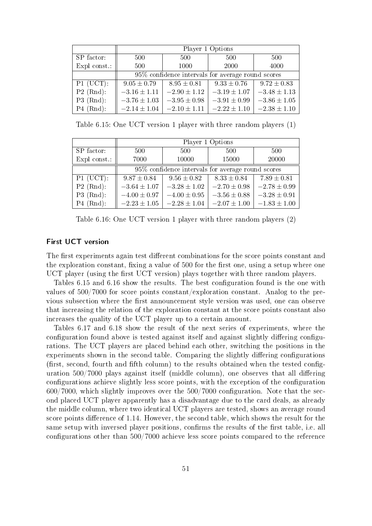|                        | Player 1 Options                                  |                  |                  |                  |  |  |  |
|------------------------|---------------------------------------------------|------------------|------------------|------------------|--|--|--|
| SP factor:             | 500<br>500                                        |                  | 500              | 500              |  |  |  |
| Expl const.:           | 500                                               | 1000             | 2000             | 4000             |  |  |  |
|                        | 95% confidence intervals for average round scores |                  |                  |                  |  |  |  |
| $\overline{P1}$ (UCT): | $9.05 \pm 0.79$                                   | $8.95 \pm 0.81$  | $9.33 \pm 0.76$  | $9.72 \pm 0.83$  |  |  |  |
| $P2$ (Rnd):            | $-3.16 \pm 1.11$                                  | $-2.90 \pm 1.12$ | $-3.19 \pm 1.07$ | $-3.48 \pm 1.13$ |  |  |  |
| $P3$ (Rnd):            | $-3.76 \pm 1.03$                                  | $-3.95 \pm 0.98$ | $-3.91 \pm 0.99$ | $-3.86 \pm 1.05$ |  |  |  |
| $P4$ (Rnd):            | $-2.14 \pm 1.04$                                  | $-2.10 \pm 1.11$ | $-2.22 \pm 1.10$ | $-2.38 \pm 1.10$ |  |  |  |

Table 6.15: One UCT version 1 player with three random players (1)

|              | Player 1 Options                                  |                  |                  |                  |  |  |  |
|--------------|---------------------------------------------------|------------------|------------------|------------------|--|--|--|
| SP factor:   | 500<br>500                                        |                  | 500              | 500              |  |  |  |
| Expl const.: | 7000<br>10000                                     |                  | 15000            | 20000            |  |  |  |
|              | 95% confidence intervals for average round scores |                  |                  |                  |  |  |  |
| $P1$ (UCT):  | $9.87 \pm 0.84$                                   | $9.56 \pm 0.82$  | $8.33 \pm 0.84$  | $7.89 \pm 0.81$  |  |  |  |
| $P2$ (Rnd):  | $-3.64 \pm 1.07$                                  | $-3.28 \pm 1.02$ | $-2.70 \pm 0.98$ | $-2.78 \pm 0.99$ |  |  |  |
| $P3$ (Rnd):  | $-4.00 \pm 0.97$                                  | $-4.00 \pm 0.95$ | $-3.56 \pm 0.88$ | $-3.28 \pm 0.91$ |  |  |  |
| $P4$ (Rnd):  | $-2.23 \pm 1.05$                                  | $-2.28 \pm 1.04$ | $-2.07 \pm 1.00$ | $-1.83 \pm 1.00$ |  |  |  |

Table 6.16: One UCT version 1 player with three random players (2)

#### First UCT version

The first experiments again test different combinations for the score points constant and the exploration constant, fixing a value of 500 for the first one, using a setup where one UCT player (using the first UCT version) plays together with three random players.

Tables 6.15 and 6.16 show the results. The best configuration found is the one with values of 500/7000 for score points constant/exploration constant. Analog to the previous subsection where the first announcement style version was used, one can observe that increasing the relation of the exploration constant at the score points constant also increases the quality of the UCT player up to a certain amount.

Tables 6.17 and 6.18 show the result of the next series of experiments, where the configuration found above is tested against itself and against slightly differing configurations. The UCT players are placed behind each other, switching the positions in the experiments shown in the second table. Comparing the slightly differing configurations  $(f$  first, second, fourth and fifth column) to the results obtained when the tested configuration  $500/7000$  plays against itself (middle column), one observes that all differing configurations achieve slightly less score points, with the exception of the configuration 600/7000, which slightly improves over the 500/7000 conguration. Note that the second placed UCT player apparently has a disadvantage due to the card deals, as already the middle column, where two identical UCT players are tested, shows an average round score points difference of 1.14. However, the second table, which shows the result for the same setup with inversed player positions, confirms the results of the first table, i.e. all configurations other than 500/7000 achieve less score points compared to the reference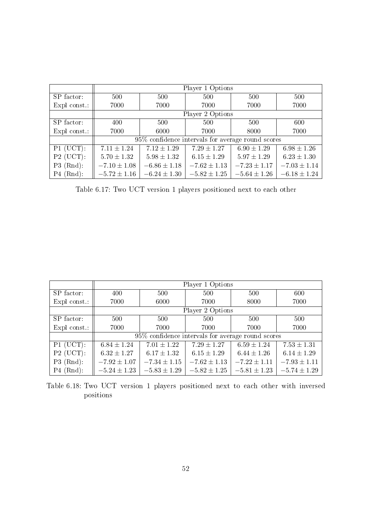|              | Player 1 Options                                  |                  |                  |                  |                  |  |  |
|--------------|---------------------------------------------------|------------------|------------------|------------------|------------------|--|--|
| SP factor:   | 500                                               | 500              | 500              | 500              | 500              |  |  |
| Expl const.: | 7000                                              | 7000             | 7000             | 7000             | 7000             |  |  |
|              |                                                   |                  | Player 2 Options |                  |                  |  |  |
| SP factor:   | 400                                               | 500              | 500              | 500              | 600              |  |  |
| Expl const.: | 7000                                              | 6000             | 7000             | 8000             | 7000             |  |  |
|              | 95% confidence intervals for average round scores |                  |                  |                  |                  |  |  |
| $P1$ (UCT):  | $7.11 \pm 1.24$                                   | $7.12 \pm 1.29$  | $7.29 \pm 1.27$  | $6.90 \pm 1.29$  | $6.98 \pm 1.26$  |  |  |
| $P2$ (UCT):  | $5.70 \pm 1.32$                                   | $5.98 \pm 1.32$  | $6.15 \pm 1.29$  | $5.97 \pm 1.29$  | $6.23 \pm 1.30$  |  |  |
| $P3$ (Rnd):  | $-7.10 \pm 1.08$                                  | $-6.86 \pm 1.18$ | $-7.62 \pm 1.13$ | $-7.23 \pm 1.17$ | $-7.03 \pm 1.14$ |  |  |
| $P4$ (Rnd):  | $-5.72 \pm 1.16$                                  | $-6.24 \pm 1.30$ | $-5.82 \pm 1.25$ | $-5.64 \pm 1.26$ | $-6.18 \pm 1.24$ |  |  |

Table 6.17: Two UCT version 1 players positioned next to each other

|              |                                                   | Player 1 Options |                  |                  |                  |  |  |  |
|--------------|---------------------------------------------------|------------------|------------------|------------------|------------------|--|--|--|
| SP factor:   | 400                                               | 500              | 500              | 500              | 600              |  |  |  |
| Expl const.: | 7000                                              | 6000             | 7000             | 8000             | 7000             |  |  |  |
|              | Player 2 Options                                  |                  |                  |                  |                  |  |  |  |
| SP factor:   | 500                                               | 500              | 500              | 500              | 500              |  |  |  |
| Expl const.: | 7000                                              | 7000             | 7000             | 7000             | 7000             |  |  |  |
|              | 95% confidence intervals for average round scores |                  |                  |                  |                  |  |  |  |
| $P1$ (UCT):  | $6.84 \pm 1.24$                                   | $7.01 \pm 1.22$  | $7.29 \pm 1.27$  | $6.59 \pm 1.24$  | $7.53 \pm 1.31$  |  |  |  |
| $P2$ (UCT):  | $6.32 \pm 1.27$                                   | $6.17 \pm 1.32$  | $6.15 \pm 1.29$  | $6.44 \pm 1.26$  | $6.14 \pm 1.29$  |  |  |  |
| $P3$ (Rnd):  | $-7.92 \pm 1.07$                                  | $-7.34 \pm 1.15$ | $-7.62 \pm 1.13$ | $-7.22 \pm 1.11$ | $-7.93 \pm 1.11$ |  |  |  |
| $P4$ (Rnd):  | $-5.24 \pm 1.23$                                  | $-5.83 \pm 1.29$ | $-5.82 \pm 1.25$ | $-5.81 \pm 1.23$ | $-5.74 \pm 1.29$ |  |  |  |

Table 6.18: Two UCT version 1 players positioned next to each other with inversed positions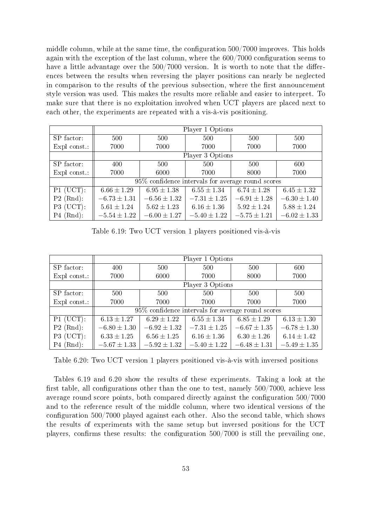middle column, while at the same time, the configuration  $500/7000$  improves. This holds again with the exception of the last column, where the 600/7000 configuration seems to have a little advantage over the  $500/7000$  version. It is worth to note that the differences between the results when reversing the player positions can nearly be neglected in comparison to the results of the previous subsection, where the first announcement style version was used. This makes the results more reliable and easier to interpret. To make sure that there is no exploitation involved when UCT players are placed next to each other, the experiments are repeated with a vis-à-vis positioning.

|              | Player 1 Options                                  |                  |                  |                  |                  |  |  |  |
|--------------|---------------------------------------------------|------------------|------------------|------------------|------------------|--|--|--|
| SP factor:   | 500                                               | 500              | 500              | 500              | 500              |  |  |  |
| Expl const.: | 7000                                              | 7000             | 7000             | 7000             | 7000             |  |  |  |
|              |                                                   | Player 3 Options |                  |                  |                  |  |  |  |
| SP factor:   | 400                                               | 500              | 500              | 500              | 600              |  |  |  |
| Expl const.: | 7000                                              | 6000             | 7000             | 8000             | 7000             |  |  |  |
|              | 95% confidence intervals for average round scores |                  |                  |                  |                  |  |  |  |
| $P1$ (UCT):  | $6.66 \pm 1.29$                                   | $6.95 \pm 1.38$  | $6.55 \pm 1.34$  | $6.74 \pm 1.28$  | $6.45 \pm 1.32$  |  |  |  |
| $P2$ (Rnd):  | $-6.73 \pm 1.31$                                  | $-6.56 \pm 1.32$ | $-7.31 \pm 1.25$ | $-6.91 \pm 1.28$ | $-6.30 \pm 1.40$ |  |  |  |
| $P3$ (UCT):  | $5.61 \pm 1.24$                                   | $5.62 \pm 1.23$  | $6.16 \pm 1.36$  | $5.92 \pm 1.24$  | $5.88 \pm 1.24$  |  |  |  |
| $P4$ (Rnd):  | $-5.54 \pm 1.22$                                  | $-6.00 \pm 1.27$ | $-5.40 \pm 1.22$ | $-5.75 \pm 1.21$ | $-6.02 \pm 1.33$ |  |  |  |

Table 6.19: Two UCT version 1 players positioned vis-à-vis

|              | Player 1 Options                                  |                  |                  |                  |                  |  |  |
|--------------|---------------------------------------------------|------------------|------------------|------------------|------------------|--|--|
| SP factor:   | 400                                               | 500              | 500              | 500              | 600              |  |  |
| Expl const.: | 7000                                              | 6000             | 7000             | 8000             | 7000             |  |  |
|              |                                                   |                  | Player 3 Options |                  |                  |  |  |
| SP factor:   | 500                                               | 500              | 500              | 500              | 500              |  |  |
| Expl const.: | 7000                                              | 7000             | 7000             | 7000             | 7000             |  |  |
|              | 95% confidence intervals for average round scores |                  |                  |                  |                  |  |  |
| $P1$ (UCT):  | $6.13 \pm 1.27$                                   | $6.29 \pm 1.22$  | $6.55 \pm 1.34$  | $6.85 \pm 1.29$  | $6.13 \pm 1.30$  |  |  |
| $P2$ (Rnd):  | $-6.80 \pm 1.30$                                  | $-6.92 \pm 1.32$ | $-7.31 \pm 1.25$ | $-6.67 \pm 1.35$ | $-6.78 \pm 1.30$ |  |  |
| $P3$ (UCT):  | $6.33 \pm 1.25$                                   | $6.56 \pm 1.25$  | $6.16 \pm 1.36$  | $6.30 \pm 1.26$  | $6.14 \pm 1.42$  |  |  |
| $P4$ (Rnd):  | $-5.67 \pm 1.33$                                  | $-5.92 \pm 1.32$ | $-5.40 \pm 1.22$ | $-6.48 \pm 1.31$ | $-5.49 \pm 1.35$ |  |  |

Table 6.20: Two UCT version 1 players positioned vis-à-vis with inversed positions

Tables 6.19 and 6.20 show the results of these experiments. Taking a look at the first table, all configurations other than the one to test, namely  $500/7000$ , achieve less average round score points, both compared directly against the configuration 500/7000 and to the reference result of the middle column, where two identical versions of the configuration 500/7000 played against each other. Also the second table, which shows the results of experiments with the same setup but inversed positions for the UCT players, confirms these results: the configuration  $500/7000$  is still the prevailing one,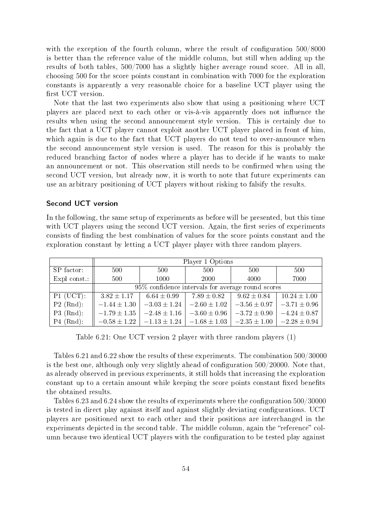with the exception of the fourth column, where the result of configuration 500/8000 is better than the reference value of the middle column, but still when adding up the results of both tables, 500/7000 has a slightly higher average round score. All in all, choosing 500 for the score points constant in combination with 7000 for the exploration constants is apparently a very reasonable choice for a baseline UCT player using the first UCT version.

Note that the last two experiments also show that using a positioning where UCT players are placed next to each other or vis-à-vis apparently does not influence the results when using the second announcement style version. This is certainly due to the fact that a UCT player cannot exploit another UCT player placed in front of him, which again is due to the fact that UCT players do not tend to over-announce when the second announcement style version is used. The reason for this is probably the reduced branching factor of nodes where a player has to decide if he wants to make an announcement or not. This observation still needs to be confirmed when using the second UCT version, but already now, it is worth to note that future experiments can use an arbitrary positioning of UCT players without risking to falsify the results.

#### Second UCT version

In the following, the same setup of experiments as before will be presented, but this time with UCT players using the second UCT version. Again, the first series of experiments consists of nding the best combination of values for the score points constant and the exploration constant by letting a UCT player player with three random players.

|              | Player 1 Options                                     |                  |                  |                  |                  |  |
|--------------|------------------------------------------------------|------------------|------------------|------------------|------------------|--|
| SP factor:   | 500                                                  | 500              | 500              | 500              | 500              |  |
| Expl const.: | 500                                                  | 1000             | 2000             | 4000             | 7000             |  |
|              | $95\%$ confidence intervals for average round scores |                  |                  |                  |                  |  |
| $P1$ (UCT):  | $3.82 \pm 1.17$                                      | $6.64 \pm 0.99$  | $7.89 \pm 0.82$  | $9.62 \pm 0.84$  | $10.24 \pm 1.00$ |  |
| $P2$ (Rnd):  | $-1.44 \pm 1.30$                                     | $-3.03 \pm 1.24$ | $-2.60 \pm 1.02$ | $-3.56 \pm 0.97$ | $-3.71 \pm 0.96$ |  |
| $P3$ (Rnd):  | $-1.79 \pm 1.35$                                     | $-2.48 \pm 1.16$ | $-3.60 \pm 0.96$ | $-3.72 \pm 0.90$ | $-4.24 \pm 0.87$ |  |
| $P4$ (Rnd):  | $-0.58 \pm 1.22$                                     | $-1.13 \pm 1.24$ | $-1.68 \pm 1.03$ | $-2.35 \pm 1.00$ | $-2.28 \pm 0.94$ |  |

Table 6.21: One UCT version 2 player with three random players (1)

Tables 6.21 and 6.22 show the results of these experiments. The combination 500/30000 is the best one, although only very slightly ahead of configuration  $500/20000$ . Note that, as already observed in previous experiments, it still holds that increasing the exploration constant up to a certain amount while keeping the score points constant fixed benefits the obtained results.

Tables 6.23 and 6.24 show the results of experiments where the configuration  $500/30000$ is tested in direct play against itself and against slightly deviating configurations. UCT players are positioned next to each other and their positions are interchanged in the experiments depicted in the second table. The middle column, again the "reference" column because two identical UCT players with the configuration to be tested play against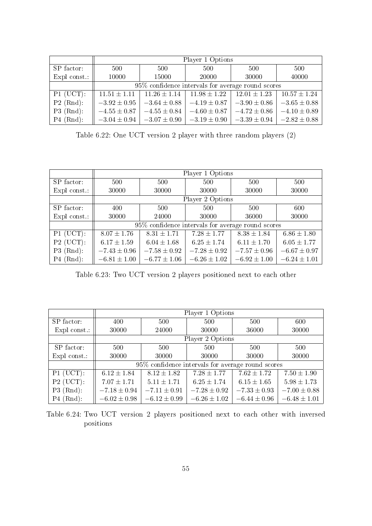|              | Player 1 Options                                  |                  |                  |                  |                  |  |
|--------------|---------------------------------------------------|------------------|------------------|------------------|------------------|--|
| SP factor:   | 500                                               | 500              | 500              | 500              | 500              |  |
| Expl const.: | 10000                                             | 15000            | 20000            | 30000            | 40000            |  |
|              | 95% confidence intervals for average round scores |                  |                  |                  |                  |  |
| $P1$ (UCT):  | $11.51 \pm 1.11$                                  | $11.26 \pm 1.14$ | $11.98 \pm 1.22$ | $12.01 \pm 1.23$ | $10.57 \pm 1.24$ |  |
| $P2$ (Rnd):  | $-3.92 \pm 0.95$                                  | $-3.64 \pm 0.88$ | $-4.19 \pm 0.87$ | $-3.90 \pm 0.86$ | $-3.65 \pm 0.88$ |  |
| $P3$ (Rnd):  | $-4.55 \pm 0.87$                                  | $-4.55 \pm 0.84$ | $-4.60 \pm 0.87$ | $-4.72 \pm 0.86$ | $-4.10 \pm 0.89$ |  |
| $P4$ (Rnd):  | $-3.04 \pm 0.94$                                  | $-3.07 \pm 0.90$ | $-3.19 \pm 0.90$ | $-3.39 \pm 0.94$ | $-2.82 \pm 0.88$ |  |

Table 6.22: One UCT version 2 player with three random players (2)

|              | Player 1 Options                                   |                  |                  |                  |                  |  |  |
|--------------|----------------------------------------------------|------------------|------------------|------------------|------------------|--|--|
| SP factor:   | 500                                                | 500              | 500              | 500              | 500              |  |  |
| Expl const.: | 30000                                              | 30000            | 30000            | 30000            | 30000            |  |  |
|              | Player 2 Options                                   |                  |                  |                  |                  |  |  |
| SP factor:   | 400                                                | 500              | 500              | 500              | 600              |  |  |
| Expl const.: | 30000                                              | 24000            | 30000            | 36000            | 30000            |  |  |
|              | 95\% confidence intervals for average round scores |                  |                  |                  |                  |  |  |
| $P1$ (UCT):  | $8.07 \pm 1.76$                                    | $8.31 \pm 1.71$  | $7.28 \pm 1.77$  | $8.38 \pm 1.84$  | $6.86 \pm 1.80$  |  |  |
| $P2$ (UCT):  | $6.17 \pm 1.59$                                    | $6.04 \pm 1.68$  | $6.25 \pm 1.74$  | $6.11 \pm 1.70$  | $6.05 \pm 1.77$  |  |  |
| $P3$ (Rnd):  | $-7.43 \pm 0.96$                                   | $-7.58 \pm 0.92$ | $-7.28 \pm 0.92$ | $-7.57 \pm 0.96$ | $-6.67 \pm 0.97$ |  |  |
| $P4$ (Rnd):  | $-6.81 \pm 1.00$                                   | $-6.77 \pm 1.06$ | $-6.26 \pm 1.02$ | $-6.92 \pm 1.00$ | $-6.24 \pm 1.01$ |  |  |

Table 6.23: Two UCT version 2 players positioned next to each other

|              | Player 1 Options                                  |                  |                  |                  |                  |  |  |
|--------------|---------------------------------------------------|------------------|------------------|------------------|------------------|--|--|
| SP factor:   | 400                                               | 500              | 500              | 500              | 600              |  |  |
| Expl const.: | 30000                                             | 24000            | 30000            | 36000            | 30000            |  |  |
|              |                                                   |                  | Player 2 Options |                  |                  |  |  |
| SP factor:   | 500                                               | 500              | 500              | 500              | 500              |  |  |
| Expl const.: | 30000                                             | 30000            | 30000            | 30000            | 30000            |  |  |
|              | 95% confidence intervals for average round scores |                  |                  |                  |                  |  |  |
| $P1$ (UCT):  | $6.12 \pm 1.84$                                   | $8.12 \pm 1.82$  | $7.28 \pm 1.77$  | $7.62 \pm 1.72$  | $7.50 \pm 1.90$  |  |  |
| $P2$ (UCT):  | $7.07 \pm 1.71$                                   | $5.11 \pm 1.71$  | $6.25 \pm 1.74$  | $6.15 \pm 1.65$  | $5.98 \pm 1.73$  |  |  |
| $P3$ (Rnd):  | $-7.18 \pm 0.94$                                  | $-7.11 \pm 0.91$ | $-7.28 \pm 0.92$ | $-7.33 \pm 0.93$ | $-7.00 \pm 0.88$ |  |  |
| $P4$ (Rnd):  | $-6.02 \pm 0.98$                                  | $-6.12 \pm 0.99$ | $-6.26 \pm 1.02$ | $-6.44 \pm 0.96$ | $-6.48 \pm 1.01$ |  |  |

Table 6.24: Two UCT version 2 players positioned next to each other with inversed positions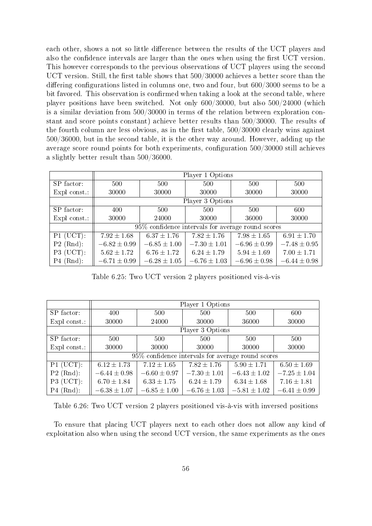each other, shows a not so little difference between the results of the UCT players and also the confidence intervals are larger than the ones when using the first UCT version. This however corresponds to the previous observations of UCT players using the second UCT version. Still, the first table shows that  $500/30000$  achieves a better score than the differing configurations listed in columns one, two and four, but  $600/3000$  seems to be a bit favored. This observation is confirmed when taking a look at the second table, where player positions have been switched. Not only 600/30000, but also 500/24000 (which is a similar deviation from 500/30000 in terms of the relation between exploration constant and score points constant) achieve better results than 500/30000. The results of the fourth column are less obvious, as in the first table,  $500/30000$  clearly wins against 500/36000, but in the second table, it is the other way around. However, adding up the average score round points for both experiments, configuration 500/30000 still achieves a slightly better result than 500/36000.

|              | Player 1 Options                                  |                  |                  |                  |                  |  |  |
|--------------|---------------------------------------------------|------------------|------------------|------------------|------------------|--|--|
| SP factor:   | 500                                               | 500              | 500              | 500              | 500              |  |  |
| Expl const.: | 30000                                             | 30000            | 30000            | 30000            | 30000            |  |  |
|              |                                                   | Player 3 Options |                  |                  |                  |  |  |
| SP factor:   | 400                                               | 500              | 500              | 500              | 600              |  |  |
| Expl const.: | 30000                                             | 24000            | 30000            | 36000            | 30000            |  |  |
|              | 95% confidence intervals for average round scores |                  |                  |                  |                  |  |  |
| $P1$ (UCT):  | $7.92 \pm 1.68$                                   | $6.37 \pm 1.76$  | $7.82 \pm 1.76$  | $7.98 \pm 1.65$  | $6.91 \pm 1.70$  |  |  |
| $P2$ (Rnd):  | $-6.82 \pm 0.99$                                  | $-6.85 \pm 1.00$ | $-7.30 \pm 1.01$ | $-6.96 \pm 0.99$ | $-7.48 \pm 0.95$ |  |  |
| $P3$ (UCT):  | $5.62 \pm 1.72$                                   | $6.76 \pm 1.72$  | $6.24 \pm 1.79$  | $5.94 \pm 1.69$  | $7.00 \pm 1.71$  |  |  |
| $P4$ (Rnd):  | $-6.71 \pm 0.99$                                  | $-6.28 \pm 1.05$ | $-6.76 \pm 1.03$ | $-6.96 \pm 0.98$ | $-6.44 \pm 0.98$ |  |  |

Table 6.25: Two UCT version 2 players positioned vis-à-vis

|              | Player 1 Options |                  |                  |                                                    |                  |  |  |
|--------------|------------------|------------------|------------------|----------------------------------------------------|------------------|--|--|
| SP factor:   | 400              | 500              | 500              | 500                                                | 600              |  |  |
| Expl const.: | 30000            | 24000            | 30000            | 36000                                              | 30000            |  |  |
|              |                  | Player 3 Options |                  |                                                    |                  |  |  |
| SP factor:   | 500              | 500              | 500              | 500                                                | 500              |  |  |
| Expl const.: | 30000            | 30000            | 30000            | 30000                                              | 30000            |  |  |
|              |                  |                  |                  | 95\% confidence intervals for average round scores |                  |  |  |
| $P1$ (UCT):  | $6.12 \pm 1.73$  | $7.12 \pm 1.65$  | $7.82 \pm 1.76$  | $5.90 \pm 1.71$                                    | $6.50 \pm 1.69$  |  |  |
| $P2$ (Rnd):  | $-6.44 \pm 0.98$ | $-6.60 \pm 0.97$ | $-7.30 \pm 1.01$ | $-6.43 \pm 1.02$                                   | $-7.25 \pm 1.04$ |  |  |
| $P3$ (UCT):  | $6.70 \pm 1.84$  | $6.33 \pm 1.75$  | $6.24 \pm 1.79$  | $6.34 \pm 1.68$                                    | $7.16 \pm 1.81$  |  |  |
| $P4$ (Rnd):  | $-6.38 \pm 1.07$ | $-6.85 \pm 1.00$ | $-6.76 \pm 1.03$ | $-5.81 \pm 1.02$                                   | $-6.41 \pm 0.99$ |  |  |

Table 6.26: Two UCT version 2 players positioned vis-à-vis with inversed positions

To ensure that placing UCT players next to each other does not allow any kind of exploitation also when using the second UCT version, the same experiments as the ones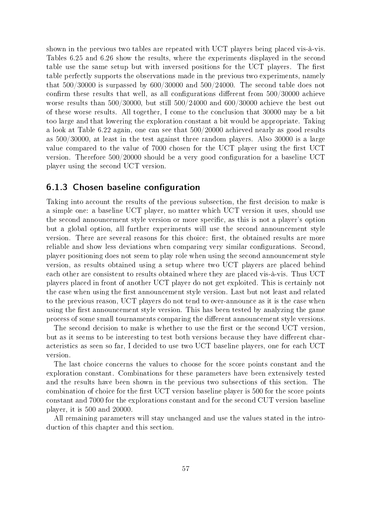shown in the previous two tables are repeated with UCT players being placed vis-à-vis. Tables 6.25 and 6.26 show the results, where the experiments displayed in the second table use the same setup but with inversed positions for the UCT players. The first table perfectly supports the observations made in the previous two experiments, namely that  $500/30000$  is surpassed by  $600/30000$  and  $500/24000$ . The second table does not confirm these results that well, as all configurations different from  $500/30000$  achieve worse results than 500/30000, but still 500/24000 and 600/30000 achieve the best out of these worse results. All together, I come to the conclusion that 30000 may be a bit too large and that lowering the exploration constant a bit would be appropriate. Taking a look at Table 6.22 again, one can see that 500/20000 achieved nearly as good results as 500/30000, at least in the test against three random players. Also 30000 is a large value compared to the value of 7000 chosen for the UCT player using the first UCT version. Therefore 500/20000 should be a very good conguration for a baseline UCT player using the second UCT version.

### 6.1.3 Chosen baseline configuration

Taking into account the results of the previous subsection, the first decision to make is a simple one: a baseline UCT player, no matter which UCT version it uses, should use the second announcement style version or more specific, as this is not a player's option but a global option, all further experiments will use the second announcement style version. There are several reasons for this choice: first, the obtained results are more reliable and show less deviations when comparing very similar configurations. Second, player positioning does not seem to play role when using the second announcement style version, as results obtained using a setup where two UCT players are placed behind each other are consistent to results obtained where they are placed vis-à-vis. Thus UCT players placed in front of another UCT player do not get exploited. This is certainly not the case when using the first announcement style version. Last but not least and related to the previous reason, UCT players do not tend to over-announce as it is the case when using the first announcement style version. This has been tested by analyzing the game process of some small tournaments comparing the different announcement style versions.

The second decision to make is whether to use the first or the second UCT version, but as it seems to be interesting to test both versions because they have different characteristics as seen so far, I decided to use two UCT baseline players, one for each UCT version.

The last choice concerns the values to choose for the score points constant and the exploration constant. Combinations for these parameters have been extensively tested and the results have been shown in the previous two subsections of this section. The combination of choice for the first UCT version baseline player is 500 for the score points constant and 7000 for the explorations constant and for the second CUT version baseline player, it is 500 and 20000.

All remaining parameters will stay unchanged and use the values stated in the introduction of this chapter and this section.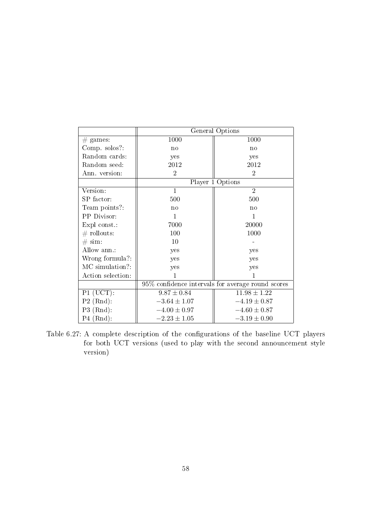|                      | General Options  |                                                   |  |  |
|----------------------|------------------|---------------------------------------------------|--|--|
| $#$ games:           | 1000             | 1000                                              |  |  |
| Comp. solos?:        | no               | no                                                |  |  |
| Random cards:        | yes              | yes                                               |  |  |
| Random seed:         | 2012             | 2012                                              |  |  |
| Ann. version:        | $\overline{2}$   | $\overline{2}$                                    |  |  |
|                      |                  | Player 1 Options                                  |  |  |
| Version:             | $\mathbf{1}$     | $\overline{2}$                                    |  |  |
| SP factor:           | 500              | 500                                               |  |  |
| Team points?:        | no               | no                                                |  |  |
| PP Divisor:          | 1                | 1                                                 |  |  |
| Expl const.:         | 7000             | 20000                                             |  |  |
| $\#$ rollouts:       | 100              | 1000                                              |  |  |
| $\# \, \text{sim}$ : | 10               |                                                   |  |  |
| Allow ann.:          | yes              | yes                                               |  |  |
| Wrong formula?:      | yes              | yes                                               |  |  |
| MC simulation?:      | yes              | yes                                               |  |  |
| Action selection:    | 1                | 1                                                 |  |  |
|                      |                  | 95% confidence intervals for average round scores |  |  |
| $P1$ (UCT):          | $9.87 \pm 0.84$  | $11.98 \pm 1.22$                                  |  |  |
| $P2$ (Rnd):          | $-3.64 \pm 1.07$ | $-4.19 \pm 0.87$                                  |  |  |
| $P3$ (Rnd):          | $-4.00 \pm 0.97$ | $-4.60 \pm 0.87$                                  |  |  |
| $P4$ (Rnd):          | $-2.23 \pm 1.05$ | $-3.19 \pm 0.90$                                  |  |  |

Table 6.27: A complete description of the configurations of the baseline UCT players for both UCT versions (used to play with the second announcement style version)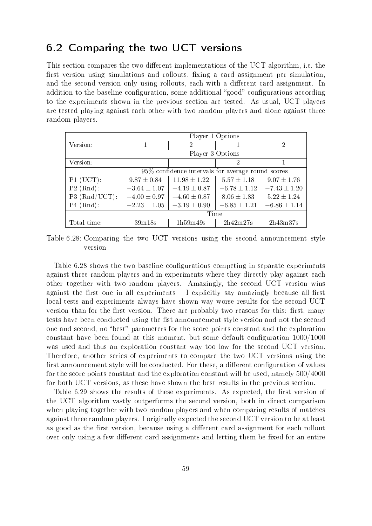# 6.2 Comparing the two UCT versions

This section compares the two different implementations of the UCT algorithm, i.e. the first version using simulations and rollouts, fixing a card assignment per simulation, and the second version only using rollouts, each with a different card assignment. In addition to the baseline configuration, some additional "good" configurations according to the experiments shown in the previous section are tested. As usual, UCT players are tested playing against each other with two random players and alone against three random players.

|                  | Player 1 Options                                   |                  |                  |                  |  |
|------------------|----------------------------------------------------|------------------|------------------|------------------|--|
| Version:         |                                                    | 2                |                  | $\overline{2}$   |  |
|                  |                                                    |                  | Player 3 Options |                  |  |
| Version:         |                                                    |                  | 2                |                  |  |
|                  | 95\% confidence intervals for average round scores |                  |                  |                  |  |
| $P1$ (UCT):      | $9.87 \pm 0.84$                                    | $11.98 \pm 1.22$ | $5.57 \pm 1.18$  | $9.07 \pm 1.76$  |  |
| $P2$ (Rnd):      | $-3.64 \pm 1.07$                                   | $-4.19 \pm 0.87$ | $-6.78 \pm 1.12$ | $-7.43 \pm 1.20$ |  |
| $P3 (Rnd/UCT)$ : | $-4.00 \pm 0.97$                                   | $-4.60 \pm 0.87$ | $8.06 \pm 1.83$  | $5.22 \pm 1.24$  |  |
| $P4$ (Rnd):      | $-2.23 \pm 1.05$                                   | $-3.19 \pm 0.90$ | $-6.85 \pm 1.21$ | $-6.86 \pm 1.14$ |  |
|                  | Time                                               |                  |                  |                  |  |
| Total time:      | 39m18s                                             | 1h59m49s         | 2h42m27s         | 2h43m37s         |  |

Table 6.28: Comparing the two UCT versions using the second announcement style version

Table 6.28 shows the two baseline configurations competing in separate experiments against three random players and in experiments where they directly play against each other together with two random players. Amazingly, the second UCT version wins against the first one in all experiments  $-$  I explicitly say amazingly because all first local tests and experiments always have shown way worse results for the second UCT version than for the first version. There are probably two reasons for this: first, many tests have been conducted using the fist announcement style version and not the second one and second, no "best" parameters for the score points constant and the exploration constant have been found at this moment, but some default configuration  $1000/1000$ was used and thus an exploration constant way too low for the second UCT version. Therefore, another series of experiments to compare the two UCT versions using the first announcement style will be conducted. For these, a different configuration of values for the score points constant and the exploration constant will be used, namely 500/4000 for both UCT versions, as these have shown the best results in the previous section.

Table 6.29 shows the results of these experiments. As expected, the first version of the UCT algorithm vastly outperforms the second version, both in direct comparison when playing together with two random players and when comparing results of matches against three random players. I originally expected the second UCT version to be at least as good as the first version, because using a different card assignment for each rollout over only using a few different card assignments and letting them be fixed for an entire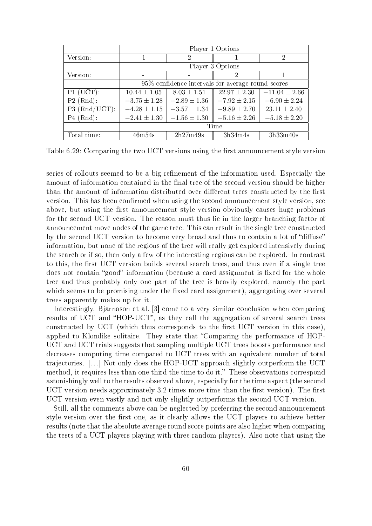|                 | Player 1 Options |                                                      |                  |                   |  |
|-----------------|------------------|------------------------------------------------------|------------------|-------------------|--|
| Version:        |                  | $\overline{2}$                                       |                  | $\mathcal{D}$     |  |
|                 |                  |                                                      | Player 3 Options |                   |  |
| Version:        |                  |                                                      |                  |                   |  |
|                 |                  | $95\%$ confidence intervals for average round scores |                  |                   |  |
| $P1$ (UCT):     | $10.44 \pm 1.05$ | $8.03 \pm 1.51$                                      | $22.97 \pm 2.30$ | $-11.04 \pm 2.66$ |  |
| $P2$ (Rnd):     | $-3.75 \pm 1.28$ | $-2.89 \pm 1.36$                                     | $-7.92 \pm 2.15$ | $-6.90 \pm 2.24$  |  |
| $P3$ (Rnd/UCT): | $-4.28 \pm 1.15$ | $-3.57 \pm 1.34$                                     | $-9.89 \pm 2.70$ | $23.11 \pm 2.40$  |  |
| $P4$ (Rnd):     | $-2.41 \pm 1.30$ | $-1.56 \pm 1.30$                                     | $-5.16 \pm 2.26$ | $-5.18 \pm 2.20$  |  |
|                 | Time             |                                                      |                  |                   |  |
| Total time:     | 46m54s           | 2h27m49s                                             | 3h34m4s          | 3h33m40s          |  |

Table 6.29: Comparing the two UCT versions using the first announcement style version

series of rollouts seemed to be a big refinement of the information used. Especially the amount of information contained in the final tree of the second version should be higher than the amount of information distributed over different trees constructed by the first version. This has been confirmed when using the second announcement style version, see above, but using the first announcement style version obviously causes huge problems for the second UCT version. The reason must thus lie in the larger branching factor of announcement move nodes of the game tree. This can result in the single tree constructed by the second UCT version to become very broad and thus to contain a lot of "diffuse" information, but none of the regions of the tree will really get explored intensively during the search or if so, then only a few of the interesting regions can be explored. In contrast to this, the first UCT version builds several search trees, and thus even if a single tree does not contain "good" information (because a card assignment is fixed for the whole tree and thus probably only one part of the tree is heavily explored, namely the part which seems to be promising under the fixed card assignment), aggregating over several trees apparently makes up for it.

Interestingly, Bjarnason et al. [3] come to a very similar conclusion when comparing results of UCT and "HOP-UCT", as they call the aggregation of several search trees constructed by UCT (which thus corresponds to the first UCT version in this case), applied to Klondike solitaire. They state that "Comparing the performance of HOP-UCT and UCT trials suggests that sampling multiple UCT trees boosts performance and decreases computing time compared to UCT trees with an equivalent number of total trajectories. [. . .] Not only does the HOP-UCT approach slightly outperform the UCT method, it requires less than one third the time to do it." These observations correspond astonishingly well to the results observed above, especially for the time aspect (the second UCT version needs approximately 3.2 times more time than the first version). The first UCT version even vastly and not only slightly outperforms the second UCT version.

Still, all the comments above can be neglected by preferring the second announcement style version over the first one, as it clearly allows the UCT players to achieve better results (note that the absolute average round score points are also higher when comparing the tests of a UCT players playing with three random players). Also note that using the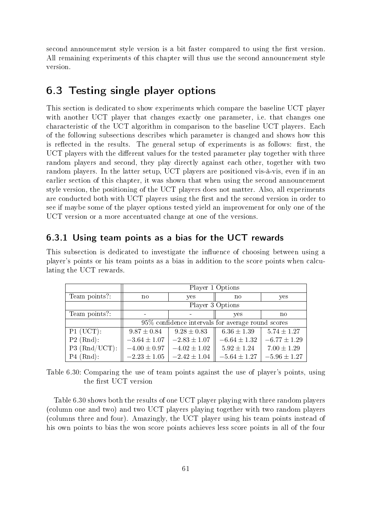second announcement style version is a bit faster compared to using the first version. All remaining experiments of this chapter will thus use the second announcement style version.

# 6.3 Testing single player options

This section is dedicated to show experiments which compare the baseline UCT player with another UCT player that changes exactly one parameter, i.e. that changes one characteristic of the UCT algorithm in comparison to the baseline UCT players. Each of the following subsections describes which parameter is changed and shows how this is reflected in the results. The general setup of experiments is as follows: first, the UCT players with the different values for the tested parameter play together with three random players and second, they play directly against each other, together with two random players. In the latter setup, UCT players are positioned vis-à-vis, even if in an earlier section of this chapter, it was shown that when using the second announcement style version, the positioning of the UCT players does not matter. Also, all experiments are conducted both with UCT players using the first and the second version in order to see if maybe some of the player options tested yield an improvement for only one of the UCT version or a more accentuated change at one of the versions.

### 6.3.1 Using team points as a bias for the UCT rewards

This subsection is dedicated to investigate the influence of choosing between using a player's points or his team points as a bias in addition to the score points when calculating the UCT rewards.

|                  | Player 1 Options                                  |                  |                  |                  |  |  |
|------------------|---------------------------------------------------|------------------|------------------|------------------|--|--|
| Team points?:    | no                                                | yes              | no               | yes              |  |  |
|                  | Player 3 Options                                  |                  |                  |                  |  |  |
| Team points?:    |                                                   |                  | yes              | no               |  |  |
|                  | 95% confidence intervals for average round scores |                  |                  |                  |  |  |
| $P1$ (UCT):      | $9.87 \pm 0.84$                                   | $9.28 \pm 0.83$  | $6.36 \pm 1.39$  | $5.74 \pm 1.27$  |  |  |
| $P2$ (Rnd):      | $-3.64 \pm 1.07$                                  | $-2.83 \pm 1.07$ | $-6.64 \pm 1.32$ | $-6.77 \pm 1.29$ |  |  |
| $P3 (Rnd/UCT)$ : | $-4.00 \pm 0.97$                                  | $-4.02 \pm 1.02$ | $5.92 \pm 1.24$  | $7.00 \pm 1.29$  |  |  |
| $P4$ (Rnd):      | $-2.23 \pm 1.05$                                  | $-2.42 \pm 1.04$ | $-5.64 \pm 1.27$ | $-5.96 \pm 1.27$ |  |  |

Table 6.30: Comparing the use of team points against the use of player's points, using the first UCT version

Table 6.30 shows both the results of one UCT player playing with three random players (column one and two) and two UCT players playing together with two random players (columns three and four). Amazingly, the UCT player using his team points instead of his own points to bias the won score points achieves less score points in all of the four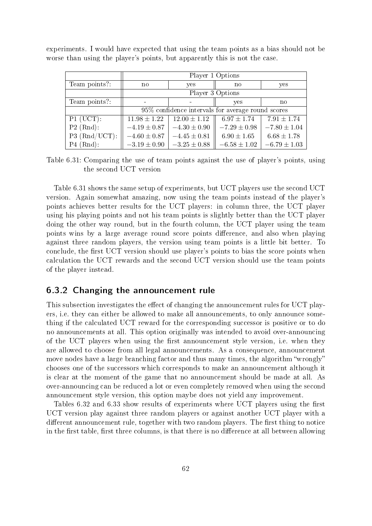|                 | Player 1 Options                                  |                  |                  |                  |  |  |
|-----------------|---------------------------------------------------|------------------|------------------|------------------|--|--|
| Team points?:   | $\mathbf{n}$                                      | yes              | no               | yes              |  |  |
|                 | Player 3 Options                                  |                  |                  |                  |  |  |
| Team points?:   |                                                   |                  |                  | no               |  |  |
|                 | 95% confidence intervals for average round scores |                  |                  |                  |  |  |
| $P1 (UCT)$ :    | $11.98 \pm 1.22$                                  | $12.00 \pm 1.12$ | $6.97 \pm 1.74$  | $7.91 \pm 1.74$  |  |  |
| $P2$ (Rnd):     | $-4.19 \pm 0.87$                                  | $-4.30 \pm 0.90$ | $-7.29 \pm 0.98$ | $-7.80 \pm 1.04$ |  |  |
| $P3$ (Rnd/UCT): | $-4.60 \pm 0.87$                                  | $-4.45 \pm 0.81$ | $6.90 \pm 1.65$  | $6.68 \pm 1.78$  |  |  |
| $P4$ (Rnd):     | $-3.19 \pm 0.90$                                  | $-3.25 \pm 0.88$ | $-6.58 \pm 1.02$ | $-6.79 \pm 1.03$ |  |  |

experiments. I would have expected that using the team points as a bias should not be worse than using the player's points, but apparently this is not the case.

Table 6.31: Comparing the use of team points against the use of player's points, using the second UCT version

Table 6.31 shows the same setup of experiments, but UCT players use the second UCT version. Again somewhat amazing, now using the team points instead of the player's points achieves better results for the UCT players: in column three, the UCT player using his playing points and not his team points is slightly better than the UCT player doing the other way round, but in the fourth column, the UCT player using the team points wins by a large average round score points difference, and also when playing against three random players, the version using team points is a little bit better. To conclude, the first UCT version should use player's points to bias the score points when calculation the UCT rewards and the second UCT version should use the team points of the player instead.

# 6.3.2 Changing the announcement rule

This subsection investigates the effect of changing the announcement rules for UCT players, i.e. they can either be allowed to make all announcements, to only announce something if the calculated UCT reward for the corresponding successor is positive or to do no announcements at all. This option originally was intended to avoid over-announcing of the UCT players when using the first announcement style version, i.e. when they are allowed to choose from all legal announcements. As a consequence, announcement move nodes have a large branching factor and thus many times, the algorithm "wrongly" chooses one of the successors which corresponds to make an announcement although it is clear at the moment of the game that no announcement should be made at all. As over-announcing can be reduced a lot or even completely removed when using the second announcement style version, this option maybe does not yield any improvement.

Tables 6.32 and 6.33 show results of experiments where UCT players using the first UCT version play against three random players or against another UCT player with a different announcement rule, together with two random players. The first thing to notice in the first table, first three columns, is that there is no difference at all between allowing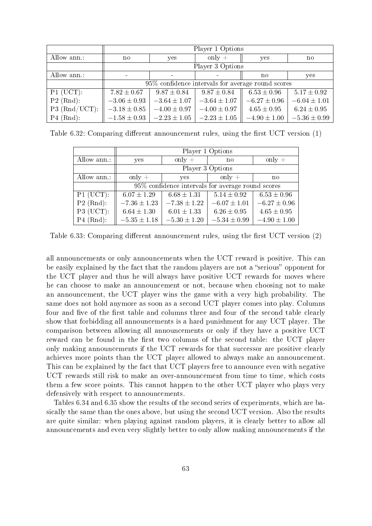|                 | Player 1 Options                                  |                  |                  |                  |                  |  |
|-----------------|---------------------------------------------------|------------------|------------------|------------------|------------------|--|
| Allow ann.:     | no.                                               | yes              | only $+$         | yes              | no               |  |
|                 | Player 3 Options                                  |                  |                  |                  |                  |  |
| Allow ann.:     |                                                   |                  |                  | no               | yes              |  |
|                 | 95% confidence intervals for average round scores |                  |                  |                  |                  |  |
| $P1$ (UCT):     | $7.82\pm0.67$                                     | $9.87 \pm 0.84$  | $9.87 \pm 0.84$  | $6.53 \pm 0.96$  | $5.17 \pm 0.92$  |  |
| $P2$ (Rnd):     | $-3.06 \pm 0.93$                                  | $-3.64 \pm 1.07$ | $-3.64 \pm 1.07$ | $-6.27 \pm 0.96$ | $-6.04 \pm 1.01$ |  |
| $P3$ (Rnd/UCT): | $-3.18 \pm 0.85$                                  | $-4.00 \pm 0.97$ | $-4.00 \pm 0.97$ | $4.65 \pm 0.95$  | $6.24 \pm 0.95$  |  |
| $P4$ (Rnd):     | $-1.58 \pm 0.93$                                  | $-2.23 \pm 1.05$ | $-2.23 \pm 1.05$ | $-4.90 \pm 1.00$ | $-5.36 \pm 0.99$ |  |

Table 6.32: Comparing different announcement rules, using the first UCT version  $(1)$ 

|                        | Player 1 Options                                  |                  |                  |                  |  |  |
|------------------------|---------------------------------------------------|------------------|------------------|------------------|--|--|
| Allow ann.:            | yes                                               | only $+$         | $\mathbf{n}$     | only $+$         |  |  |
|                        | Player 3 Options                                  |                  |                  |                  |  |  |
| Allow ann.:            | only $+$                                          | yes              | only $+$         | no               |  |  |
|                        | 95% confidence intervals for average round scores |                  |                  |                  |  |  |
| $\overline{P1}$ (UCT): | $6.07 \pm 1.29$                                   | $6.68 \pm 1.31$  | $5.14 \pm 0.92$  | $6.53 \pm 0.96$  |  |  |
| $P2$ (Rnd):            | $-7.36 \pm 1.23$                                  | $-7.38 \pm 1.22$ | $-6.07 \pm 1.01$ | $-6.27 \pm 0.96$ |  |  |
| $P3$ (UCT):            | $6.64 \pm 1.30$                                   | $6.01 \pm 1.33$  | $6.26 \pm 0.95$  | $4.65 \pm 0.95$  |  |  |
| $P4$ (Rnd):            | $-5.35 \pm 1.18$                                  | $-5.30 \pm 1.20$ | $-5.34 \pm 0.99$ | $-4.90 \pm 1.00$ |  |  |

Table 6.33: Comparing different announcement rules, using the first UCT version  $(2)$ 

all announcements or only announcements when the UCT reward is positive. This can be easily explained by the fact that the random players are not a "serious" opponent for the UCT player and thus he will always have positive UCT rewards for moves where he can choose to make an announcement or not, because when choosing not to make an announcement, the UCT player wins the game with a very high probability. The same does not hold anymore as soon as a second UCT player comes into play. Columns four and five of the first table and columns three and four of the second table clearly show that forbidding all announcements is a hard punishment for any UCT player. The comparison between allowing all announcements or only if they have a positive UCT reward can be found in the first two columns of the second table: the UCT player only making announcements if the UCT rewards for that successor are positive clearly achieves more points than the UCT player allowed to always make an announcement. This can be explained by the fact that UCT players free to announce even with negative UCT rewards still risk to make an over-announcement from time to time, which costs them a few score points. This cannot happen to the other UCT player who plays very defensively with respect to announcements.

Tables 6.34 and 6.35 show the results of the second series of experiments, which are basically the same than the ones above, but using the second UCT version. Also the results are quite similar: when playing against random players, it is clearly better to allow all announcements and even very slightly better to only allow making announcements if the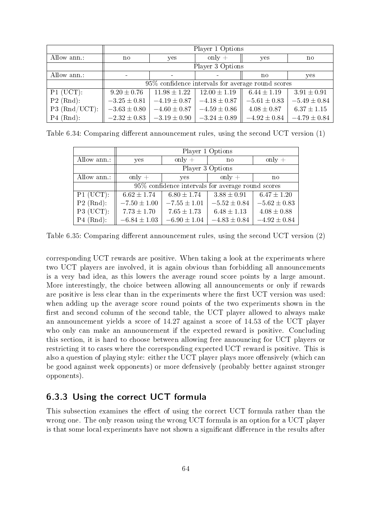|                  | Player 1 Options                                  |                  |                  |                  |                  |  |
|------------------|---------------------------------------------------|------------------|------------------|------------------|------------------|--|
| Allow ann.:      | no.                                               | yes              | only $+$         | yes              | no               |  |
|                  | Player 3 Options                                  |                  |                  |                  |                  |  |
| Allow ann.:      | no                                                |                  |                  |                  | yes              |  |
|                  | 95% confidence intervals for average round scores |                  |                  |                  |                  |  |
| $P1$ (UCT):      | $9.20 \pm 0.76$                                   | $11.98 \pm 1.22$ | $12.00 \pm 1.19$ | $6.44 \pm 1.19$  | $3.91 \pm 0.91$  |  |
| $P2$ (Rnd):      | $-3.25 \pm 0.81$                                  | $-4.19 \pm 0.87$ | $-4.18 \pm 0.87$ | $-5.61 \pm 0.83$ | $-5.49 \pm 0.84$ |  |
| $P3 (Rnd/UCT)$ : | $-3.63 \pm 0.80$                                  | $-4.60 \pm 0.87$ | $-4.59 \pm 0.86$ | $4.08 \pm 0.87$  | $6.37 \pm 1.15$  |  |
| $P4$ (Rnd):      | $-2.32 \pm 0.83$                                  | $-3.19 \pm 0.90$ | $-3.24 \pm 0.89$ | $-4.92 \pm 0.84$ | $-4.79 \pm 0.84$ |  |

Table 6.34: Comparing different announcement rules, using the second UCT version  $(1)$ 

|             | Player 1 Options                                  |                  |                  |                  |  |  |
|-------------|---------------------------------------------------|------------------|------------------|------------------|--|--|
| Allow ann.: | yes                                               | only $+$         | no               | only $+$         |  |  |
|             | Player 3 Options                                  |                  |                  |                  |  |  |
| Allow ann.: | only $+$                                          | yes              | only $+$         | no               |  |  |
|             | 95% confidence intervals for average round scores |                  |                  |                  |  |  |
| $P1$ (UCT): | $6.62 \pm 1.74$                                   | $6.80 \pm 1.74$  | $3.88 \pm 0.91$  | $6.47 \pm 1.20$  |  |  |
| $P2$ (Rnd): | $-7.50 \pm 1.00$                                  | $-7.55 \pm 1.01$ | $-5.52 \pm 0.84$ | $-5.62 \pm 0.83$ |  |  |
| $P3$ (UCT): | $7.73 \pm 1.70$                                   | $7.65 \pm 1.73$  | $6.48 \pm 1.13$  | $4.08 \pm 0.88$  |  |  |
| $P4$ (Rnd): | $-6.84 \pm 1.03$                                  | $-6.90 \pm 1.04$ | $-4.83 \pm 0.84$ | $-4.92 \pm 0.84$ |  |  |

Table 6.35: Comparing different announcement rules, using the second UCT version  $(2)$ 

corresponding UCT rewards are positive. When taking a look at the experiments where two UCT players are involved, it is again obvious than forbidding all announcements is a very bad idea, as this lowers the average round score points by a large amount. More interestingly, the choice between allowing all announcements or only if rewards are positive is less clear than in the experiments where the first UCT version was used: when adding up the average score round points of the two experiments shown in the first and second column of the second table, the UCT player allowed to always make an announcement yields a score of 14.27 against a score of 14.53 of the UCT player who only can make an announcement if the expected reward is positive. Concluding this section, it is hard to choose between allowing free announcing for UCT players or restricting it to cases where the corresponding expected UCT reward is positive. This is also a question of playing style: either the UCT player plays more offensively (which can be good against week opponents) or more defensively (probably better against stronger opponents).

# 6.3.3 Using the correct UCT formula

This subsection examines the effect of using the correct UCT formula rather than the wrong one. The only reason using the wrong UCT formula is an option for a UCT player is that some local experiments have not shown a significant difference in the results after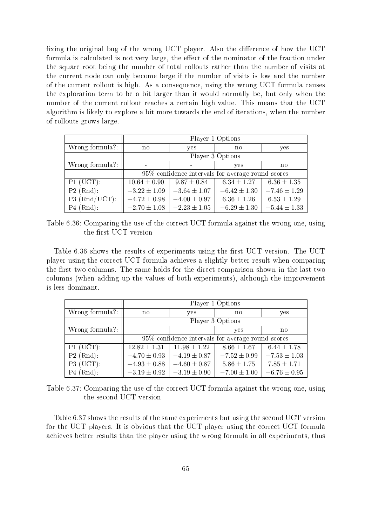fixing the original bug of the wrong UCT player. Also the difference of how the UCT formula is calculated is not very large, the effect of the nominator of the fraction under the square root being the number of total rollouts rather than the number of visits at the current node can only become large if the number of visits is low and the number of the current rollout is high. As a consequence, using the wrong UCT formula causes the exploration term to be a bit larger than it would normally be, but only when the number of the current rollout reaches a certain high value. This means that the UCT algorithm is likely to explore a bit more towards the end of iterations, when the number of rollouts grows large.

|                 | Player 1 Options                                  |                  |                  |                  |  |  |
|-----------------|---------------------------------------------------|------------------|------------------|------------------|--|--|
| Wrong formula?: | no                                                | yes              | no               | yes              |  |  |
|                 |                                                   |                  | Player 3 Options |                  |  |  |
| Wrong formula?: |                                                   |                  | yes              | no               |  |  |
|                 | 95% confidence intervals for average round scores |                  |                  |                  |  |  |
| $P1$ (UCT):     | $10.64 \pm 0.90$                                  | $9.87 \pm 0.84$  | $6.34 \pm 1.27$  | $6.36 \pm 1.35$  |  |  |
| $P2$ (Rnd):     | $-3.22 \pm 1.09$                                  | $-3.64 \pm 1.07$ | $-6.42 \pm 1.30$ | $-7.46 \pm 1.29$ |  |  |
| $P3$ (Rnd/UCT): | $-4.72 \pm 0.98$                                  | $-4.00 \pm 0.97$ | $6.36 \pm 1.26$  | $6.53 \pm 1.29$  |  |  |
| $P4$ (Rnd):     | $-2.70 \pm 1.08$                                  | $-2.23 \pm 1.05$ | $-6.29 \pm 1.30$ | $-5.44 \pm 1.33$ |  |  |

Table 6.36: Comparing the use of the correct UCT formula against the wrong one, using the first UCT version

Table 6.36 shows the results of experiments using the first UCT version. The UCT player using the correct UCT formula achieves a slightly better result when comparing the first two columns. The same holds for the direct comparison shown in the last two columns (when adding up the values of both experiments), although the improvement is less dominant.

|                 | Player 1 Options                                  |                  |                  |                  |  |
|-----------------|---------------------------------------------------|------------------|------------------|------------------|--|
| Wrong formula?: | no                                                | yes              | $\mathbf{n}$     | yes              |  |
|                 | Player 3 Options                                  |                  |                  |                  |  |
| Wrong formula?: |                                                   |                  | yes              | $\mathbf{n}$     |  |
|                 | 95% confidence intervals for average round scores |                  |                  |                  |  |
| $P1$ (UCT):     | $12.82 \pm 1.31$                                  | $11.98 \pm 1.22$ | $8.66 \pm 1.67$  | $6.44 \pm 1.78$  |  |
| $P2$ (Rnd):     | $-4.70 \pm 0.93$                                  | $-4.19 \pm 0.87$ | $-7.52 \pm 0.99$ | $-7.53 \pm 1.03$ |  |
| $P3$ (UCT):     | $-4.93 \pm 0.88$                                  | $-4.60 \pm 0.87$ | $5.86 \pm 1.75$  | $7.85 \pm 1.71$  |  |
| $P4$ (Rnd):     | $-3.19 \pm 0.92$                                  | $-3.19 \pm 0.90$ | $-7.00 \pm 1.00$ | $-6.76 \pm 0.95$ |  |

Table 6.37: Comparing the use of the correct UCT formula against the wrong one, using the second UCT version

Table 6.37 shows the results of the same experiments but using the second UCT version for the UCT players. It is obvious that the UCT player using the correct UCT formula achieves better results than the player using the wrong formula in all experiments, thus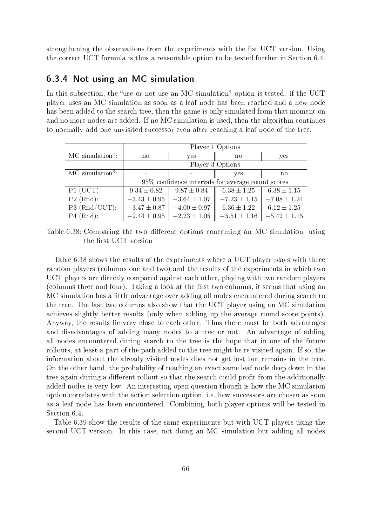strengthening the observations from the experiments with the fist UCT version. Using the correct UCT formula is thus a reasonable option to be tested further in Section 6.4.

### 6.3.4 Not using an MC simulation

In this subsection, the "use or not use an MC simulation" option is tested: if the UCT player uses an MC simulation as soon as a leaf node has been reached and a new node has been added to the search tree, then the game is only simulated from that moment on and no more nodes are added. If no MC simulation is used, then the algorithm continues to normally add one unvisited successor even after reaching a leaf node of the tree.

|                 | Player 1 Options                                  |                  |                  |                  |  |
|-----------------|---------------------------------------------------|------------------|------------------|------------------|--|
| MC simulation?  | $\mathbf{n}$                                      | yes              | no               | yes              |  |
|                 | Player 3 Options                                  |                  |                  |                  |  |
| MC simulation?: |                                                   |                  | yes              | no               |  |
|                 | 95% confidence intervals for average round scores |                  |                  |                  |  |
| $P1$ (UCT):     | $9.34 \pm 0.82$                                   | $9.87 \pm 0.84$  | $6.38 \pm 1.25$  | $6.38 \pm 1.15$  |  |
| $P2$ (Rnd):     | $-3.43 \pm 0.95$                                  | $-3.64 \pm 1.07$ | $-7.23 \pm 1.15$ | $-7.08 \pm 1.24$ |  |
| P3 (Rnd/UCT):   | $-3.47 \pm 0.87$                                  | $-4.00 \pm 0.97$ | $6.36 \pm 1.22$  | $6.12 \pm 1.25$  |  |
| $P4$ (Rnd):     | $-2.44 \pm 0.95$                                  | $-2.23 \pm 1.05$ | $-5.51 \pm 1.16$ | $-5.42 \pm 1.15$ |  |

Table 6.38: Comparing the two different options concerning an MC simulation, using the first UCT version

Table 6.38 shows the results of the experiments where a UCT player plays with three random players (columns one and two) and the results of the experiments in which two UCT players are directly compared against each other, playing with two random players (columns three and four). Taking a look at the first two columns, it seems that using an MC simulation has a little advantage over adding all nodes encountered during search to the tree. The last two columns also show that the UCT player using an MC simulation achieves slightly better results (only when adding up the average round score points). Anyway, the results lie very close to each other. Thus there must be both advantages and disadvantages of adding many nodes to a tree or not. An advantage of adding all nodes encountered during search to the tree is the hope that in one of the future rollouts, at least a part of the path added to the tree might be re-visited again. If so, the information about the already visited nodes does not get lost but remains in the tree. On the other hand, the probability of reaching an exact same leaf node deep down in the tree again during a different rollout so that the search could profit from the additionally added nodes is very low. An interesting open question though is how the MC simulation option correlates with the action selection option, i.e. how successors are chosen as soon as a leaf node has been encountered. Combining both player options will be tested in Section 6.4.

Table 6.39 show the results of the same experiments but with UCT players using the second UCT version. In this case, not doing an MC simulation but adding all nodes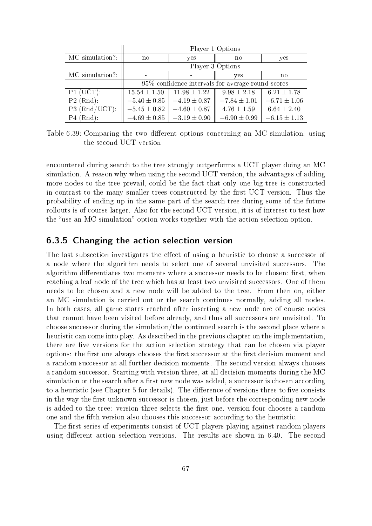|                 | Player 1 Options                                  |                  |                  |                  |  |
|-----------------|---------------------------------------------------|------------------|------------------|------------------|--|
| MC simulation?: | $\mathbf{n}$                                      | yes              | $\mathbf{n}$     | yes              |  |
|                 | Player 3 Options                                  |                  |                  |                  |  |
| MC simulation?: |                                                   |                  | yes              | no               |  |
|                 | 95% confidence intervals for average round scores |                  |                  |                  |  |
| $P1$ (UCT):     | $15.54 \pm 1.50$                                  | $11.98 \pm 1.22$ | $9.98 \pm 2.18$  | $6.21 \pm 1.78$  |  |
| $P2$ (Rnd):     | $-5.40 \pm 0.85$                                  | $-4.19 \pm 0.87$ | $-7.84 \pm 1.01$ | $-6.71 \pm 1.06$ |  |
| $P3$ (Rnd/UCT): | $-5.45 \pm 0.82$                                  | $-4.60 \pm 0.87$ | $4.76 \pm 1.59$  | $6.64 \pm 2.40$  |  |
| $P4$ (Rnd):     | $-4.69 \pm 0.85$                                  | $-3.19 \pm 0.90$ | $-6.90 \pm 0.99$ | $-6.15 \pm 1.13$ |  |

Table 6.39: Comparing the two different options concerning an MC simulation, using the second UCT version

encountered during search to the tree strongly outperforms a UCT player doing an MC simulation. A reason why when using the second UCT version, the advantages of adding more nodes to the tree prevail, could be the fact that only one big tree is constructed in contrast to the many smaller trees constructed by the first UCT version. Thus the probability of ending up in the same part of the search tree during some of the future rollouts is of course larger. Also for the second UCT version, it is of interest to test how the "use an MC simulation" option works together with the action selection option.

### 6.3.5 Changing the action selection version

The last subsection investigates the effect of using a heuristic to choose a successor of a node where the algorithm needs to select one of several unvisited successors. The algorithm differentiates two moments where a successor needs to be chosen: first, when reaching a leaf node of the tree which has at least two unvisited successors. One of them needs to be chosen and a new node will be added to the tree. From then on, either an MC simulation is carried out or the search continues normally, adding all nodes. In both cases, all game states reached after inserting a new node are of course nodes that cannot have been visited before already, and thus all successors are unvisited. To choose successor during the simulation/the continued search is the second place where a heuristic can come into play. As described in the previous chapter on the implementation, there are five versions for the action selection strategy that can be chosen via player options: the first one always chooses the first successor at the first decision moment and a random successor at all further decision moments. The second version always chooses a random successor. Starting with version three, at all decision moments during the MC simulation or the search after a first new node was added, a successor is chosen according to a heuristic (see Chapter 5 for details). The difference of versions three to five consists in the way the first unknown successor is chosen, just before the corresponding new node is added to the tree: version three selects the first one, version four chooses a random one and the fth version also chooses this successor according to the heuristic.

The first series of experiments consist of UCT players playing against random players using different action selection versions. The results are shown in 6.40. The second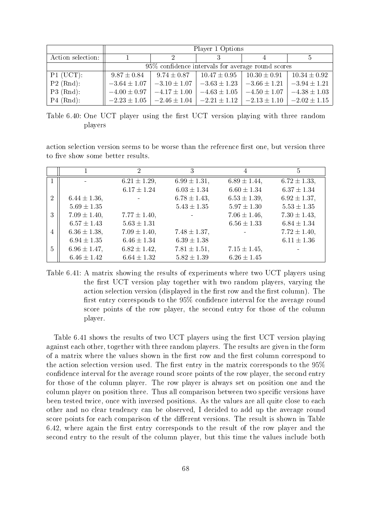|                   | Player 1 Options |                                                    |                                                                                      |                                     |                  |  |
|-------------------|------------------|----------------------------------------------------|--------------------------------------------------------------------------------------|-------------------------------------|------------------|--|
| Action selection: |                  | $\mathcal{D}$                                      |                                                                                      |                                     |                  |  |
|                   |                  | 95\% confidence intervals for average round scores |                                                                                      |                                     |                  |  |
| $P1$ (UCT):       | $9.87 \pm 0.84$  |                                                    | $9.74 \pm 0.87$   $10.47 \pm 0.95$   $10.30 \pm 0.91$                                |                                     | $10.34 \pm 0.92$ |  |
| $P2$ (Rnd):       | $-3.64 \pm 1.07$ | $-3.10 \pm 1.07$                                   | $-3.63 \pm 1.23$                                                                     | $-3.66 \pm 1.21$                    | $-3.94 \pm 1.21$ |  |
| $P3$ (Rnd):       | $-4.00 \pm 0.97$ | $-4.17 \pm 1.00$                                   |                                                                                      | $-4.63 \pm 1.05$   $-4.50 \pm 1.07$ | $-4.38 \pm 1.03$ |  |
| $P4$ (Rnd):       |                  |                                                    | $-2.23 \pm 1.05$ $-2.46 \pm 1.04$ $-2.21 \pm 1.12$ $-2.13 \pm 1.10$ $-2.02 \pm 1.15$ |                                     |                  |  |

Table 6.40: One UCT player using the first UCT version playing with three random players

action selection version seems to be worse than the reference first one, but version three to five show some better results.

|                |                   | $\mathcal{D}_{\mathcal{L}}$ | 3                 | 4                 | 5                 |
|----------------|-------------------|-----------------------------|-------------------|-------------------|-------------------|
|                | $\blacksquare$    | $6.21 \pm 1.29$ ,           | $6.99 \pm 1.31$ , | $6.89 \pm 1.44$ , | $6.72 \pm 1.33$ , |
|                |                   | $6.17 \pm 1.24$             | $6.03 \pm 1.34$   | $6.60 \pm 1.34$   | $6.37 \pm 1.34$   |
| $\overline{2}$ | $6.44 \pm 1.36$ , |                             | $6.78 \pm 1.43$ , | $6.53 \pm 1.39$ , | $6.92 \pm 1.37$ , |
|                | $5.69 \pm 1.35$   |                             | $5.43 \pm 1.35$   | $5.97 \pm 1.30$   | $5.53 \pm 1.35$   |
| 3              | $7.09 \pm 1.40$ , | $7.77 \pm 1.40$ ,           |                   | $7.06 \pm 1.46$ , | $7.30 \pm 1.43$ , |
|                | $6.57 \pm 1.43$   | $5.63 \pm 1.31$             |                   | $6.56 \pm 1.33$   | $6.84 \pm 1.34$   |
| 4              | $6.36 \pm 1.38$ , | $7.09 \pm 1.40$ ,           | $7.48 \pm 1.37$ , |                   | $7.72 \pm 1.40$ , |
|                | $6.94 \pm 1.35$   | $6.46 \pm 1.34$             | $6.39 \pm 1.38$   |                   | $6.11 \pm 1.36$   |
| 5              | $6.96 \pm 1.47$ , | $6.82 \pm 1.42$ ,           | $7.81 \pm 1.51$ , | $7.15 \pm 1.45$ , |                   |
|                | $6.46 \pm 1.42$   | $6.64 \pm 1.32$             | $5.82 \pm 1.39$   | $6.26 \pm 1.45$   |                   |

Table 6.41: A matrix showing the results of experiments where two UCT players using the first UCT version play together with two random players, varying the action selection version (displayed in the first row and the first column). The first entry corresponds to the  $95\%$  confidence interval for the average round score points of the row player, the second entry for those of the column player.

Table 6.41 shows the results of two UCT players using the first UCT version playing against each other, together with three random players. The results are given in the form of a matrix where the values shown in the first row and the first column correspond to the action selection version used. The first entry in the matrix corresponds to the  $95\%$ confidence interval for the average round score points of the row player, the second entry for those of the column player. The row player is always set on position one and the column player on position three. Thus all comparison between two specific versions have been tested twice, once with inversed positions. As the values are all quite close to each other and no clear tendency can be observed, I decided to add up the average round score points for each comparison of the different versions. The result is shown in Table 6.42, where again the first entry corresponds to the result of the row player and the second entry to the result of the column player, but this time the values include both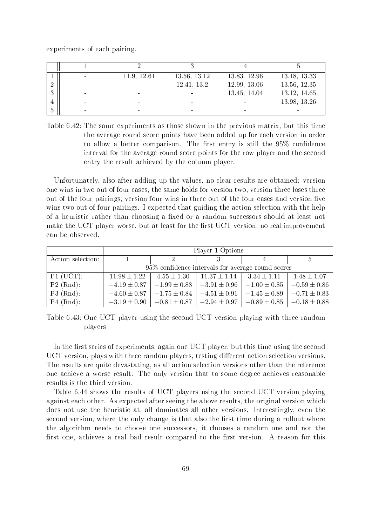experiments of each pairing.

|   |        | 11.9, 12.61 | 13.56, 13.12 | 13.83, 12.96 | 13.18, 13.33 |
|---|--------|-------------|--------------|--------------|--------------|
|   | $\sim$ |             | 12.41, 13.2  | 12.99, 13.06 | 13.56, 12.35 |
| ച |        |             |              | 13.45, 14.04 | 13.12, 14.65 |
|   |        |             |              |              | 13.98, 13.26 |
|   |        |             |              |              | -            |

Table 6.42: The same experiments as those shown in the previous matrix, but this time the average round score points have been added up for each version in order to allow a better comparison. The first entry is still the  $95\%$  confidence interval for the average round score points for the row player and the second entry the result achieved by the column player.

Unfortunately, also after adding up the values, no clear results are obtained: version one wins in two out of four cases, the same holds for version two, version three loses three out of the four pairings, version four wins in three out of the four cases and version five wins two out of four pairings. I expected that guiding the action selection with the help of a heuristic rather than choosing a fixed or a random successors should at least not make the UCT player worse, but at least for the first UCT version, no real improvement can be observed.

|                   | Player 1 Options |                                                    |                                   |                                                      |                  |  |  |
|-------------------|------------------|----------------------------------------------------|-----------------------------------|------------------------------------------------------|------------------|--|--|
| Action selection: |                  | 9.                                                 |                                   |                                                      |                  |  |  |
|                   |                  | 95\% confidence intervals for average round scores |                                   |                                                      |                  |  |  |
| $P1$ (UCT):       | $11.98 \pm 1.22$ |                                                    |                                   | $4.55 \pm 1.30$   $11.37 \pm 1.14$   $3.34 \pm 1.11$ | $1.48 \pm 1.07$  |  |  |
| $P2$ (Rnd):       | $-4.19 \pm 0.87$ | $-1.99 \pm 0.88$                                   | $-3.91\pm0.96$                    | $-1.00 \pm 0.85$                                     | $-0.59 \pm 0.86$ |  |  |
| $P3$ (Rnd):       | $-4.60 \pm 0.87$ | $-1.75 \pm 0.84$                                   | $-4.51 \pm 0.91$                  | $-1.45 \pm 0.89$                                     | $-0.71 \pm 0.83$ |  |  |
| $P4$ (Rnd):       | $-3.19 \pm 0.90$ |                                                    | $-0.81 \pm 0.87$ $-2.94 \pm 0.97$ | $-0.89 \pm 0.85$                                     | $-0.18 \pm 0.88$ |  |  |

Table 6.43: One UCT player using the second UCT version playing with three random players

In the first series of experiments, again one UCT player, but this time using the second UCT version, plays with three random players, testing different action selection versions. The results are quite devastating, as all action selection versions other than the reference one achieve a worse result. The only version that to some degree achieves reasonable results is the third version.

Table 6.44 shows the results of UCT players using the second UCT version playing against each other. As expected after seeing the above results, the original version which does not use the heuristic at, all dominates all other versions. Interestingly, even the second version, where the only change is that also the first time during a rollout where the algorithm needs to choose one successors, it chooses a random one and not the first one, achieves a real bad result compared to the first version. A reason for this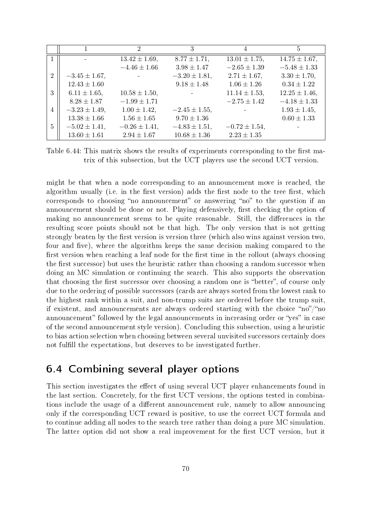|                |                    | $\mathcal{D}_{\mathcal{L}}$ | 3                            | 4                  | 5                  |
|----------------|--------------------|-----------------------------|------------------------------|--------------------|--------------------|
|                |                    | $13.42 \pm 1.69$ ,          | $8.77 \pm 1.71$ ,            | $13.01 \pm 1.75$ , | $14.75 \pm 1.67$ , |
|                |                    | $-4.46 \pm 1.66$            | $3.98 \pm 1.47$              | $-2.65 \pm 1.39$   | $-5.48 \pm 1.33$   |
| $\overline{2}$ | $-3.45 \pm 1.67$ , |                             | $-3.20 \pm 1.81$ ,           | $2.71 \pm 1.67$ ,  | $3.30 \pm 1.70$ ,  |
|                | $12.43 \pm 1.60$   |                             | $9.18 \pm 1.48$              | $1.06 \pm 1.26$    | $0.34 \pm 1.22$    |
| 3              | $6.11 \pm 1.65$ ,  | $10.58 \pm 1.50$ ,          | $\mathcal{L}_{\text{max}}$ . | $11.14 \pm 1.53$ , | $12.25 \pm 1.46$ , |
|                | $8.28 \pm 1.87$    | $-1.99 \pm 1.71$            |                              | $-2.75 \pm 1.42$   | $-4.18 \pm 1.33$   |
| 4              | $-3.23 \pm 1.49$ , | $1.00 \pm 1.42$ ,           | $-2.45 \pm 1.55$ ,           |                    | $1.93 \pm 1.45$ ,  |
|                | $13.38 \pm 1.66$   | $1.56 \pm 1.65$             | $9.70 \pm 1.36$              |                    | $0.60 \pm 1.33$    |
| 5              | $-5.02 \pm 1.41$ , | $-0.26 \pm 1.41$ ,          | $-4.83 \pm 1.51$ ,           | $-0.72 \pm 1.54$   |                    |
|                | $13.60 \pm 1.61$   | $2.94 \pm 1.67$             | $10.68 \pm 1.36$             | $2.23 \pm 1.35$    |                    |

Table 6.44: This matrix shows the results of experiments corresponding to the first matrix of this subsection, but the UCT players use the second UCT version.

might be that when a node corresponding to an announcement move is reached, the algorithm usually (i.e. in the first version) adds the first node to the tree first, which corresponds to choosing "no announcement" or answering "no" to the question if an announcement should be done or not. Playing defensively, first checking the option of making no announcement seems to be quite reasonable. Still, the differences in the resulting score points should not be that high. The only version that is not getting strongly beaten by the first version is version three (which also wins against version two, four and five), where the algorithm keeps the same decision making compared to the first version when reaching a leaf node for the first time in the rollout (always choosing the first successor) but uses the heuristic rather than choosing a random successor when doing an MC simulation or continuing the search. This also supports the observation that choosing the first successor over choosing a random one is "better", of course only due to the ordering of possible successors (cards are always sorted from the lowest rank to the highest rank within a suit, and non-trump suits are ordered before the trump suit, if existent, and announcements are always ordered starting with the choice "no"/"no announcement" followed by the legal announcements in increasing order or "yes" in case of the second announcement style version). Concluding this subsection, using a heuristic to bias action selection when choosing between several unvisited successors certainly does not fulfill the expectations, but deserves to be investigated further.

## 6.4 Combining several player options

This section investigates the effect of using several UCT player enhancements found in the last section. Concretely, for the first UCT versions, the options tested in combinations include the usage of a different announcement rule, namely to allow announcing only if the corresponding UCT reward is positive, to use the correct UCT formula and to continue adding all nodes to the search tree rather than doing a pure MC simulation. The latter option did not show a real improvement for the first UCT version, but it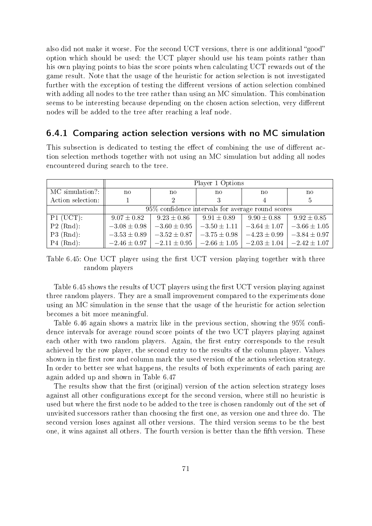also did not make it worse. For the second UCT versions, there is one additional "good" option which should be used: the UCT player should use his team points rather than his own playing points to bias the score points when calculating UCT rewards out of the game result. Note that the usage of the heuristic for action selection is not investigated further with the exception of testing the different versions of action selection combined with adding all nodes to the tree rather than using an MC simulation. This combination seems to be interesting because depending on the chosen action selection, very different nodes will be added to the tree after reaching a leaf node.

#### 6.4.1 Comparing action selection versions with no MC simulation

This subsection is dedicated to testing the effect of combining the use of different action selection methods together with not using an MC simulation but adding all nodes encountered during search to the tree.

|                   | Player 1 Options |                                                   |                                     |                  |                  |  |  |
|-------------------|------------------|---------------------------------------------------|-------------------------------------|------------------|------------------|--|--|
| MC simulation?:   | no               | $\mathbf{n}$                                      | no                                  | no               | no               |  |  |
| Action selection: |                  | 2                                                 |                                     |                  | $\frac{5}{2}$    |  |  |
|                   |                  | 95% confidence intervals for average round scores |                                     |                  |                  |  |  |
| $P1$ (UCT):       | $9.07 \pm 0.82$  | $9.23 \pm 0.86$                                   | $9.91 \pm 0.89$                     | $9.90 \pm 0.88$  | $9.92 \pm 0.85$  |  |  |
| $P2$ (Rnd):       | $-3.08 \pm 0.98$ | $-3.60 \pm 0.95$                                  | $-3.50 \pm 1.11$                    | $-3.64 \pm 1.07$ | $-3.66 \pm 1.05$ |  |  |
| $P3$ (Rnd):       | $-3.53 \pm 0.89$ | $-3.52 \pm 0.87$                                  | $-3.75 \pm 0.98$                    | $-4.23 \pm 0.99$ | $-3.84 \pm 0.97$ |  |  |
| $P4$ (Rnd):       | $-2.46 \pm 0.97$ |                                                   | $-2.11 \pm 0.95$   $-2.66 \pm 1.05$ | $-2.03 \pm 1.04$ | $-2.42 \pm 1.07$ |  |  |

Table 6.45: One UCT player using the first UCT version playing together with three random players

Table 6.45 shows the results of UCT players using the first UCT version playing against three random players. They are a small improvement compared to the experiments done using an MC simulation in the sense that the usage of the heuristic for action selection becomes a bit more meaningful.

Table 6.46 again shows a matrix like in the previous section, showing the  $95\%$  confidence intervals for average round score points of the two UCT players playing against each other with two random players. Again, the first entry corresponds to the result achieved by the row player, the second entry to the results of the column player. Values shown in the first row and column mark the used version of the action selection strategy. In order to better see what happens, the results of both experiments of each paring are again added up and shown in Table 6.47

The results show that the first (original) version of the action selection strategy loses against all other configurations except for the second version, where still no heuristic is used but where the first node to be added to the tree is chosen randomly out of the set of unvisited successors rather than choosing the first one, as version one and three do. The second version loses against all other versions. The third version seems to be the best one, it wins against all others. The fourth version is better than the fifth version. These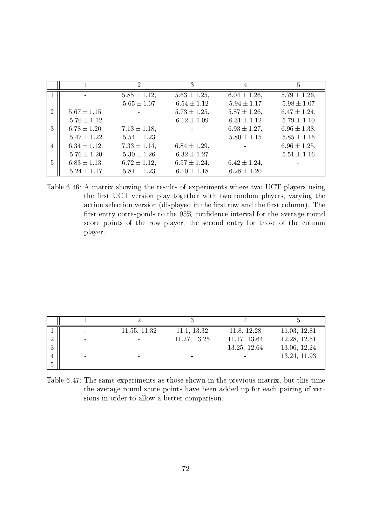|                |                   | $\mathcal{D}_{\mathcal{L}}$ | 3                 | 4                 | 5                 |
|----------------|-------------------|-----------------------------|-------------------|-------------------|-------------------|
|                |                   | $5.85 \pm 1.12$ ,           | $5.63 \pm 1.25$ , | $6.04 \pm 1.26$ , | $5.79 \pm 1.26$ , |
|                |                   | $5.65 \pm 1.07$             | $6.54 \pm 1.12$   | $5.94 \pm 1.17$   | $5.98 \pm 1.07$   |
| $\overline{2}$ | $5.67 \pm 1.15$ , |                             | $5.73 \pm 1.25$ , | $5.87 \pm 1.26$ , | $6.47 \pm 1.24$ , |
|                | $5.70 \pm 1.12$   |                             | $6.12 \pm 1.09$   | $6.31 \pm 1.12$   | $5.79 \pm 1.10$   |
| 3              | $6.78 \pm 1.20$ , | $7.13 \pm 1.18$ ,           |                   | $6.93 \pm 1.27$ , | $6.96 \pm 1.38$ , |
|                | $5.47 \pm 1.22$   | $5.54 \pm 1.23$             |                   | $5.80 \pm 1.15$   | $5.85 \pm 1.16$   |
| 4              | $6.34 \pm 1.12$ , | $7.33 \pm 1.14$ ,           | $6.84 \pm 1.29$ , |                   | $6.96 \pm 1.25$ , |
|                | $5.76 \pm 1.20$   | $5.30 \pm 1.26$             | $6.32 \pm 1.27$   |                   | $5.51 \pm 1.16$   |
| 5              | $6.83 \pm 1.13$ , | $6.72 \pm 1.12$ ,           | $6.57 \pm 1.24$ , | $6.42 \pm 1.24$ , |                   |
|                | $5.24 \pm 1.17$   | $5.81 \pm 1.23$             | $6.10 \pm 1.18$   | $6.28 \pm 1.20$   |                   |

Table 6.46: A matrix showing the results of experiments where two UCT players using the first UCT version play together with two random players, varying the action selection version (displayed in the first row and the first column). The first entry corresponds to the  $95\%$  confidence interval for the average round score points of the row player, the second entry for those of the column player.

| $\overline{\phantom{a}}$ | 11.55, 11.32 | 11.1, 13.32  | 11.8, 12.28  | 11.03, 12.81 |
|--------------------------|--------------|--------------|--------------|--------------|
|                          |              | 11.27, 13.25 | 11.17, 13.64 | 12.28, 12.51 |
|                          | -            |              | 13.25, 12.64 | 13.06, 12.24 |
|                          |              |              |              | 13.24, 11.93 |
|                          |              |              |              |              |

Table 6.47: The same experiments as those shown in the previous matrix, but this time the average round score points have been added up for each pairing of versions in order to allow a better comparison.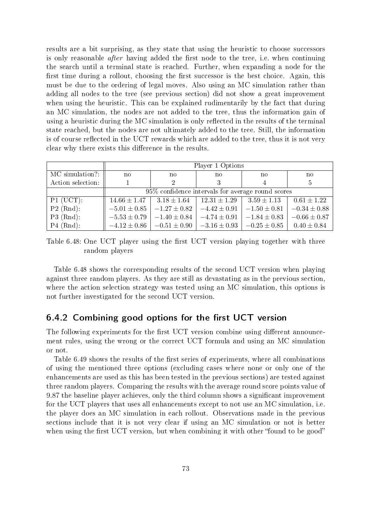results are a bit surprising, as they state that using the heuristic to choose successors is only reasonable *after* having added the first node to the tree, i.e. when continuing the search until a terminal state is reached. Further, when expanding a node for the first time during a rollout, choosing the first successor is the best choice. Again, this must be due to the ordering of legal moves. Also using an MC simulation rather than adding all nodes to the tree (see previous section) did not show a great improvement when using the heuristic. This can be explained rudimentarily by the fact that during an MC simulation, the nodes are not added to the tree, thus the information gain of using a heuristic during the MC simulation is only reflected in the results of the terminal state reached, but the nodes are not ultimately added to the tree. Still, the information is of course reflected in the UCT rewards which are added to the tree, thus it is not very clear why there exists this difference in the results.

|                   | Player 1 Options                                  |                  |                  |                  |                  |  |
|-------------------|---------------------------------------------------|------------------|------------------|------------------|------------------|--|
| MC simulation?:   | no                                                | no               | no               | no               | no               |  |
| Action selection: |                                                   | $\overline{2}$   | 3                |                  | 5                |  |
|                   | 95% confidence intervals for average round scores |                  |                  |                  |                  |  |
| $P1$ (UCT):       | $14.66 \pm 1.47$                                  | $3.18 \pm 1.64$  | $12.31 \pm 1.29$ | $3.59 \pm 1.13$  | $0.61 \pm 1.22$  |  |
| $P2$ (Rnd):       | $-5.01 \pm 0.85$                                  | $-1.27 \pm 0.82$ | $-4.42 \pm 0.91$ | $-1.50 \pm 0.81$ | $-0.34 \pm 0.88$ |  |
| $P3$ (Rnd):       | $-5.53 \pm 0.79$                                  | $-1.40 \pm 0.84$ | $-4.74 \pm 0.91$ | $-1.84 \pm 0.83$ | $-0.66 \pm 0.87$ |  |
| $P4$ (Rnd):       | $-4.12 \pm 0.86$                                  | $-0.51 \pm 0.90$ | $-3.16 \pm 0.93$ | $-0.25\pm0.85$   | $0.40 \pm 0.84$  |  |

Table 6.48: One UCT player using the first UCT version playing together with three random players

Table 6.48 shows the corresponding results of the second UCT version when playing against three random players. As they are still as devastating as in the previous section, where the action selection strategy was tested using an MC simulation, this options is not further investigated for the second UCT version.

#### $6.4.2$  Combining good options for the first UCT version

The following experiments for the first UCT version combine using different announcement rules, using the wrong or the correct UCT formula and using an MC simulation or not.

Table 6.49 shows the results of the first series of experiments, where all combinations of using the mentioned three options (excluding cases where none or only one of the enhancements are used as this has been tested in the previous sections) are tested against three random players. Comparing the results with the average round score points value of 9.87 the baseline player achieves, only the third column shows a significant improvement for the UCT players that uses all enhancements except to not use an MC simulation, i.e. the player does an MC simulation in each rollout. Observations made in the previous sections include that it is not very clear if using an MC simulation or not is better when using the first UCT version, but when combining it with other "found to be good"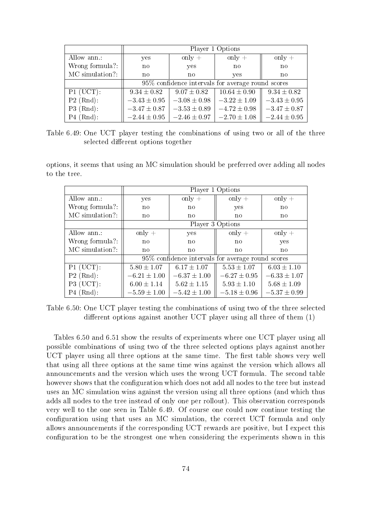|                 | Player 1 Options |                  |                                                      |                  |  |
|-----------------|------------------|------------------|------------------------------------------------------|------------------|--|
| Allow ann.:     | yes              | only $+$         | only $+$                                             | only $+$         |  |
| Wrong formula?: | $\mathbf{n}$     | yes              | $\mathbf{n}$                                         | $\mathbf{n}$     |  |
| MC simulation?: | no<br>no         |                  | yes                                                  | $\mathbf{n}$     |  |
|                 |                  |                  | $95\%$ confidence intervals for average round scores |                  |  |
| $P1$ (UCT):     | $9.34 \pm 0.82$  | $9.07 \pm 0.82$  | $10.64 \pm 0.90$                                     | $9.34 \pm 0.82$  |  |
| $P2$ (Rnd):     | $-3.43 \pm 0.95$ | $-3.08 \pm 0.98$ | $-3.22 \pm 1.09$                                     | $-3.43 \pm 0.95$ |  |
| $P3$ (Rnd):     | $-3.47 \pm 0.87$ | $-3.53 \pm 0.89$ | $-4.72 \pm 0.98$                                     | $-3.47 \pm 0.87$ |  |
| $P4$ (Rnd):     | $-2.44 \pm 0.95$ | $-2.46 \pm 0.97$ | $-2.70 \pm 1.08$                                     | $-2.44 \pm 0.95$ |  |

Table 6.49: One UCT player testing the combinations of using two or all of the three selected different options together

options, it seems that using an MC simulation should be preferred over adding all nodes to the tree.

|                 | Player 1 Options |                  |                                                   |                  |  |
|-----------------|------------------|------------------|---------------------------------------------------|------------------|--|
| Allow ann.:     | yes              | only $+$         | only $+$                                          | only $+$         |  |
| Wrong formula?: | no               | no               | yes                                               | no               |  |
| MC simulation?: | $\mathbf{n}$     | $\mathbf{n}$     | no                                                | no               |  |
|                 | Player 3 Options |                  |                                                   |                  |  |
| Allow ann.:     | only $+$         | yes              | only $+$                                          | only $+$         |  |
| Wrong formula?: | no               | no               | no                                                | yes              |  |
| MC simulation?: | $\mathbf{n}$     | $\mathbf{n}$     | no                                                | no               |  |
|                 |                  |                  | 95% confidence intervals for average round scores |                  |  |
| $P1$ (UCT):     | $5.80 \pm 1.07$  | $6.17 \pm 1.07$  | $5.53 \pm 1.07$                                   | $6.03 \pm 1.10$  |  |
| $P2$ (Rnd):     | $-6.21 \pm 1.00$ | $-6.37 \pm 1.00$ | $-6.27 \pm 0.95$                                  | $-6.33 \pm 1.07$ |  |
| $P3$ (UCT):     | $6.00 \pm 1.14$  | $5.62 \pm 1.15$  | $5.93 \pm 1.10$                                   | $5.68 \pm 1.09$  |  |
| $P4$ (Rnd):     | $-5.59 \pm 1.00$ | $-5.42 \pm 1.00$ | $-5.18 \pm 0.96$                                  | $-5.37 \pm 0.99$ |  |

Table 6.50: One UCT player testing the combinations of using two of the three selected different options against another UCT player using all three of them  $(1)$ 

Tables 6.50 and 6.51 show the results of experiments where one UCT player using all possible combinations of using two of the three selected options plays against another UCT player using all three options at the same time. The first table shows very well that using all three options at the same time wins against the version which allows all announcements and the version which uses the wrong UCT formula. The second table however shows that the configuration which does not add all nodes to the tree but instead uses an MC simulation wins against the version using all three options (and which thus adds all nodes to the tree instead of only one per rollout). This observation corresponds very well to the one seen in Table 6.49. Of course one could now continue testing the configuration using that uses an MC simulation, the correct UCT formula and only allows announcements if the corresponding UCT rewards are positive, but I expect this configuration to be the strongest one when considering the experiments shown in this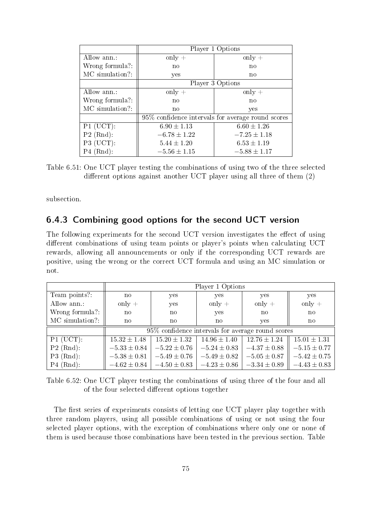|                 | Player 1 Options |                                                    |  |  |
|-----------------|------------------|----------------------------------------------------|--|--|
| Allow ann.:     | $\text{only}$ +  | only $+$                                           |  |  |
| Wrong formula?: | no               | no                                                 |  |  |
| MC simulation?: | yes              | $\mathbf{n}$                                       |  |  |
|                 | Player 3 Options |                                                    |  |  |
| Allow ann.:     | only $+$         | only $+$                                           |  |  |
| Wrong formula?: | $\mathbf{n}$     | $\mathbf{n}$                                       |  |  |
| MC simulation?: | $\mathbf{n}$     | yes                                                |  |  |
|                 |                  | 95\% confidence intervals for average round scores |  |  |
| $P1$ (UCT):     | $6.90 \pm 1.13$  | $6.60 \pm 1.26$                                    |  |  |
| $P2$ (Rnd):     | $-6.78 \pm 1.22$ | $-7.25 \pm 1.18$                                   |  |  |
| $P3$ (UCT):     | $5.44 \pm 1.20$  | $6.53 \pm 1.19$                                    |  |  |
| $P4$ (Rnd):     | $-5.56 \pm 1.15$ | $-5.88 \pm 1.17$                                   |  |  |

Table 6.51: One UCT player testing the combinations of using two of the three selected different options against another UCT player using all three of them  $(2)$ 

subsection.

#### 6.4.3 Combining good options for the second UCT version

The following experiments for the second UCT version investigates the effect of using different combinations of using team points or player's points when calculating UCT rewards, allowing all announcements or only if the corresponding UCT rewards are positive, using the wrong or the correct UCT formula and using an MC simulation or not.

|                 | Player 1 Options                                  |                  |                  |                  |                  |
|-----------------|---------------------------------------------------|------------------|------------------|------------------|------------------|
| Team points?:   | no                                                | yes              | yes              | yes              | yes              |
| Allow ann.:     | only $+$                                          | yes              | only $+$         | only $+$         | only $+$         |
| Wrong formula?: | no                                                | no               | yes              | $\mathbf{n}$     | $\mathbf{n}$     |
| MC simulation?: | no                                                | no               | no               | yes              | no               |
|                 | 95% confidence intervals for average round scores |                  |                  |                  |                  |
| $P1$ (UCT):     | $15.32 \pm 1.48$                                  | $15.20 \pm 1.32$ | $14.96 \pm 1.40$ | $12.76 \pm 1.24$ | $15.01 \pm 1.31$ |
| $P2$ (Rnd):     | $-5.33 \pm 0.84$                                  | $-5.22 \pm 0.76$ | $-5.24 \pm 0.83$ | $-4.37 \pm 0.88$ | $-5.15 \pm 0.77$ |
| $P3$ (Rnd):     | $-5.38 \pm 0.81$                                  | $-5.49\pm0.76$   | $-5.49 \pm 0.82$ | $-5.05 \pm 0.87$ | $-5.42 \pm 0.75$ |
| $P4$ (Rnd):     | $-4.62 \pm 0.84$                                  | $-4.50 \pm 0.83$ | $-4.23 \pm 0.86$ | $-3.34 \pm 0.89$ | $-4.43 \pm 0.83$ |

Table 6.52: One UCT player testing the combinations of using three of the four and all of the four selected different options together

The first series of experiments consists of letting one UCT player play together with three random players, using all possible combinations of using or not using the four selected player options, with the exception of combinations where only one or none of them is used because those combinations have been tested in the previous section. Table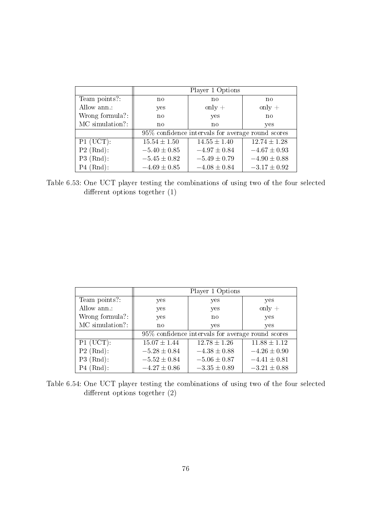|                 | Player 1 Options                                  |                  |                  |  |
|-----------------|---------------------------------------------------|------------------|------------------|--|
| Team points?:   | $\mathbf{n}$                                      | no               | $\mathbf{n}$     |  |
| Allow ann.:     | yes                                               | only $+$         | only $+$         |  |
| Wrong formula?: | $\mathbf{n}$                                      | yes              | no               |  |
| MC simulation?: | no                                                | no               | yes              |  |
|                 | 95% confidence intervals for average round scores |                  |                  |  |
| $P1$ (UCT):     | $15.54 \pm 1.50$                                  | $14.55 \pm 1.40$ | $12.74 \pm 1.28$ |  |
| $P2$ (Rnd):     | $-5.40 \pm 0.85$                                  | $-4.97 \pm 0.84$ | $-4.67 \pm 0.93$ |  |
| $P3$ (Rnd):     | $-5.45 \pm 0.82$                                  | $-5.49 \pm 0.79$ | $-4.90 \pm 0.88$ |  |
| $P4$ (Rnd):     | $-4.69 \pm 0.85$                                  | $-4.08 \pm 0.84$ | $-3.17 \pm 0.92$ |  |

Table 6.53: One UCT player testing the combinations of using two of the four selected different options together  $(1)$ 

|                 | Player 1 Options                                  |                  |                  |  |
|-----------------|---------------------------------------------------|------------------|------------------|--|
| Team points?:   | yes                                               | yes              | yes              |  |
| Allow ann.:     | yes                                               | yes              | only $+$         |  |
| Wrong formula?: | yes                                               | no               | yes              |  |
| MC simulation?: | no                                                | yes              | yes              |  |
|                 | 95% confidence intervals for average round scores |                  |                  |  |
| $P1$ (UCT):     | $15.07 \pm 1.44$                                  | $12.78 \pm 1.26$ | $11.88 \pm 1.12$ |  |
| $P2$ (Rnd):     | $-5.28 \pm 0.84$                                  | $-4.38 \pm 0.88$ | $-4.26 \pm 0.90$ |  |
| $P3$ (Rnd):     | $-5.52 \pm 0.84$                                  | $-5.06 \pm 0.87$ | $-4.41 \pm 0.81$ |  |
| $P4$ (Rnd):     | $-4.27 \pm 0.86$                                  | $-3.35 \pm 0.89$ | $-3.21 \pm 0.88$ |  |

Table 6.54: One UCT player testing the combinations of using two of the four selected different options together  $(2)$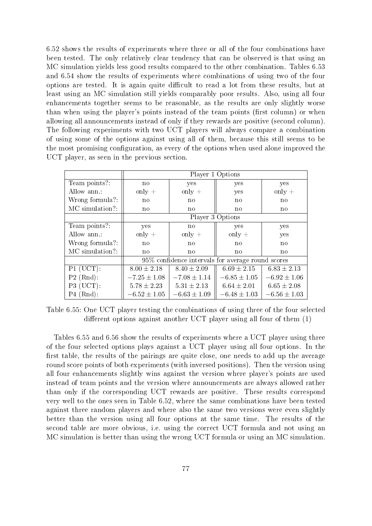6.52 shows the results of experiments where three or all of the four combinations have been tested. The only relatively clear tendency that can be observed is that using an MC simulation yields less good results compared to the other combination. Tables 6.53 and 6.54 show the results of experiments where combinations of using two of the four options are tested. It is again quite difficult to read a lot from these results, but at least using an MC simulation still yields comparably poor results. Also, using all four enhancements together seems to be reasonable, as the results are only slightly worse than when using the player's points instead of the team points (first column) or when allowing all announcements instead of only if they rewards are positive (second column). The following experiments with two UCT players will always compare a combination of using some of the options against using all of them, because this still seems to be the most promising configuration, as every of the options when used alone improved the UCT player, as seen in the previous section.

|                 | Player 1 Options                                  |                  |                  |                        |
|-----------------|---------------------------------------------------|------------------|------------------|------------------------|
| Team points?:   | $\mathbf{n}\mathbf{o}$                            | yes              | yes              | yes                    |
| Allow ann.:     | only $+$                                          | only $+$         | yes              | only $+$               |
| Wrong formula?: | no                                                | no               | $\mathbf{n}$     | $\mathbf{n}$           |
| MC simulation?: | $\mathbf{n}$                                      | $\mathbf{n}$     | $\mathbf{n}$     | $\mathbf{n}$           |
|                 | Player 3 Options                                  |                  |                  |                        |
| Team points?:   | yes                                               | $\mathbf{n}$     | yes              | yes                    |
| Allow ann.:     | only $+$                                          | only $+$         | only $+$         | yes                    |
| Wrong formula?: | no                                                | $\mathbf{n}$     | $\mathbf{n}$     | $\mathbf{n}$           |
| MC simulation?: | $\mathbf{n}$                                      | $\mathbf{n}$     | $\mathbf{n}$     | $\mathbf{n}\mathbf{o}$ |
|                 | 95% confidence intervals for average round scores |                  |                  |                        |
| $P1$ (UCT):     | $8.00 \pm 2.18$                                   | $8.40 \pm 2.09$  | $6.69 \pm 2.15$  | $6.83 \pm 2.13$        |
| $P2$ (Rnd):     | $-7.25 \pm 1.08$                                  | $-7.08 \pm 1.14$ | $-6.85 \pm 1.05$ | $-6.92 \pm 1.06$       |
| $P3$ (UCT):     | $5.78 \pm 2.23$                                   | $5.31 \pm 2.13$  | $6.64 \pm 2.01$  | $6.65 \pm 2.08$        |
| $P4$ (Rnd):     | $-6.52 \pm 1.05$                                  | $-6.63 \pm 1.09$ | $-6.48 \pm 1.03$ | $-6.56 \pm 1.03$       |

Table 6.55: One UCT player testing the combinations of using three of the four selected different options against another UCT player using all four of them  $(1)$ 

Tables 6.55 and 6.56 show the results of experiments where a UCT player using three of the four selected options plays against a UCT player using all four options. In the first table, the results of the pairings are quite close, one needs to add up the average round score points of both experiments (with inversed positions). Then the version using all four enhancements slightly wins against the version where player's points are used instead of team points and the version where announcements are always allowed rather than only if the corresponding UCT rewards are positive. These results correspond very well to the ones seen in Table 6.52, where the same combinations have been tested against three random players and where also the same two versions were even slightly better than the version using all four options at the same time. The results of the second table are more obvious, i.e. using the correct UCT formula and not using an MC simulation is better than using the wrong UCT formula or using an MC simulation.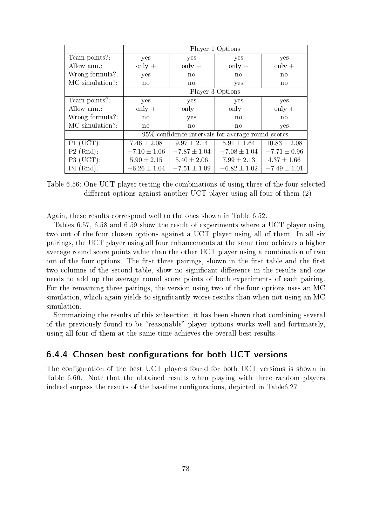|                 | Player 1 Options                                  |                  |                  |                        |
|-----------------|---------------------------------------------------|------------------|------------------|------------------------|
| Team points?:   | yes                                               | yes              | yes              | yes                    |
| Allow ann.:     | $only +$                                          | only $+$         | only $+$         | only $+$               |
| Wrong formula?: | yes                                               | $\mathbf{n}$     | no               | no                     |
| MC simulation?: | $\mathbf{n}$                                      | $\mathbf{n}$     | yes              | $\mathbf{n}\mathbf{o}$ |
|                 | Player 3 Options                                  |                  |                  |                        |
| Team points?:   | yes                                               | yes              | yes              | yes                    |
| Allow ann.:     | only $+$                                          | only $+$         | only $+$         | only $+$               |
| Wrong formula?: | $\mathbf{n}$                                      | yes              | no               | $\mathbf{n}$           |
| MC simulation?: | $\mathbf{n}$                                      | $\mathbf{n}$     | no               | yes                    |
|                 | 95% confidence intervals for average round scores |                  |                  |                        |
| $P1$ (UCT):     | $7.46 \pm 2.08$                                   | $9.97 \pm 2.14$  | $5.91 \pm 1.64$  | $10.83 \pm 2.08$       |
| $P2$ (Rnd):     | $-7.10 \pm 1.06$                                  | $-7.87 \pm 1.04$ | $-7.08 \pm 1.04$ | $-7.71 \pm 0.96$       |
| $P3$ (UCT):     | $5.90 \pm 2.15$                                   | $5.40 \pm 2.06$  | $7.99 \pm 2.13$  | $4.37 \pm 1.66$        |
| $P4$ (Rnd):     | $-6.26 \pm 1.04$                                  | $-7.51 \pm 1.09$ | $-6.82 \pm 1.02$ | $-7.49 \pm 1.01$       |

Table 6.56: One UCT player testing the combinations of using three of the four selected different options against another UCT player using all four of them  $(2)$ 

Again, these results correspond well to the ones shown in Table 6.52.

Tables 6.57, 6.58 and 6.59 show the result of experiments where a UCT player using two out of the four chosen options against a UCT player using all of them. In all six pairings, the UCT player using all four enhancements at the same time achieves a higher average round score points value than the other UCT player using a combination of two out of the four options. The first three pairings, shown in the first table and the first two columns of the second table, show no significant difference in the results and one needs to add up the average round score points of both experiments of each pairing. For the remaining three pairings, the version using two of the four options uses an MC simulation, which again yields to significantly worse results than when not using an MC simulation.

Summarizing the results of this subsection, it has been shown that combining several of the previously found to be "reasonable" player options works well and fortunately, using all four of them at the same time achieves the overall best results.

#### 6.4.4 Chosen best configurations for both UCT versions

The configuration of the best UCT players found for both UCT versions is shown in Table 6.60. Note that the obtained results when playing with three random players indeed surpass the results of the baseline configurations, depicted in Table6.27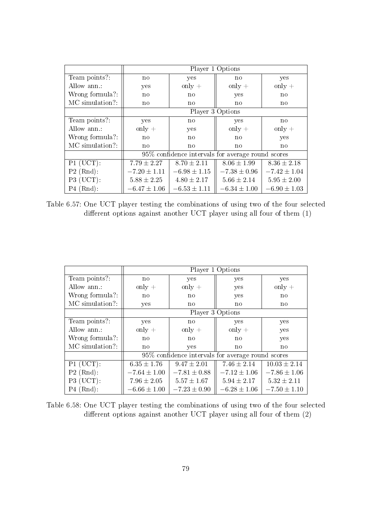|                 | Player 1 Options                                  |                  |                  |                  |
|-----------------|---------------------------------------------------|------------------|------------------|------------------|
| Team points?:   | no                                                | yes              | $\mathbf{n}$     | yes              |
| Allow ann.:     | yes                                               | only $+$         | only $+$         | only $+$         |
| Wrong formula?: | $\mathbf{n}$                                      | $\mathbf{n}$     | yes              | $\mathbf{n}$     |
| MC simulation?: | $\mathbf{n}$                                      | $\mathbf{n}$     | $\mathbf{n}$     | $\mathbf{n}$     |
|                 | Player 3 Options                                  |                  |                  |                  |
| Team points?:   | yes                                               | $\mathbf{n}$     | yes              | $\mathbf{n}$     |
| Allow ann.:     | only $+$                                          | yes              | only $+$         | only $+$         |
| Wrong formula?: | $\mathbf{n}$                                      | $\mathbf{n}$     | $\mathbf{n}$     | yes              |
| MC simulation?: | $\mathbf{n}$                                      | no               | $\mathbf{n}$     | $\mathbf{n}$     |
|                 | 95% confidence intervals for average round scores |                  |                  |                  |
| $P1$ (UCT):     | $7.79 \pm 2.27$                                   | $8.70 \pm 2.11$  | $8.06 \pm 1.99$  | $8.36 \pm 2.18$  |
| $P2$ (Rnd):     | $-7.20 \pm 1.11$                                  | $-6.98 \pm 1.15$ | $-7.38 \pm 0.96$ | $-7.42 \pm 1.04$ |
| P3 (UCT):       | $5.88 \pm 2.25$                                   | $4.80 \pm 2.17$  | $5.66 \pm 2.14$  | $5.95 \pm 2.00$  |
| $P4$ (Rnd):     | $-6.47 \pm 1.06$                                  | $-6.53 \pm 1.11$ | $-6.34 \pm 1.00$ | $-6.90 \pm 1.03$ |

Table 6.57: One UCT player testing the combinations of using two of the four selected different options against another UCT player using all four of them  $(1)$ 

|                 | Player 1 Options                                  |                  |                  |                  |
|-----------------|---------------------------------------------------|------------------|------------------|------------------|
| Team points?:   | $\mathbf{n}$                                      | yes              | yes              | yes              |
| Allow ann.:     | $only +$                                          | only $+$         | yes              | only $+$         |
| Wrong formula?: | $\mathbf{n}$                                      | $\mathbf{n}$     | yes              | $\mathbf{n}$     |
| MC simulation?: | yes                                               | $\mathbf{n}$     | $\mathbf{n}$     | $\mathbf{n}$     |
|                 | Player 3 Options                                  |                  |                  |                  |
| Team points?:   | yes                                               | $\mathbf{n}$     | yes              | yes              |
| Allow ann.:     | only $+$                                          | only $+$         | only $+$         | yes              |
| Wrong formula?: | $\mathbf{n}$                                      | $\mathbf{n}$     | $\mathbf{n}$     | yes              |
| MC simulation?: | $\mathbf{n}$                                      | yes              | $\mathbf{n}$     | $\mathbf{n}$     |
|                 | 95% confidence intervals for average round scores |                  |                  |                  |
| $P1$ (UCT):     | $6.35 \pm 1.76$                                   | $9.47 \pm 2.01$  | $7.46 \pm 2.14$  | $10.03 \pm 2.14$ |
| $P2$ (Rnd):     | $-7.64 \pm 1.00$                                  | $-7.81 \pm 0.88$ | $-7.12 \pm 1.06$ | $-7.86 \pm 1.06$ |
| $P3$ (UCT):     | $7.96 \pm 2.05$                                   | $5.57 \pm 1.67$  | $5.94 \pm 2.17$  | $5.32 \pm 2.11$  |
| $P4$ (Rnd):     | $-6.66 \pm 1.00$                                  | $-7.23 \pm 0.90$ | $-6.28 \pm 1.06$ | $-7.50 \pm 1.10$ |

Table 6.58: One UCT player testing the combinations of using two of the four selected different options against another UCT player using all four of them  $(2)$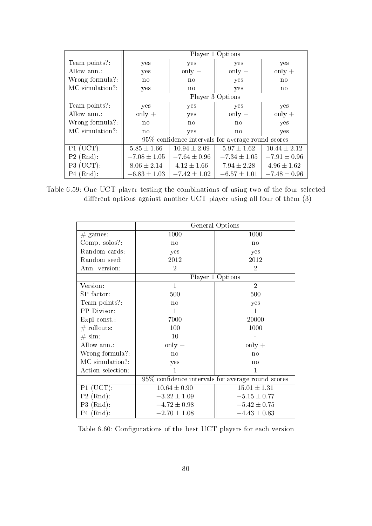|                 | Player 1 Options                                  |                  |                  |                  |
|-----------------|---------------------------------------------------|------------------|------------------|------------------|
| Team points?:   | yes                                               | yes              | yes              | yes              |
| Allow ann.:     | yes                                               | only $+$         | only $+$         | only $+$         |
| Wrong formula?: | $\mathbf{n}$                                      | $\mathbf{n}$     | yes              | $\mathbf{n}$     |
| MC simulation?: | yes                                               | $\mathbf{n}$     | yes              | $\mathbf{n}$     |
|                 | Player 3 Options                                  |                  |                  |                  |
| Team points?:   | yes                                               | yes              | yes              | yes              |
| Allow ann.:     | only $+$                                          | yes              | only $+$         | only $+$         |
| Wrong formula?: | $\mathbf{n}$                                      | $\mathbf{n}$     | $\mathbf{n}$     | yes              |
| MC simulation?: | no                                                | yes              | no               | yes              |
|                 | 95% confidence intervals for average round scores |                  |                  |                  |
| $P1$ (UCT):     | $5.85 \pm 1.66$                                   | $10.94 \pm 2.09$ | $5.97 \pm 1.62$  | $10.44 \pm 2.12$ |
| $P2$ (Rnd):     | $-7.08 \pm 1.05$                                  | $-7.64 \pm 0.96$ | $-7.34 \pm 1.05$ | $-7.91 \pm 0.96$ |
| $P3$ (UCT):     | $8.06 \pm 2.14$                                   | $4.12 \pm 1.66$  | $7.94 \pm 2.28$  | $4.96 \pm 1.62$  |
| $P4$ (Rnd):     | $-6.83 \pm 1.03$                                  | $-7.42 \pm 1.02$ | $-6.57 \pm 1.01$ | $-7.48 \pm 0.96$ |

Table 6.59: One UCT player testing the combinations of using two of the four selected different options against another UCT player using all four of them  $(3)$ 

|                      | General Options  |                                                   |  |
|----------------------|------------------|---------------------------------------------------|--|
| $#$ games:           | 1000             | 1000                                              |  |
| Comp. solos?:        | no               | no                                                |  |
| Random cards:        | yes              | yes                                               |  |
| Random seed:         | 2012             | 2012                                              |  |
| Ann. version:        | $\overline{2}$   | $\overline{2}$                                    |  |
|                      |                  | Player 1 Options                                  |  |
| Version:             | 1                | $\overline{2}$                                    |  |
| SP factor:           | 500              | 500                                               |  |
| Team points?:        | no               | yes                                               |  |
| PP Divisor:          | 1                | 1                                                 |  |
| Expl const.:         | 7000             | 20000                                             |  |
| $#$ rollouts:        | 100              | 1000                                              |  |
| $\# \, \text{sim}$ : | 10               |                                                   |  |
| Allow ann.:          | only $+$         | $only +$                                          |  |
| Wrong formula?:      | no               | no                                                |  |
| MC simulation?:      | yes              | no                                                |  |
| Action selection:    | 1                | 1                                                 |  |
|                      |                  | 95% confidence intervals for average round scores |  |
| $P1$ (UCT):          | $10.64 \pm 0.90$ | $15.01 \pm 1.31$                                  |  |
| $P2$ (Rnd):          | $-3.22 \pm 1.09$ | $-5.15 \pm 0.77$                                  |  |
| $P3$ (Rnd):          | $-4.72 \pm 0.98$ | $-5.42 \pm 0.75$                                  |  |
| $P4$ (Rnd):          | $-2.70 \pm 1.08$ | $-4.43 \pm 0.83$                                  |  |

Table 6.60: Configurations of the best UCT players for each version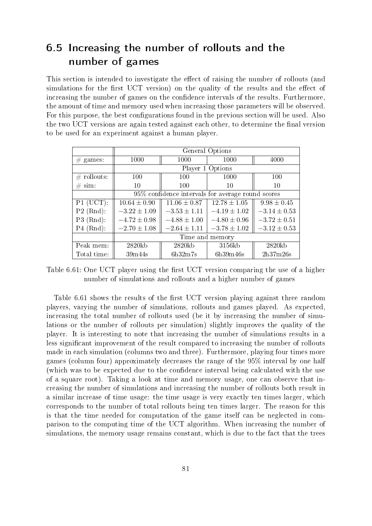## 6.5 Increasing the number of rollouts and the number of games

This section is intended to investigate the effect of raising the number of rollouts (and simulations for the first UCT version) on the quality of the results and the effect of increasing the number of games on the confidence intervals of the results. Furthermore, the amount of time and memory used when increasing those parameters will be observed. For this purpose, the best configurations found in the previous section will be used. Also the two UCT versions are again tested against each other, to determine the final version to be used for an experiment against a human player.

|                | General Options  |                                                   |                  |                  |
|----------------|------------------|---------------------------------------------------|------------------|------------------|
| $#$ games:     | 1000             | 1000                                              | 1000             | 4000             |
|                |                  |                                                   | Player 1 Options |                  |
| $\#$ rollouts: | 100              | 100                                               | 1000             | 100              |
| sim:<br>#      | 10               | 100                                               | 10               | 10               |
|                |                  | 95% confidence intervals for average round scores |                  |                  |
| $P1$ (UCT):    | $10.64 \pm 0.90$ | $11.06 \pm 0.87$                                  | $12.78 \pm 1.05$ | $9.98 \pm 0.45$  |
| $P2$ (Rnd):    | $-3.22 \pm 1.09$ | $-3.53 \pm 1.11$                                  | $-4.19 \pm 1.02$ | $-3.14 \pm 0.53$ |
| $P3$ (Rnd):    | $-4.72 \pm 0.98$ | $-4.88 \pm 1.00$                                  | $-4.80 \pm 0.96$ | $-3.72 \pm 0.51$ |
| $P4$ (Rnd):    | $-2.70 \pm 1.08$ | $-2.64 \pm 1.11$                                  | $-3.78 \pm 1.02$ | $-3.12 \pm 0.53$ |
|                | Time and memory  |                                                   |                  |                  |
| Peak mem:      | 2820kb           | 2820kb                                            | 3156kb           | 2820kb           |
| Total time:    | 39m44s           | 6h32m7s                                           | 6h39m46s         | 2h37m26s         |

Table 6.61: One UCT player using the first UCT version comparing the use of a higher number of simulations and rollouts and a higher number of games

Table 6.61 shows the results of the first UCT version playing against three random players, varying the number of simulations, rollouts and games played. As expected, increasing the total number of rollouts used (be it by increasing the number of simulations or the number of rollouts per simulation) slightly improves the quality of the player. It is interesting to note that increasing the number of simulations results in a less signicant improvement of the result compared to increasing the number of rollouts made in each simulation (columns two and three). Furthermore, playing four times more games (column four) approximately decreases the range of the 95% interval by one half (which was to be expected due to the confidence interval being calculated with the use of a square root). Taking a look at time and memory usage, one can observe that increasing the number of simulations and increasing the number of rollouts both result in a similar increase of time usage: the time usage is very exactly ten times larger, which corresponds to the number of total rollouts being ten times larger. The reason for this is that the time needed for computation of the game itself can be neglected in comparison to the computing time of the UCT algorithm. When increasing the number of simulations, the memory usage remains constant, which is due to the fact that the trees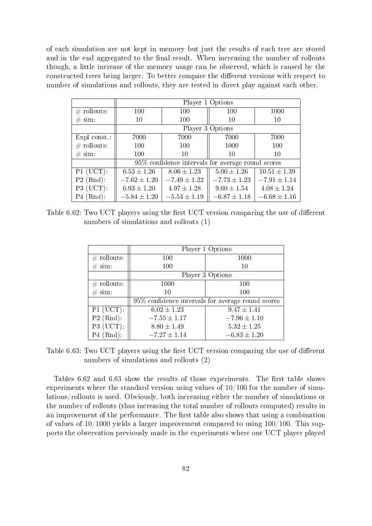of each simulation are not kept in memory but just the results of each tree are stored and in the end aggregated to the final result. When increasing the number of rollouts though, a little increase of the memory usage can be observed, which is caused by the constructed trees being larger. To better compare the different versions with respect to number of simulations and rollouts, they are tested in direct play against each other.

|                      | Player 1 Options |                                                   |                  |                  |  |
|----------------------|------------------|---------------------------------------------------|------------------|------------------|--|
| $\#$ rollouts:       | 100              | 100                                               | 100              | 1000             |  |
| $\# \, \text{sim}$ : | 10               | 100                                               | 10               | 10               |  |
|                      | Player 3 Options |                                                   |                  |                  |  |
| Expl const.:         | 7000             | 7000                                              | 7000             | 7000             |  |
| $\#$ rollouts:       | 100              | 100                                               | 1000             | 100              |  |
| $\# \, \text{sim}$ : | 100              | 10                                                | 10               | 10               |  |
|                      |                  | 95% confidence intervals for average round scores |                  |                  |  |
| $P1$ (UCT):          | $6.53 \pm 1.26$  | $8.06 \pm 1.23$                                   | $5.00 \pm 1.26$  | $10.51\pm1.39$   |  |
| $P2$ (Rnd):          | $-7.62 \pm 1.20$ | $-7.49 \pm 1.22$                                  | $-7.73 \pm 1.23$ | $-7.91 \pm 1.14$ |  |
| P3 (UCT):            | $6.93 \pm 1.20$  | $4.97 \pm 1.28$                                   | $9.60 \pm 1.54$  | $4.08 \pm 1.24$  |  |
| $P4$ (Rnd):          | $-5.84 \pm 1.20$ | $-5.54 \pm 1.19$                                  | $-6.87 \pm 1.18$ | $-6.68 \pm 1.16$ |  |

Table 6.62: Two UCT players using the first UCT version comparing the use of different numbers of simulations and rollouts (1)

|                      |                  | Player 1 Options                                   |  |
|----------------------|------------------|----------------------------------------------------|--|
| $\#$ rollouts:       | 100              | 1000                                               |  |
| $\# \, \text{sim}$ : | 100              | 10                                                 |  |
|                      |                  | Player 3 Options                                   |  |
| $\#$ rollouts:       | 1000             | 100                                                |  |
| $\# \, \text{sim}$ : | 10               | 100                                                |  |
|                      |                  | 95\% confidence intervals for average round scores |  |
| $P1$ (UCT):          | $6.02 \pm 1.23$  | $9.47 \pm 1.41$                                    |  |
| $P2$ (Rnd):          | $-7.55 \pm 1.17$ | $-7.96 \pm 1.10$                                   |  |
| P3 (UCT):            | $8.80 \pm 1.49$  | $5.32 \pm 1.25$                                    |  |
| $P4$ (Rnd):          | $-7.27 \pm 1.14$ | $-6.83 \pm 1.20$                                   |  |

Table 6.63: Two UCT players using the first UCT version comparing the use of different numbers of simulations and rollouts (2)

Tables 6.62 and 6.63 show the results of those experiments. The first table shows experiments where the standard version using values of 10/100 for the number of simulations/rollouts is used. Obviously, both increasing either the number of simulations or the number of rollouts (thus increasing the total number of rollouts computed) results in an improvement of the performance. The first table also shows that using a combination of values of  $10/1000$  yields a larger improvement compared to using  $100/100$ . This supports the observation previously made in the experiments where one UCT player played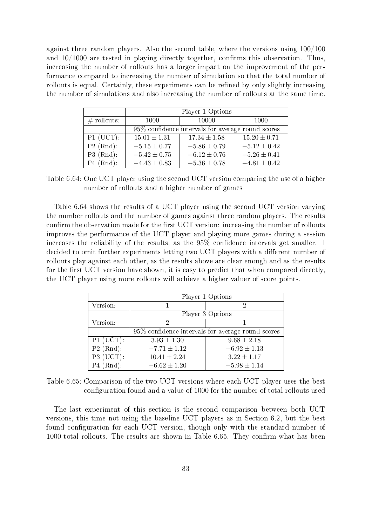against three random players. Also the second table, where the versions using 100/100 and  $10/1000$  are tested in playing directly together, confirms this observation. Thus, increasing the number of rollouts has a larger impact on the improvement of the performance compared to increasing the number of simulation so that the total number of rollouts is equal. Certainly, these experiments can be refined by only slightly increasing the number of simulations and also increasing the number of rollouts at the same time.

|                | Player 1 Options                                  |                  |                  |
|----------------|---------------------------------------------------|------------------|------------------|
| $\#$ rollouts: | 1000                                              | 10000            | 1000             |
|                | 95% confidence intervals for average round scores |                  |                  |
| $P1$ (UCT):    | $15.01 \pm 1.31$                                  | $17.34 \pm 1.58$ | $15.20 \pm 0.71$ |
| $P2$ (Rnd):    | $-5.15 \pm 0.77$                                  | $-5.86 \pm 0.79$ | $-5.12 \pm 0.42$ |
| $P3$ (Rnd):    | $-5.42 \pm 0.75$                                  | $-6.12 \pm 0.76$ | $-5.26 \pm 0.41$ |
| $P4$ (Rnd):    | $-4.43 \pm 0.83$                                  | $-5.36 \pm 0.78$ | $-4.81 \pm 0.42$ |

Table 6.64: One UCT player using the second UCT version comparing the use of a higher number of rollouts and a higher number of games

Table 6.64 shows the results of a UCT player using the second UCT version varying the number rollouts and the number of games against three random players. The results confirm the observation made for the first UCT version: increasing the number of rollouts improves the performance of the UCT player and playing more games during a session increases the reliability of the results, as the  $95\%$  confidence intervals get smaller. I decided to omit further experiments letting two UCT players with a different number of rollouts play against each other, as the results above are clear enough and as the results for the first UCT version have shown, it is easy to predict that when compared directly, the UCT player using more rollouts will achieve a higher valuer of score points.

|             | Player 1 Options                                  |                  |  |
|-------------|---------------------------------------------------|------------------|--|
| Version:    |                                                   | 2                |  |
|             | Player 3 Options                                  |                  |  |
| Version:    | 2                                                 |                  |  |
|             | 95% confidence intervals for average round scores |                  |  |
| $P1$ (UCT): | $3.93 \pm 1.30$                                   | $9.68 \pm 2.18$  |  |
| $P2$ (Rnd): | $-7.71 \pm 1.12$                                  | $-6.92 \pm 1.13$ |  |
| P3 (UCT):   | $10.41 \pm 2.24$                                  | $3.22 \pm 1.17$  |  |
| $P4$ (Rnd): | $-6.62 \pm 1.20$                                  | $-5.98\pm1.14$   |  |

Table 6.65: Comparison of the two UCT versions where each UCT player uses the best configuration found and a value of 1000 for the number of total rollouts used

The last experiment of this section is the second comparison between both UCT versions, this time not using the baseline UCT players as in Section 6.2, but the best found configuration for each UCT version, though only with the standard number of 1000 total rollouts. The results are shown in Table 6.65. They confirm what has been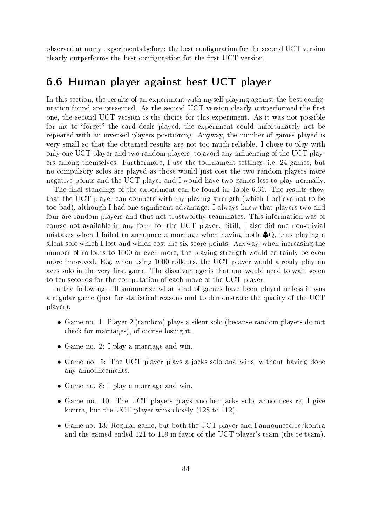observed at many experiments before: the best conguration for the second UCT version clearly outperforms the best configuration for the first UCT version.

## 6.6 Human player against best UCT player

In this section, the results of an experiment with myself playing against the best configuration found are presented. As the second UCT version clearly outperformed the first one, the second UCT version is the choice for this experiment. As it was not possible for me to "forget" the card deals played, the experiment could unfortunately not be repeated with an inversed players positioning. Anyway, the number of games played is very small so that the obtained results are not too much reliable. I chose to play with only one UCT player and two random players, to avoid any influencing of the UCT players among themselves. Furthermore, I use the tournament settings, i.e. 24 games, but no compulsory solos are played as those would just cost the two random players more negative points and the UCT player and I would have two games less to play normally.

The final standings of the experiment can be found in Table 6.66. The results show that the UCT player can compete with my playing strength (which I believe not to be too bad), although I had one signicant advantage: I always knew that players two and four are random players and thus not trustworthy teammates. This information was of course not available in any form for the UCT player. Still, I also did one non-trivial mistakes when I failed to announce a marriage when having both ♣Q, thus playing a silent solo which I lost and which cost me six score points. Anyway, when increasing the number of rollouts to 1000 or even more, the playing strength would certainly be even more improved. E.g. when using 1000 rollouts, the UCT player would already play an aces solo in the very first game. The disadvantage is that one would need to wait seven to ten seconds for the computation of each move of the UCT player.

In the following, I'll summarize what kind of games have been played unless it was a regular game (just for statistical reasons and to demonstrate the quality of the UCT player):

- Game no. 1: Player 2 (random) plays a silent solo (because random players do not check for marriages), of course losing it.
- Game no. 2: I play a marriage and win.
- Game no. 5: The UCT player plays a jacks solo and wins, without having done any announcements.
- Game no. 8: I play a marriage and win.
- Game no. 10: The UCT players plays another jacks solo, announces re, I give kontra, but the UCT player wins closely (128 to 112).
- Game no. 13: Regular game, but both the UCT player and I announced re/kontra and the gamed ended 121 to 119 in favor of the UCT player's team (the re team).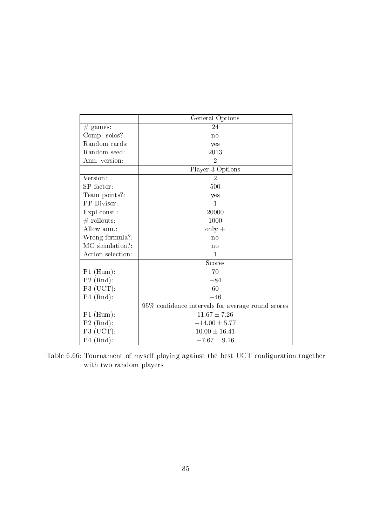|                                  | General Options                                   |  |
|----------------------------------|---------------------------------------------------|--|
| $\#$ games:                      | 24                                                |  |
| Comp. solos?:                    | no                                                |  |
| Random cards:                    | yes                                               |  |
| Random seed:                     | 2013                                              |  |
| Ann. version:                    | $\overline{2}$                                    |  |
|                                  | Player 3 Options                                  |  |
| Version:                         | $\overline{2}$                                    |  |
| SP factor:                       | 500                                               |  |
| Team points?:                    | yes                                               |  |
| PP Divisor:                      | $\mathbf{1}$                                      |  |
| Expl const.:                     | 20000                                             |  |
| $#$ rollouts:                    | 1000                                              |  |
| Allow ann.:                      | $only +$                                          |  |
| Wrong formula?:                  | no                                                |  |
| MC simulation?:                  | no                                                |  |
| Action selection:                | 1                                                 |  |
|                                  | Scores                                            |  |
| $P1$ (Hum):                      | 70                                                |  |
| $P2$ (Rnd):                      | $-84$                                             |  |
| $P3$ (UCT):                      | 60                                                |  |
| $P4$ (Rnd):                      | $-46$                                             |  |
|                                  | 95% confidence intervals for average round scores |  |
| $P1$ (Hum):                      | $11.67 \pm 7.26$                                  |  |
| $P2$ (Rnd):                      | $-14.00 \pm 5.77$                                 |  |
| $P3$ (UCT):<br>$10.00 \pm 16.41$ |                                                   |  |
| $P4$ (Rnd):                      | $-7.67 \pm 9.16$                                  |  |

Table 6.66: Tournament of myself playing against the best UCT configuration together with two random players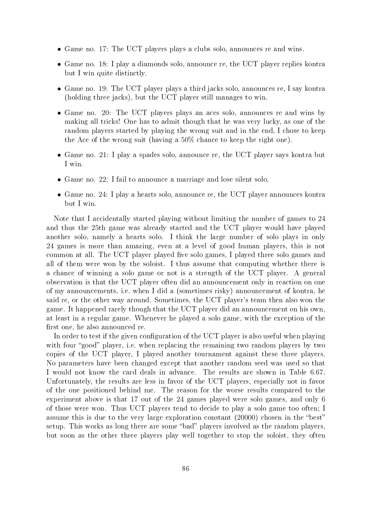- Game no. 17: The UCT players plays a clubs solo, announces re and wins.
- Game no. 18: I play a diamonds solo, announce re, the UCT player replies kontra but I win quite distinctly.
- Game no. 19: The UCT player plays a third jacks solo, announces re, I say kontra (holding three jacks), but the UCT player still manages to win.
- Game no. 20: The UCT players plays an aces solo, announces re and wins by making all tricks! One has to admit though that he was very lucky, as one of the random players started by playing the wrong suit and in the end, I chose to keep the Ace of the wrong suit (having a 50% chance to keep the right one).
- Game no. 21: I play a spades solo, announce re, the UCT player says kontra but I win.
- Game no. 22: I fail to announce a marriage and lose silent solo.
- Game no. 24: I play a hearts solo, announce re, the UCT player announces kontra but I win.

Note that I accidentally started playing without limiting the number of games to 24 and thus the 25th game was already started and the UCT player would have played another solo, namely a hearts solo. I think the large number of solo plays in only 24 games is more than amazing, even at a level of good human players, this is not common at all. The UCT player played five solo games, I played three solo games and all of them were won by the soloist. I thus assume that computing whether there is a chance of winning a solo game or not is a strength of the UCT player. A general observation is that the UCT player often did an announcement only in reaction on one of my announcements, i.e. when I did a (sometimes risky) announcement of kontra, he said re, or the other way around. Sometimes, the UCT player's team then also won the game. It happened rarely though that the UCT player did an announcement on his own, at least in a regular game. Whenever he played a solo game, with the exception of the first one, he also announced re.

In order to test if the given configuration of the UCT player is also useful when playing with four "good" player, i.e. when replacing the remaining two random players by two copies of the UCT player, I played another tournament against these three players. No parameters have been changed except that another random seed was used so that I would not know the card deals in advance. The results are shown in Table 6.67. Unfortunately, the results are less in favor of the UCT players, especially not in favor of the one positioned behind me. The reason for the worse results compared to the experiment above is that 17 out of the 24 games played were solo games, and only 6 of those were won. Thus UCT players tend to decide to play a solo game too often; I assume this is due to the very large exploration constant  $(20000)$  chosen in the "best" setup. This works as long there are some "bad" players involved as the random players, but soon as the other three players play well together to stop the soloist, they often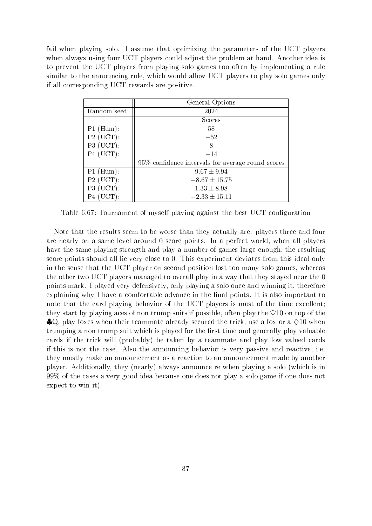fail when playing solo. I assume that optimizing the parameters of the UCT players when always using four UCT players could adjust the problem at hand. Another idea is to prevent the UCT players from playing solo games too often by implementing a rule similar to the announcing rule, which would allow UCT players to play solo games only if all corresponding UCT rewards are positive.

| General Options                                   |  |  |
|---------------------------------------------------|--|--|
| 2024                                              |  |  |
| Scores                                            |  |  |
| 58                                                |  |  |
| $-52$                                             |  |  |
| 8                                                 |  |  |
| $-14$                                             |  |  |
| 95% confidence intervals for average round scores |  |  |
| $9.67 \pm 9.94$                                   |  |  |
| $-8.67 \pm 15.75$                                 |  |  |
| $1.33 \pm 8.98$                                   |  |  |
| $-2.33 \pm 15.11$                                 |  |  |
|                                                   |  |  |

Table 6.67: Tournament of myself playing against the best UCT configuration

Note that the results seem to be worse than they actually are: players three and four are nearly on a same level around 0 score points. In a perfect world, when all players have the same playing strength and play a number of games large enough, the resulting score points should all lie very close to 0. This experiment deviates from this ideal only in the sense that the UCT player on second position lost too many solo games, whereas the other two UCT players managed to overall play in a way that they stayed near the 0 points mark. I played very defensively, only playing a solo once and winning it, therefore explaining why I have a comfortable advance in the final points. It is also important to note that the card playing behavior of the UCT players is most of the time excellent; they start by playing aces of non trump suits if possible, often play the  $\heartsuit$ 10 on top of the  $\clubsuit Q$ , play foxes when their teammate already secured the trick, use a fox or a  $\Diamond 10$  when trumping a non trump suit which is played for the first time and generally play valuable cards if the trick will (probably) be taken by a teammate and play low valued cards if this is not the case. Also the announcing behavior is very passive and reactive, i.e. they mostly make an announcement as a reaction to an announcement made by another player. Additionally, they (nearly) always announce re when playing a solo (which is in 99% of the cases a very good idea because one does not play a solo game if one does not expect to win it).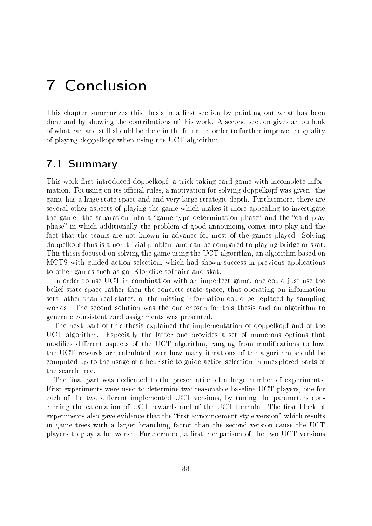## 7 Conclusion

This chapter summarizes this thesis in a first section by pointing out what has been done and by showing the contributions of this work. A second section gives an outlook of what can and still should be done in the future in order to further improve the quality of playing doppelkopf when using the UCT algorithm.

### 7.1 Summary

This work first introduced doppelkopf, a trick-taking card game with incomplete information. Focusing on its official rules, a motivation for solving doppelkopf was given: the game has a huge state space and and very large strategic depth. Furthermore, there are several other aspects of playing the game which makes it more appealing to investigate the game: the separation into a "game type determination phase" and the "card play phase" in which additionally the problem of good announcing comes into play and the fact that the teams are not known in advance for most of the games played. Solving doppelkopf thus is a non-trivial problem and can be compared to playing bridge or skat. This thesis focused on solving the game using the UCT algorithm, an algorithm based on MCTS with guided action selection, which had shown success in previous applications to other games such as go, Klondike solitaire and skat.

In order to use UCT in combination with an imperfect game, one could just use the belief state space rather then the concrete state space, thus operating on information sets rather than real states, or the missing information could be replaced by sampling worlds. The second solution was the one chosen for this thesis and an algorithm to generate consistent card assignments was presented.

The next part of this thesis explained the implementation of doppelkopf and of the UCT algorithm. Especially the latter one provides a set of numerous options that modifies different aspects of the UCT algorithm, ranging from modifications to how the UCT rewards are calculated over how many iterations of the algorithm should be computed up to the usage of a heuristic to guide action selection in unexplored parts of the search tree.

The final part was dedicated to the presentation of a large number of experiments. First experiments were used to determine two reasonable baseline UCT players, one for each of the two different implemented UCT versions, by tuning the parameters concerning the calculation of UCT rewards and of the UCT formula. The first block of experiments also gave evidence that the "first announcement style version" which results in game trees with a larger branching factor than the second version cause the UCT players to play a lot worse. Furthermore, a first comparison of the two UCT versions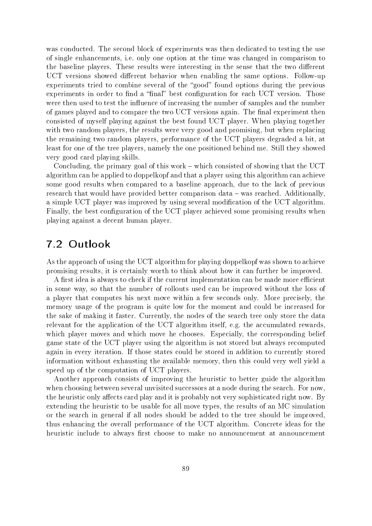was conducted. The second block of experiments was then dedicated to testing the use of single enhancements, i.e. only one option at the time was changed in comparison to the baseline players. These results were interesting in the sense that the two different UCT versions showed different behavior when enabling the same options. Follow-up experiments tried to combine several of the "good" found options during the previous experiments in order to find a "final" best configuration for each UCT version. Those were then used to test the influence of increasing the number of samples and the number of games played and to compare the two UCT versions again. The final experiment then consisted of myself playing against the best found UCT player. When playing together with two random players, the results were very good and promising, but when replacing the remaining two random players, performance of the UCT players degraded a bit, at least for one of the tree players, namely the one positioned behind me. Still they showed very good card playing skills.

Concluding, the primary goal of this work  $-$  which consisted of showing that the UCT algorithm can be applied to doppelkopf and that a player using this algorithm can achieve some good results when compared to a baseline approach, due to the lack of previous research that would have provided better comparison data – was reached. Additionally, a simple UCT player was improved by using several modification of the UCT algorithm. Finally, the best configuration of the UCT player achieved some promising results when playing against a decent human player.

## 7.2 Outlook

As the approach of using the UCT algorithm for playing doppelkopf was shown to achieve promising results, it is certainly worth to think about how it can further be improved.

A first idea is always to check if the current implementation can be made more efficient in some way, so that the number of rollouts used can be improved without the loss of a player that computes his next move within a few seconds only. More precisely, the memory usage of the program is quite low for the moment and could be increased for the sake of making it faster. Currently, the nodes of the search tree only store the data relevant for the application of the UCT algorithm itself, e.g. the accumulated rewards, which player moves and which move he chooses. Especially, the corresponding belief game state of the UCT player using the algorithm is not stored but always recomputed again in every iteration. If those states could be stored in addition to currently stored information without exhausting the available memory, then this could very well yield a speed up of the computation of UCT players.

Another approach consists of improving the heuristic to better guide the algorithm when choosing between several unvisited successors at a node during the search. For now, the heuristic only affects card play and it is probably not very sophisticated right now. By extending the heuristic to be usable for all move types, the results of an MC simulation or the search in general if all nodes should be added to the tree should be improved, thus enhancing the overall performance of the UCT algorithm. Concrete ideas for the heuristic include to always first choose to make no announcement at announcement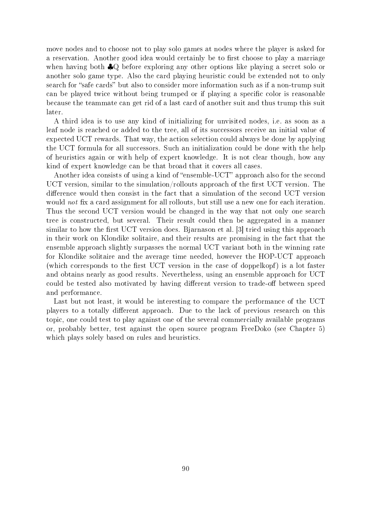move nodes and to choose not to play solo games at nodes where the player is asked for a reservation. Another good idea would certainly be to first choose to play a marriage when having both ♣Q before exploring any other options like playing a secret solo or another solo game type. Also the card playing heuristic could be extended not to only search for "safe cards" but also to consider more information such as if a non-trump suit can be played twice without being trumped or if playing a specific color is reasonable because the teammate can get rid of a last card of another suit and thus trump this suit later.

A third idea is to use any kind of initializing for unvisited nodes, i.e. as soon as a leaf node is reached or added to the tree, all of its successors receive an initial value of expected UCT rewards. That way, the action selection could always be done by applying the UCT formula for all successors. Such an initialization could be done with the help of heuristics again or with help of expert knowledge. It is not clear though, how any kind of expert knowledge can be that broad that it covers all cases.

Another idea consists of using a kind of "ensemble-UCT" approach also for the second UCT version, similar to the simulation/rollouts approach of the first UCT version. The difference would then consist in the fact that a simulation of the second UCT version would *not* fix a card assignment for all rollouts, but still use a new one for each iteration. Thus the second UCT version would be changed in the way that not only one search tree is constructed, but several. Their result could then be aggregated in a manner similar to how the first UCT version does. Bjarnason et al. [3] tried using this approach in their work on Klondike solitaire, and their results are promising in the fact that the ensemble approach slightly surpasses the normal UCT variant both in the winning rate for Klondike solitaire and the average time needed, however the HOP-UCT approach (which corresponds to the first UCT version in the case of doppelkopf) is a lot faster and obtains nearly as good results. Nevertheless, using an ensemble approach for UCT could be tested also motivated by having different version to trade-off between speed and performance.

Last but not least, it would be interesting to compare the performance of the UCT players to a totally different approach. Due to the lack of previous research on this topic, one could test to play against one of the several commercially available programs or, probably better, test against the open source program FreeDoko (see Chapter 5) which plays solely based on rules and heuristics.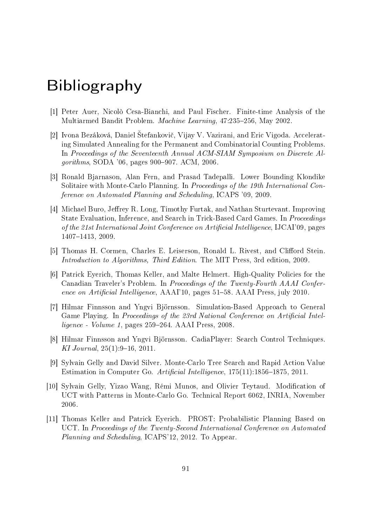# Bibliography

- [1] Peter Auer, Nicolò Cesa-Bianchi, and Paul Fischer. Finite-time Analysis of the Multiarmed Bandit Problem. Machine Learning, 47:235-256, May 2002.
- [2] Ivona Bezáková, Daniel Štefankovič, Vijay V. Vazirani, and Eric Vigoda. Accelerating Simulated Annealing for the Permanent and Combinatorial Counting Problems. In Proceedings of the Seventeenth Annual ACM-SIAM Symposium on Discrete Al*gorithms,* SODA '06, pages  $900-907$ . ACM, 2006.
- [3] Ronald Bjarnason, Alan Fern, and Prasad Tadepalli. Lower Bounding Klondike Solitaire with Monte-Carlo Planning. In Proceedings of the 19th International Conference on Automated Planning and Scheduling, ICAPS '09, 2009.
- [4] Michael Buro, Jeffrey R. Long, Timothy Furtak, and Nathan Sturtevant. Improving State Evaluation, Inference, and Search in Trick-Based Card Games. In Proceedings of the 21st International Joint Conference on Artificial Intelligence, IJCAI'09, pages 1407-1413, 2009.
- [5] Thomas H. Cormen, Charles E. Leiserson, Ronald L. Rivest, and Clifford Stein. Introduction to Algorithms, Third Edition. The MIT Press, 3rd edition, 2009.
- [6] Patrick Eyerich, Thomas Keller, and Malte Helmert. High-Quality Policies for the Canadian Traveler's Problem. In Proceedings of the Twenty-Fourth AAAI Conference on Artificial Intelligence,  $A A A$ <sup>1</sup>10, pages 51–58. AAAI Press, july 2010.
- [7] Hilmar Finnsson and Yngvi Björnsson. Simulation-Based Approach to General Game Playing. In Proceedings of the 23rd National Conference on Artificial Intel- $$
- [8] Hilmar Finnsson and Yngvi Björnsson. CadiaPlayer: Search Control Techniques. KI Journal,  $25(1):9-16$ ,  $2011$ .
- [9] Sylvain Gelly and David Silver. Monte-Carlo Tree Search and Rapid Action Value Estimation in Computer Go. Artificial Intelligence,  $175(11):1856-1875$ , 2011.
- [10] Sylvain Gelly, Yizao Wang, Rémi Munos, and Olivier Teytaud. Modication of UCT with Patterns in Monte-Carlo Go. Technical Report 6062, INRIA, November 2006.
- [11] Thomas Keller and Patrick Eyerich. PROST: Probabilistic Planning Based on UCT. In Proceedings of the Twenty-Second International Conference on Automated Planning and Scheduling, ICAPS'12, 2012. To Appear.